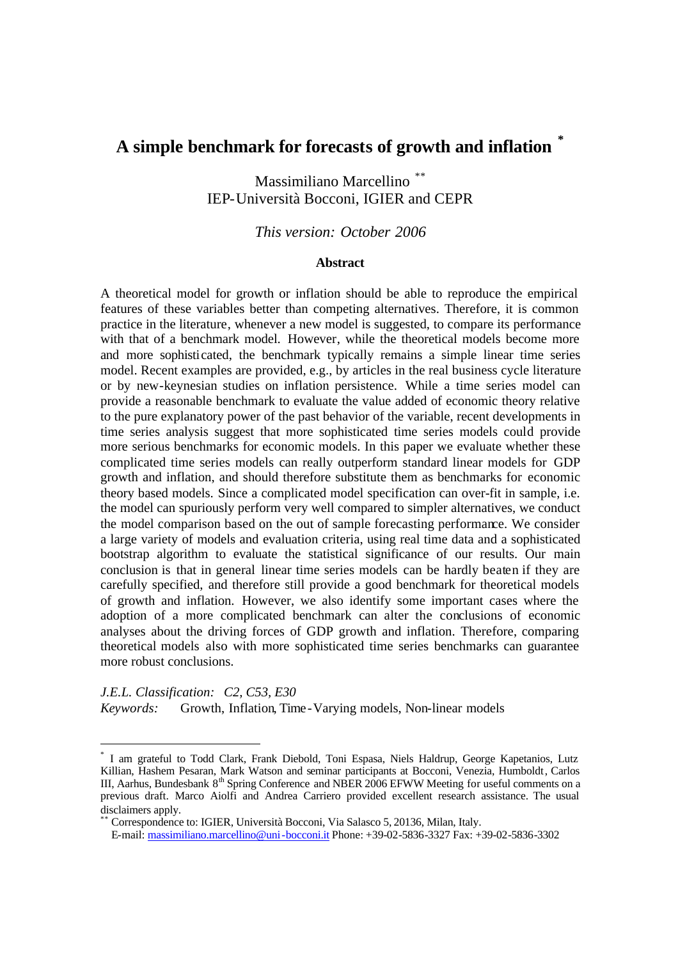# **A simple benchmark for forecasts of growth and inflation \***

Massimiliano Marcellino \*\* IEP-Università Bocconi, IGIER and CEPR

## *This version: October 2006*

#### **Abstract**

A theoretical model for growth or inflation should be able to reproduce the empirical features of these variables better than competing alternatives. Therefore, it is common practice in the literature, whenever a new model is suggested, to compare its performance with that of a benchmark model. However, while the theoretical models become more and more sophisticated, the benchmark typically remains a simple linear time series model. Recent examples are provided, e.g., by articles in the real business cycle literature or by new-keynesian studies on inflation persistence. While a time series model can provide a reasonable benchmark to evaluate the value added of economic theory relative to the pure explanatory power of the past behavior of the variable, recent developments in time series analysis suggest that more sophisticated time series models could provide more serious benchmarks for economic models. In this paper we evaluate whether these complicated time series models can really outperform standard linear models for GDP growth and inflation, and should therefore substitute them as benchmarks for economic theory based models. Since a complicated model specification can over-fit in sample, i.e. the model can spuriously perform very well compared to simpler alternatives, we conduct the model comparison based on the out of sample forecasting performance. We consider a large variety of models and evaluation criteria, using real time data and a sophisticated bootstrap algorithm to evaluate the statistical significance of our results. Our main conclusion is that in general linear time series models can be hardly beaten if they are carefully specified, and therefore still provide a good benchmark for theoretical models of growth and inflation. However, we also identify some important cases where the adoption of a more complicated benchmark can alter the conclusions of economic analyses about the driving forces of GDP growth and inflation. Therefore, comparing theoretical models also with more sophisticated time series benchmarks can guarantee more robust conclusions.

*J.E.L. Classification: C2, C53, E30 Keywords:* Growth, Inflation, Time -Varying models, Non-linear models

\*\* Correspondence to: IGIER, Università Bocconi, Via Salasco 5, 20136, Milan, Italy.

E-mail: massimiliano.marcellino@uni-bocconi.it Phone: +39-02-5836-3327 Fax: +39-02-5836-3302

<sup>\*</sup> I am grateful to Todd Clark, Frank Diebold, Toni Espasa, Niels Haldrup, George Kapetanios, Lutz Killian, Hashem Pesaran, Mark Watson and seminar participants at Bocconi, Venezia, Humboldt, Carlos III, Aarhus, Bundesbank  $8<sup>th</sup>$  Spring Conference and NBER 2006 EFWW Meeting for useful comments on a previous draft. Marco Aiolfi and Andrea Carriero provided excellent research assistance. The usual disclaimers apply.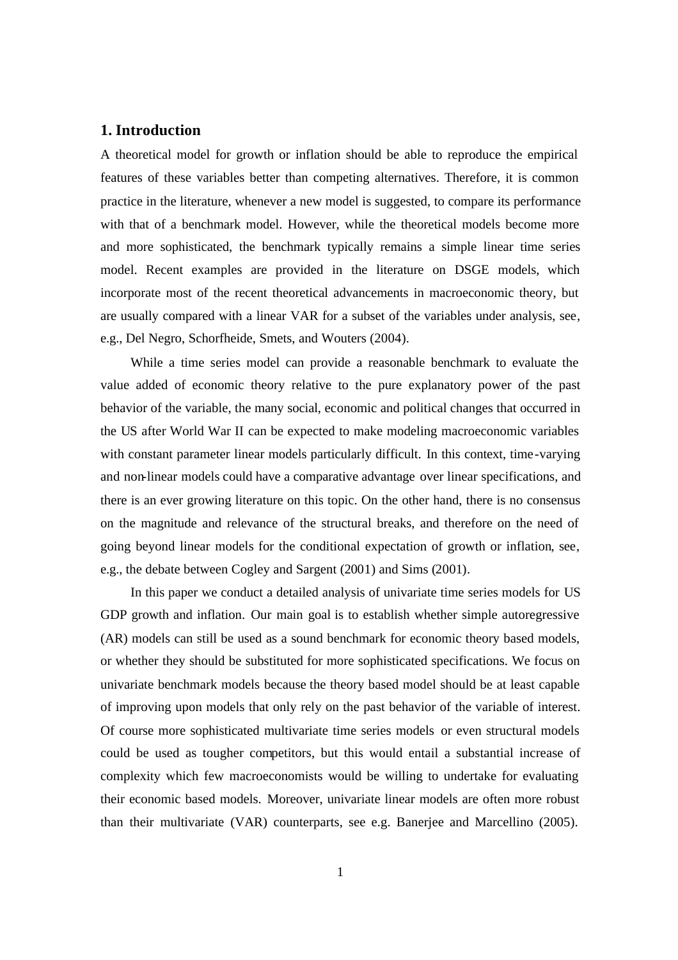### **1. Introduction**

A theoretical model for growth or inflation should be able to reproduce the empirical features of these variables better than competing alternatives. Therefore, it is common practice in the literature, whenever a new model is suggested, to compare its performance with that of a benchmark model. However, while the theoretical models become more and more sophisticated, the benchmark typically remains a simple linear time series model. Recent examples are provided in the literature on DSGE models, which incorporate most of the recent theoretical advancements in macroeconomic theory, but are usually compared with a linear VAR for a subset of the variables under analysis, see, e.g., Del Negro, Schorfheide, Smets, and Wouters (2004).

While a time series model can provide a reasonable benchmark to evaluate the value added of economic theory relative to the pure explanatory power of the past behavior of the variable, the many social, economic and political changes that occurred in the US after World War II can be expected to make modeling macroeconomic variables with constant parameter linear models particularly difficult. In this context, time-varying and non-linear models could have a comparative advantage over linear specifications, and there is an ever growing literature on this topic. On the other hand, there is no consensus on the magnitude and relevance of the structural breaks, and therefore on the need of going beyond linear models for the conditional expectation of growth or inflation, see, e.g., the debate between Cogley and Sargent (2001) and Sims (2001).

In this paper we conduct a detailed analysis of univariate time series models for US GDP growth and inflation. Our main goal is to establish whether simple autoregressive (AR) models can still be used as a sound benchmark for economic theory based models, or whether they should be substituted for more sophisticated specifications. We focus on univariate benchmark models because the theory based model should be at least capable of improving upon models that only rely on the past behavior of the variable of interest. Of course more sophisticated multivariate time series models or even structural models could be used as tougher competitors, but this would entail a substantial increase of complexity which few macroeconomists would be willing to undertake for evaluating their economic based models. Moreover, univariate linear models are often more robust than their multivariate (VAR) counterparts, see e.g. Banerjee and Marcellino (2005).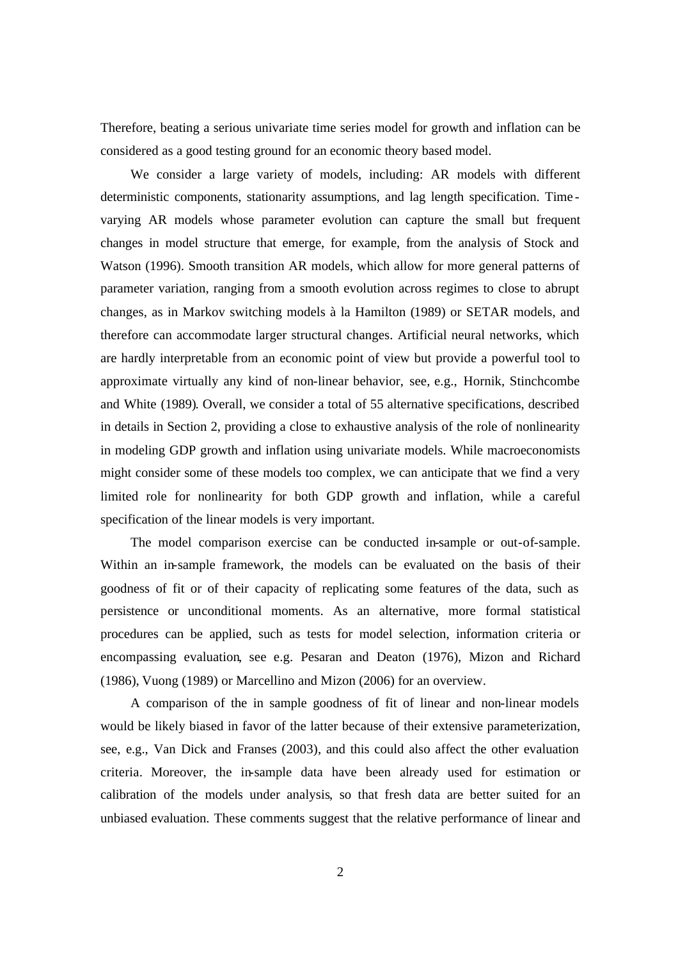Therefore, beating a serious univariate time series model for growth and inflation can be considered as a good testing ground for an economic theory based model.

We consider a large variety of models, including: AR models with different deterministic components, stationarity assumptions, and lag length specification. Time varying AR models whose parameter evolution can capture the small but frequent changes in model structure that emerge, for example, from the analysis of Stock and Watson (1996). Smooth transition AR models, which allow for more general patterns of parameter variation, ranging from a smooth evolution across regimes to close to abrupt changes, as in Markov switching models à la Hamilton (1989) or SETAR models, and therefore can accommodate larger structural changes. Artificial neural networks, which are hardly interpretable from an economic point of view but provide a powerful tool to approximate virtually any kind of non-linear behavior, see, e.g., Hornik, Stinchcombe and White (1989). Overall, we consider a total of 55 alternative specifications, described in details in Section 2, providing a close to exhaustive analysis of the role of nonlinearity in modeling GDP growth and inflation using univariate models. While macroeconomists might consider some of these models too complex, we can anticipate that we find a very limited role for nonlinearity for both GDP growth and inflation, while a careful specification of the linear models is very important.

The model comparison exercise can be conducted in-sample or out-of-sample. Within an in-sample framework, the models can be evaluated on the basis of their goodness of fit or of their capacity of replicating some features of the data, such as persistence or unconditional moments. As an alternative, more formal statistical procedures can be applied, such as tests for model selection, information criteria or encompassing evaluation, see e.g. Pesaran and Deaton (1976), Mizon and Richard (1986), Vuong (1989) or Marcellino and Mizon (2006) for an overview.

A comparison of the in sample goodness of fit of linear and non-linear models would be likely biased in favor of the latter because of their extensive parameterization, see, e.g., Van Dick and Franses (2003), and this could also affect the other evaluation criteria. Moreover, the in-sample data have been already used for estimation or calibration of the models under analysis, so that fresh data are better suited for an unbiased evaluation. These comments suggest that the relative performance of linear and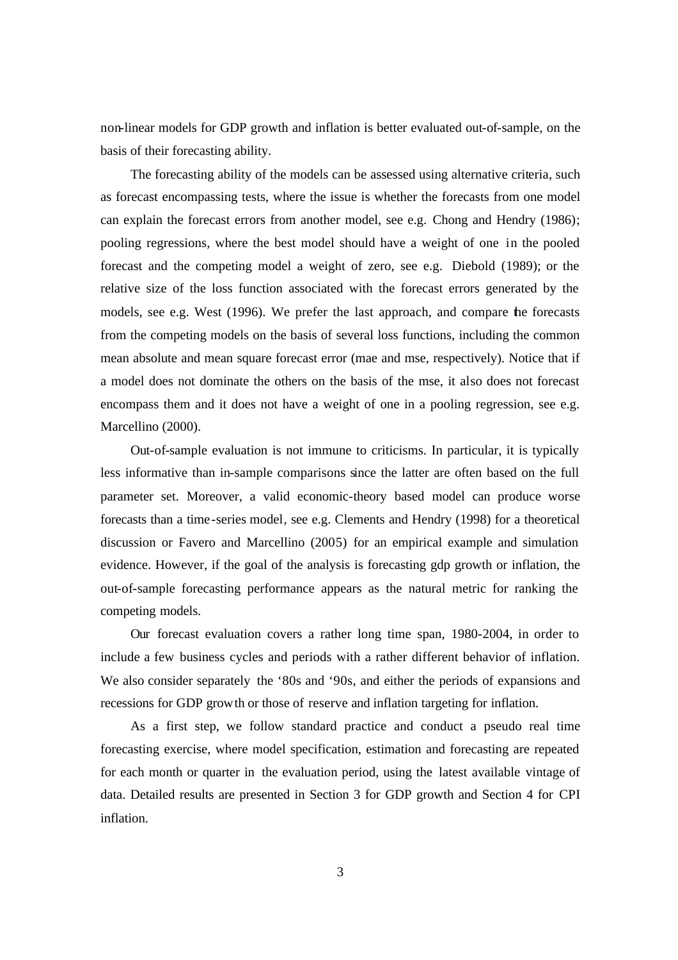non-linear models for GDP growth and inflation is better evaluated out-of-sample, on the basis of their forecasting ability.

The forecasting ability of the models can be assessed using alternative criteria, such as forecast encompassing tests, where the issue is whether the forecasts from one model can explain the forecast errors from another model, see e.g. Chong and Hendry (1986); pooling regressions, where the best model should have a weight of one in the pooled forecast and the competing model a weight of zero, see e.g. Diebold (1989); or the relative size of the loss function associated with the forecast errors generated by the models, see e.g. West (1996). We prefer the last approach, and compare the forecasts from the competing models on the basis of several loss functions, including the common mean absolute and mean square forecast error (mae and mse, respectively). Notice that if a model does not dominate the others on the basis of the mse, it also does not forecast encompass them and it does not have a weight of one in a pooling regression, see e.g. Marcellino (2000).

Out-of-sample evaluation is not immune to criticisms. In particular, it is typically less informative than in-sample comparisons since the latter are often based on the full parameter set. Moreover, a valid economic-theory based model can produce worse forecasts than a time-series model, see e.g. Clements and Hendry (1998) for a theoretical discussion or Favero and Marcellino (2005) for an empirical example and simulation evidence. However, if the goal of the analysis is forecasting gdp growth or inflation, the out-of-sample forecasting performance appears as the natural metric for ranking the competing models.

Our forecast evaluation covers a rather long time span, 1980-2004, in order to include a few business cycles and periods with a rather different behavior of inflation. We also consider separately the '80s and '90s, and either the periods of expansions and recessions for GDP growth or those of reserve and inflation targeting for inflation.

As a first step, we follow standard practice and conduct a pseudo real time forecasting exercise, where model specification, estimation and forecasting are repeated for each month or quarter in the evaluation period, using the latest available vintage of data. Detailed results are presented in Section 3 for GDP growth and Section 4 for CPI inflation.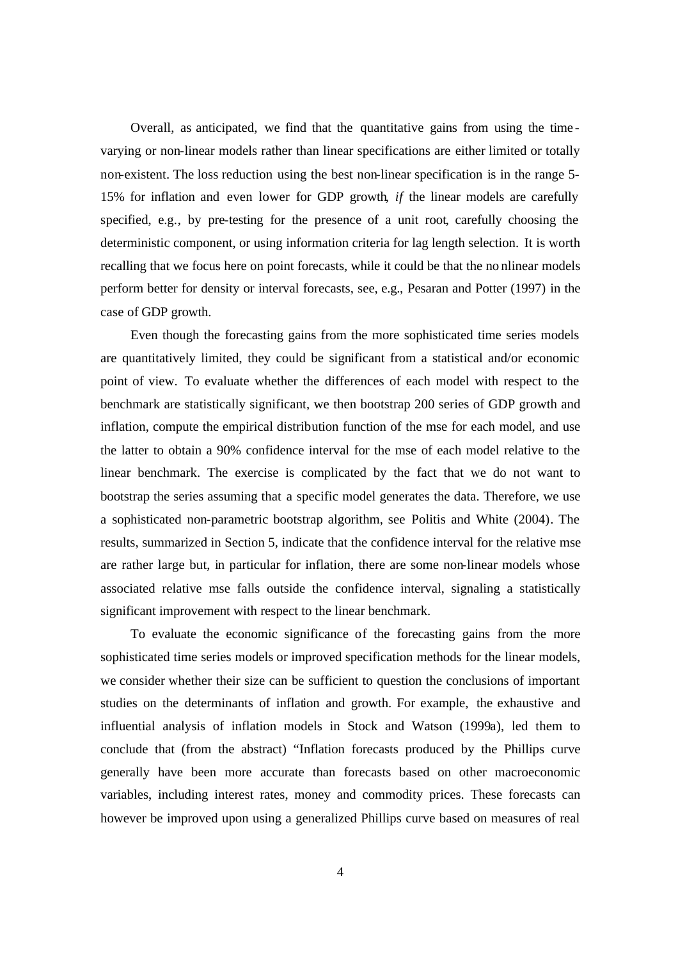Overall, as anticipated, we find that the quantitative gains from using the time varying or non-linear models rather than linear specifications are either limited or totally non-existent. The loss reduction using the best non-linear specification is in the range 5- 15% for inflation and even lower for GDP growth, *if* the linear models are carefully specified, e.g., by pre-testing for the presence of a unit root, carefully choosing the deterministic component, or using information criteria for lag length selection. It is worth recalling that we focus here on point forecasts, while it could be that the no nlinear models perform better for density or interval forecasts, see, e.g., Pesaran and Potter (1997) in the case of GDP growth.

Even though the forecasting gains from the more sophisticated time series models are quantitatively limited, they could be significant from a statistical and/or economic point of view. To evaluate whether the differences of each model with respect to the benchmark are statistically significant, we then bootstrap 200 series of GDP growth and inflation, compute the empirical distribution function of the mse for each model, and use the latter to obtain a 90% confidence interval for the mse of each model relative to the linear benchmark. The exercise is complicated by the fact that we do not want to bootstrap the series assuming that a specific model generates the data. Therefore, we use a sophisticated non-parametric bootstrap algorithm, see Politis and White (2004). The results, summarized in Section 5, indicate that the confidence interval for the relative mse are rather large but, in particular for inflation, there are some non-linear models whose associated relative mse falls outside the confidence interval, signaling a statistically significant improvement with respect to the linear benchmark.

To evaluate the economic significance of the forecasting gains from the more sophisticated time series models or improved specification methods for the linear models, we consider whether their size can be sufficient to question the conclusions of important studies on the determinants of inflation and growth. For example, the exhaustive and influential analysis of inflation models in Stock and Watson (1999a), led them to conclude that (from the abstract) "Inflation forecasts produced by the Phillips curve generally have been more accurate than forecasts based on other macroeconomic variables, including interest rates, money and commodity prices. These forecasts can however be improved upon using a generalized Phillips curve based on measures of real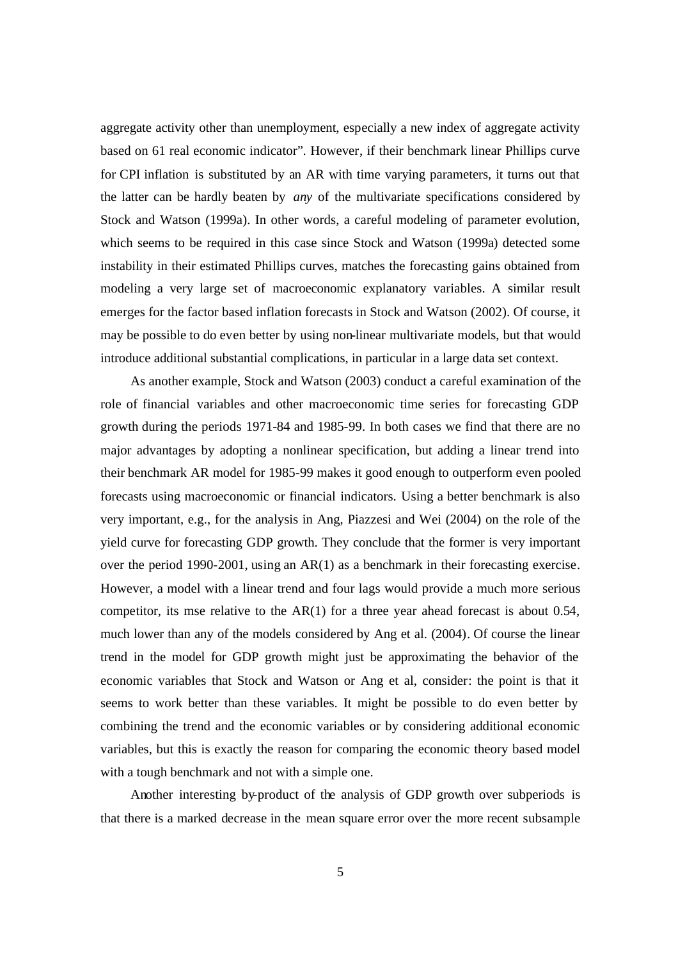aggregate activity other than unemployment, especially a new index of aggregate activity based on 61 real economic indicator". However, if their benchmark linear Phillips curve for CPI inflation is substituted by an AR with time varying parameters, it turns out that the latter can be hardly beaten by *any* of the multivariate specifications considered by Stock and Watson (1999a). In other words, a careful modeling of parameter evolution, which seems to be required in this case since Stock and Watson (1999a) detected some instability in their estimated Phillips curves, matches the forecasting gains obtained from modeling a very large set of macroeconomic explanatory variables. A similar result emerges for the factor based inflation forecasts in Stock and Watson (2002). Of course, it may be possible to do even better by using non-linear multivariate models, but that would introduce additional substantial complications, in particular in a large data set context.

As another example, Stock and Watson (2003) conduct a careful examination of the role of financial variables and other macroeconomic time series for forecasting GDP growth during the periods 1971-84 and 1985-99. In both cases we find that there are no major advantages by adopting a nonlinear specification, but adding a linear trend into their benchmark AR model for 1985-99 makes it good enough to outperform even pooled forecasts using macroeconomic or financial indicators. Using a better benchmark is also very important, e.g., for the analysis in Ang, Piazzesi and Wei (2004) on the role of the yield curve for forecasting GDP growth. They conclude that the former is very important over the period 1990-2001, using an AR(1) as a benchmark in their forecasting exercise. However, a model with a linear trend and four lags would provide a much more serious competitor, its mse relative to the AR(1) for a three year ahead forecast is about 0.54, much lower than any of the models considered by Ang et al. (2004). Of course the linear trend in the model for GDP growth might just be approximating the behavior of the economic variables that Stock and Watson or Ang et al, consider: the point is that it seems to work better than these variables. It might be possible to do even better by combining the trend and the economic variables or by considering additional economic variables, but this is exactly the reason for comparing the economic theory based model with a tough benchmark and not with a simple one.

Another interesting by-product of the analysis of GDP growth over subperiods is that there is a marked decrease in the mean square error over the more recent subsample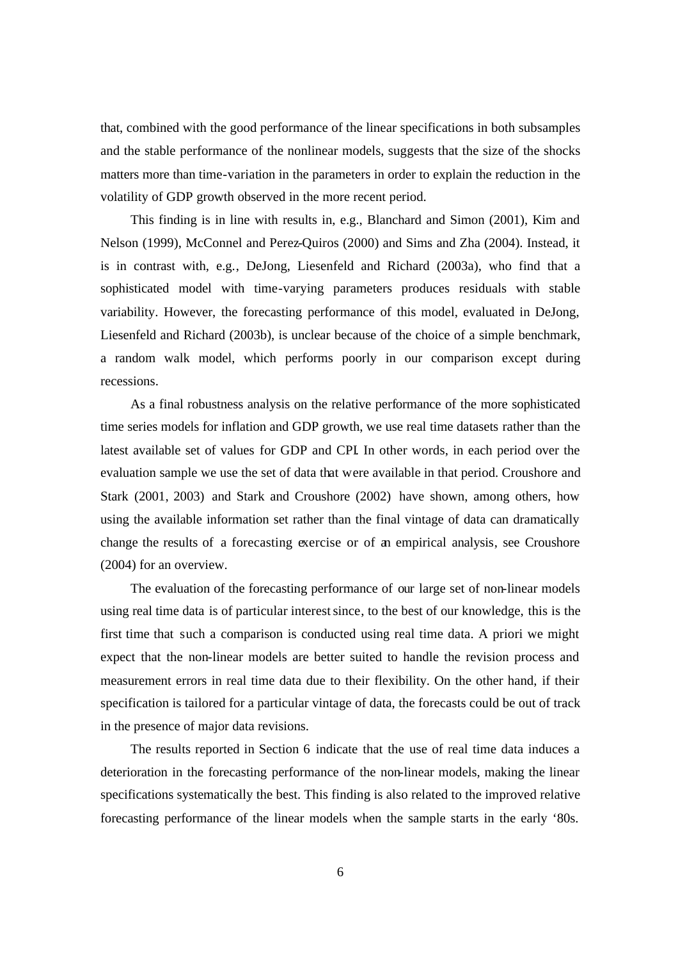that, combined with the good performance of the linear specifications in both subsamples and the stable performance of the nonlinear models, suggests that the size of the shocks matters more than time-variation in the parameters in order to explain the reduction in the volatility of GDP growth observed in the more recent period.

This finding is in line with results in, e.g., Blanchard and Simon (2001), Kim and Nelson (1999), McConnel and Perez-Quiros (2000) and Sims and Zha (2004). Instead, it is in contrast with, e.g., DeJong, Liesenfeld and Richard (2003a), who find that a sophisticated model with time-varying parameters produces residuals with stable variability. However, the forecasting performance of this model, evaluated in DeJong, Liesenfeld and Richard (2003b), is unclear because of the choice of a simple benchmark, a random walk model, which performs poorly in our comparison except during recessions.

As a final robustness analysis on the relative performance of the more sophisticated time series models for inflation and GDP growth, we use real time datasets rather than the latest available set of values for GDP and CPI. In other words, in each period over the evaluation sample we use the set of data that were available in that period. Croushore and Stark (2001, 2003) and Stark and Croushore (2002) have shown, among others, how using the available information set rather than the final vintage of data can dramatically change the results of a forecasting exercise or of an empirical analysis, see Croushore (2004) for an overview.

The evaluation of the forecasting performance of our large set of non-linear models using real time data is of particular interest since, to the best of our knowledge, this is the first time that such a comparison is conducted using real time data. A priori we might expect that the non-linear models are better suited to handle the revision process and measurement errors in real time data due to their flexibility. On the other hand, if their specification is tailored for a particular vintage of data, the forecasts could be out of track in the presence of major data revisions.

The results reported in Section 6 indicate that the use of real time data induces a deterioration in the forecasting performance of the non-linear models, making the linear specifications systematically the best. This finding is also related to the improved relative forecasting performance of the linear models when the sample starts in the early '80s.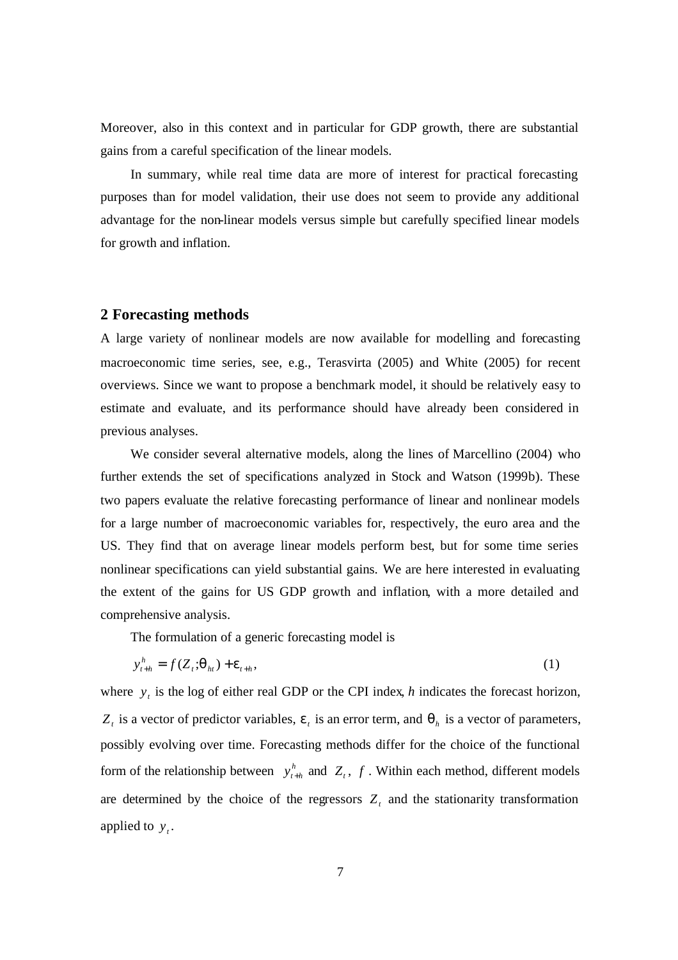Moreover, also in this context and in particular for GDP growth, there are substantial gains from a careful specification of the linear models.

In summary, while real time data are more of interest for practical forecasting purposes than for model validation, their use does not seem to provide any additional advantage for the non-linear models versus simple but carefully specified linear models for growth and inflation.

#### **2 Forecasting methods**

A large variety of nonlinear models are now available for modelling and forecasting macroeconomic time series, see, e.g., Terasvirta (2005) and White (2005) for recent overviews. Since we want to propose a benchmark model, it should be relatively easy to estimate and evaluate, and its performance should have already been considered in previous analyses.

We consider several alternative models, along the lines of Marcellino (2004) who further extends the set of specifications analyzed in Stock and Watson (1999b). These two papers evaluate the relative forecasting performance of linear and nonlinear models for a large number of macroeconomic variables for, respectively, the euro area and the US. They find that on average linear models perform best, but for some time series nonlinear specifications can yield substantial gains. We are here interested in evaluating the extent of the gains for US GDP growth and inflation, with a more detailed and comprehensive analysis.

The formulation of a generic forecasting model is

$$
y_{t+h}^h = f(Z_t; \mathbf{q}_h) + \mathbf{e}_{t+h},
$$
\n<sup>(1)</sup>

where  $y_t$  is the log of either real GDP or the CPI index, *h* indicates the forecast horizon,  $Z_t$  is a vector of predictor variables,  $e_t$  is an error term, and  $q_h$  is a vector of parameters, possibly evolving over time. Forecasting methods differ for the choice of the functional form of the relationship between  $y_{t+h}^h$  and  $Z_t$ ,  $f$ . Within each method, different models are determined by the choice of the regressors  $Z_t$  and the stationarity transformation applied to  $y_t$ .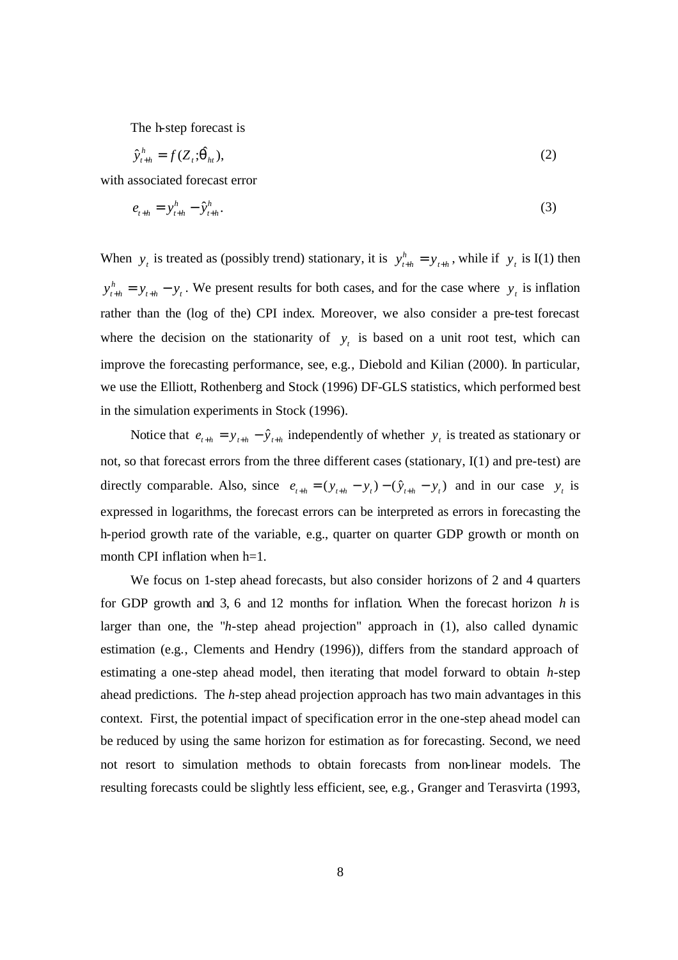The h-step forecast is

$$
\hat{\mathbf{y}}_{t+h}^h = f(Z_t; \hat{\mathbf{q}}_h),\tag{2}
$$

with associated forecast error

$$
e_{t+h} = y_{t+h}^h - \hat{y}_{t+h}^h. \tag{3}
$$

When  $y_t$  is treated as (possibly trend) stationary, it is  $y_{t+h}^h = y_{t+h}$  $y_{t+h}^h = y_{t+h}$ , while if  $y_t$  is I(1) then  $t+h = y_t$ *h*  $y_{t+h}^h = y_{t+h} - y_t$ . We present results for both cases, and for the case where  $y_t$  is inflation rather than the (log of the) CPI index. Moreover, we also consider a pre-test forecast where the decision on the stationarity of  $y_t$  is based on a unit root test, which can improve the forecasting performance, see, e.g., Diebold and Kilian (2000). In particular, we use the Elliott, Rothenberg and Stock (1996) DF-GLS statistics, which performed best in the simulation experiments in Stock (1996).

Notice that  $e_{t+h} = y_{t+h} - \hat{y}_{t+h}$  independently of whether  $y_t$  is treated as stationary or not, so that forecast errors from the three different cases (stationary, I(1) and pre-test) are directly comparable. Also, since  $e_{t+h} = (y_{t+h} - y_t) - (\hat{y}_{t+h} - y_t)$  and in our case  $y_t$  is expressed in logarithms, the forecast errors can be interpreted as errors in forecasting the h-period growth rate of the variable, e.g., quarter on quarter GDP growth or month on month CPI inflation when  $h=1$ .

We focus on 1-step ahead forecasts, but also consider horizons of 2 and 4 quarters for GDP growth and 3, 6 and 12 months for inflation. When the forecast horizon *h* is larger than one, the "*h*-step ahead projection" approach in (1), also called dynamic estimation (e.g., Clements and Hendry (1996)), differs from the standard approach of estimating a one-step ahead model, then iterating that model forward to obtain *h*-step ahead predictions. The *h-*step ahead projection approach has two main advantages in this context. First, the potential impact of specification error in the one-step ahead model can be reduced by using the same horizon for estimation as for forecasting. Second, we need not resort to simulation methods to obtain forecasts from non-linear models. The resulting forecasts could be slightly less efficient, see, e.g., Granger and Terasvirta (1993,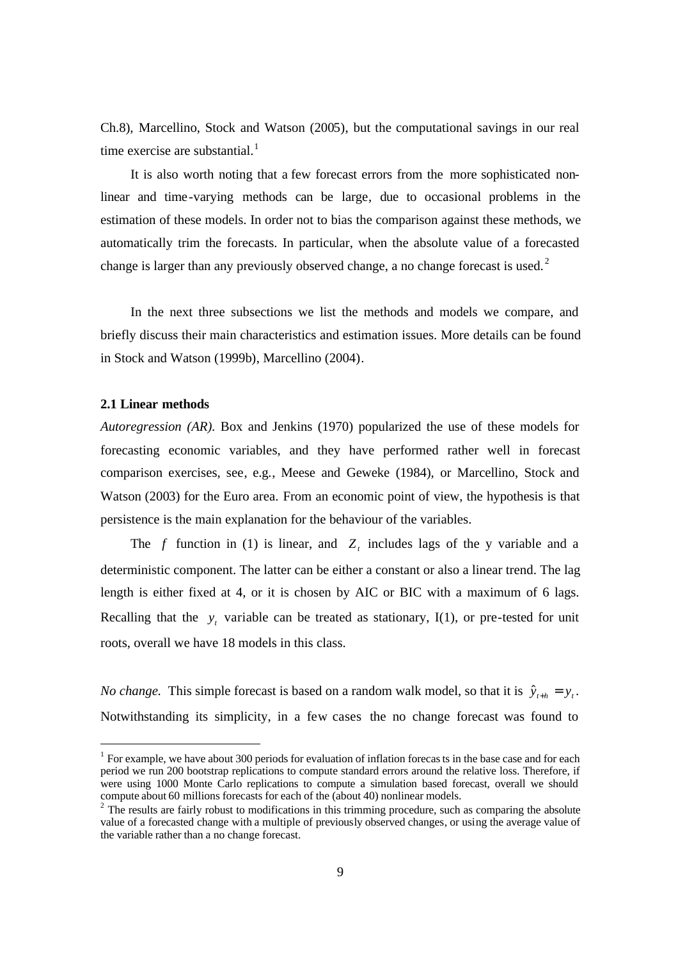Ch.8), Marcellino, Stock and Watson (2005), but the computational savings in our real time exercise are substantial.<sup>1</sup>

It is also worth noting that a few forecast errors from the more sophisticated nonlinear and time-varying methods can be large, due to occasional problems in the estimation of these models. In order not to bias the comparison against these methods, we automatically trim the forecasts. In particular, when the absolute value of a forecasted change is larger than any previously observed change, a no change forecast is used. <sup>2</sup>

In the next three subsections we list the methods and models we compare, and briefly discuss their main characteristics and estimation issues. More details can be found in Stock and Watson (1999b), Marcellino (2004).

#### **2.1 Linear methods**

*Autoregression (AR).* Box and Jenkins (1970) popularized the use of these models for forecasting economic variables, and they have performed rather well in forecast comparison exercises, see, e.g., Meese and Geweke (1984), or Marcellino, Stock and Watson (2003) for the Euro area. From an economic point of view, the hypothesis is that persistence is the main explanation for the behaviour of the variables.

The *f* function in (1) is linear, and  $Z_t$  includes lags of the y variable and a deterministic component. The latter can be either a constant or also a linear trend. The lag length is either fixed at 4, or it is chosen by AIC or BIC with a maximum of 6 lags. Recalling that the  $y_t$  variable can be treated as stationary, I(1), or pre-tested for unit roots, overall we have 18 models in this class.

*No change.* This simple forecast is based on a random walk model, so that it is  $\hat{y}_{t+h} = y_t$ . Notwithstanding its simplicity, in a few cases the no change forecast was found to

 $1$  For example, we have about 300 periods for evaluation of inflation forecas ts in the base case and for each period we run 200 bootstrap replications to compute standard errors around the relative loss. Therefore, if were using 1000 Monte Carlo replications to compute a simulation based forecast, overall we should compute about 60 millions forecasts for each of the (about 40) nonlinear models.

 $2^{2}$  The results are fairly robust to modifications in this trimming procedure, such as comparing the absolute value of a forecasted change with a multiple of previously observed changes, or using the average value of the variable rather than a no change forecast.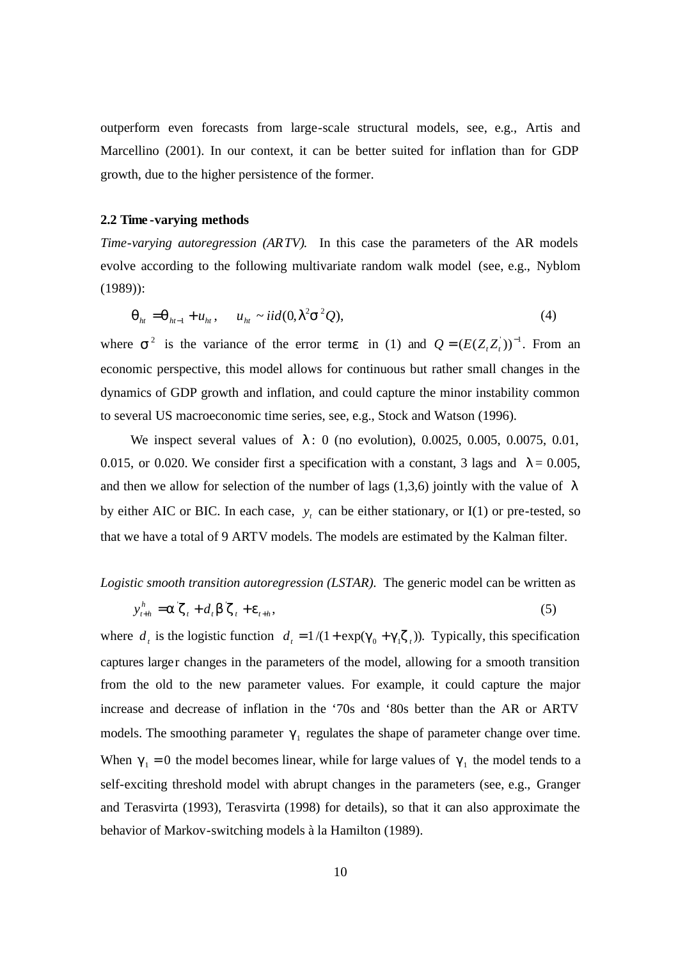outperform even forecasts from large-scale structural models, see, e.g., Artis and Marcellino (2001). In our context, it can be better suited for inflation than for GDP growth, due to the higher persistence of the former.

#### **2.2 Time -varying methods**

*Time-varying autoregression (ARTV).* In this case the parameters of the AR models evolve according to the following multivariate random walk model (see, e.g., Nyblom (1989)):

$$
\boldsymbol{q}_{ht} = \boldsymbol{q}_{ht-1} + u_{ht}, \qquad u_{ht} \sim \text{iid}(0, \mathbf{I}^2 \mathbf{S}^2 \mathcal{Q}), \tag{4}
$$

where  $s^2$  is the variance of the error term*e* in (1) and  $Q = (E(Z, Z_t))^{-1}$ . From an economic perspective, this model allows for continuous but rather small changes in the dynamics of GDP growth and inflation, and could capture the minor instability common to several US macroeconomic time series, see, e.g., Stock and Watson (1996).

We inspect several values of *l* : 0 (no evolution), 0.0025, 0.005, 0.0075, 0.01, 0.015, or 0.020. We consider first a specification with a constant, 3 lags and  $I = 0.005$ , and then we allow for selection of the number of lags (1,3,6) jointly with the value of *l* by either AIC or BIC. In each case,  $y_t$  can be either stationary, or I(1) or pre-tested, so that we have a total of 9 ARTV models. The models are estimated by the Kalman filter.

## *Logistic smooth transition autoregression (LSTAR).* The generic model can be written as

$$
y_{t+h}^h = \mathbf{a} \mathbf{z}_t + d_t \mathbf{b} \mathbf{z}_t + \mathbf{e}_{t+h},
$$
\n<sup>(5)</sup>

where  $d_t$  is the logistic function  $d_t = 1/(1 + \exp(g_0 + g_1 z_t))$ . Typically, this specification captures larger changes in the parameters of the model, allowing for a smooth transition from the old to the new parameter values. For example, it could capture the major increase and decrease of inflation in the '70s and '80s better than the AR or ARTV models. The smoothing parameter  $g_1$  regulates the shape of parameter change over time. When  $g_1 = 0$  the model becomes linear, while for large values of  $g_1$  the model tends to a self-exciting threshold model with abrupt changes in the parameters (see, e.g., Granger and Terasvirta (1993), Terasvirta (1998) for details), so that it can also approximate the behavior of Markov-switching models à la Hamilton (1989).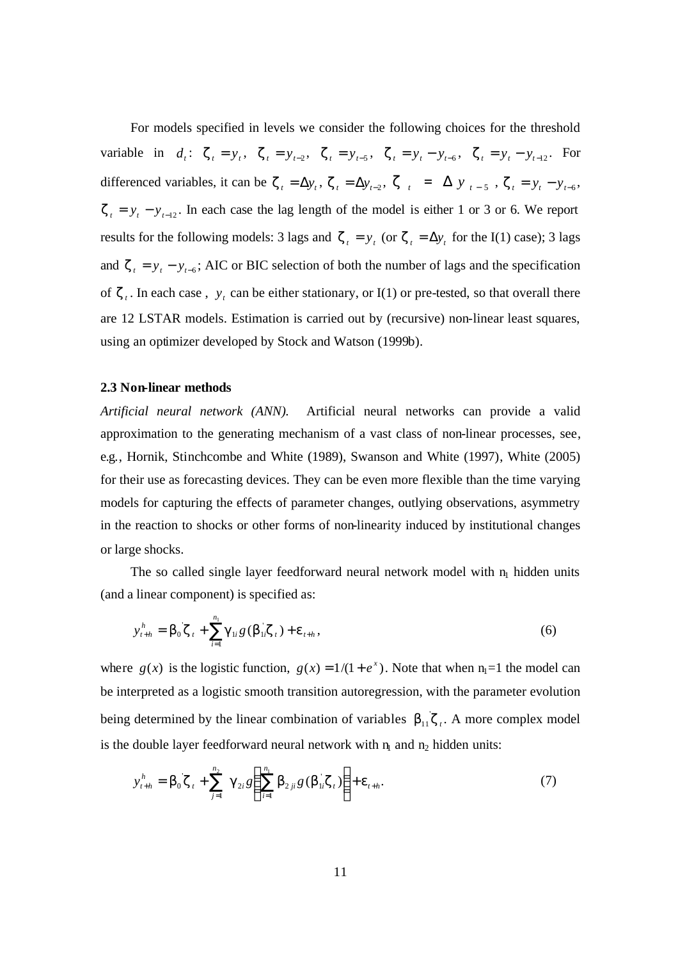For models specified in levels we consider the following choices for the threshold variable in  $d_t$ :  $\mathbf{z}_t = y_t$ ,  $\mathbf{z}_t = y_{t-2}$ ,  $\mathbf{z}_t = y_{t-5}$ ,  $\mathbf{z}_t = y_t - y_{t-6}$ ,  $\mathbf{z}_t = y_t - y_{t-12}$ . For differenced variables, it can be  $\mathbf{z}_t = \Delta y_t$ ,  $\mathbf{z}_t = \Delta y_{t-2}$ ,  $\mathbf{z}_t = \Delta y_{t-5}$ ,  $\mathbf{z}_t = y_t - y_{t-6}$ ,  $z_t = y_t - y_{t-12}$ . In each case the lag length of the model is either 1 or 3 or 6. We report results for the following models: 3 lags and  $\mathbf{z}_t = y_t$  (or  $\mathbf{z}_t = \Delta y_t$  for the I(1) case); 3 lags and  $\mathbf{z}_t = y_t - y_{t-6}$ ; AIC or BIC selection of both the number of lags and the specification of  $z_t$ . In each case,  $y_t$  can be either stationary, or I(1) or pre-tested, so that overall there are 12 LSTAR models. Estimation is carried out by (recursive) non-linear least squares, using an optimizer developed by Stock and Watson (1999b).

#### **2.3 Non-linear methods**

*Artificial neural network (ANN).* Artificial neural networks can provide a valid approximation to the generating mechanism of a vast class of non-linear processes, see, e.g., Hornik, Stinchcombe and White (1989), Swanson and White (1997), White (2005) for their use as forecasting devices. They can be even more flexible than the time varying models for capturing the effects of parameter changes, outlying observations, asymmetry in the reaction to shocks or other forms of non-linearity induced by institutional changes or large shocks.

The so called single layer feedforward neural network model with  $n_1$  hidden units (and a linear component) is specified as:

$$
y_{t+h}^h = \boldsymbol{b}_0 \boldsymbol{z}_t + \sum_{i=1}^{n_1} \boldsymbol{g}_{1i} g(\boldsymbol{b}_{1i} \boldsymbol{z}_t) + \boldsymbol{e}_{t+h},
$$
\n(6)

where  $g(x)$  is the logistic function,  $g(x) = 1/(1 + e^x)$ . Note that when  $n_1 = 1$  the model can be interpreted as a logistic smooth transition autoregression, with the parameter evolution being determined by the linear combination of variables  $b_{11}z_i$ . A more complex model is the double layer feedforward neural network with  $n_1$  and  $n_2$  hidden units:

$$
y_{t+h}^h = \boldsymbol{b}_0 \boldsymbol{z}_t + \sum_{j=1}^{n_2} \boldsymbol{g}_{2i} g\left(\sum_{i=1}^{n_1} \boldsymbol{b}_{2ji} g(\boldsymbol{b}_{1i} \boldsymbol{z}_t)\right) + \boldsymbol{e}_{t+h}.
$$
 (7)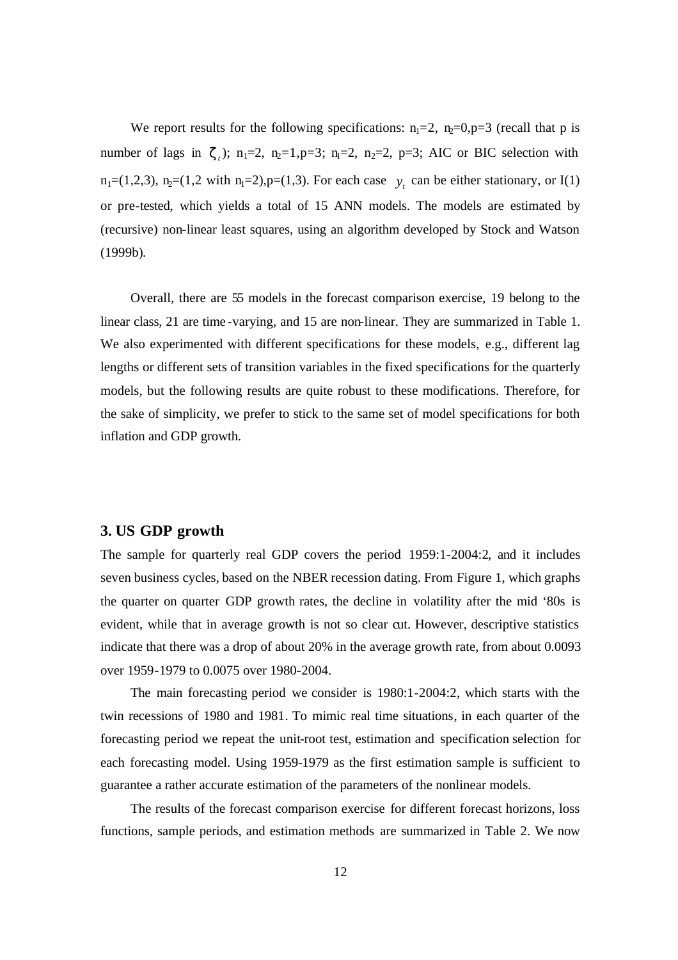We report results for the following specifications:  $n_1=2$ ,  $n_2=0, p=3$  (recall that p is number of lags in  $z_1$ ); n<sub>1</sub>=2, n<sub>2</sub>=1,p=3; n<sub>1</sub>=2, n<sub>2</sub>=2, p=3; AIC or BIC selection with  $n_1=(1,2,3)$ ,  $n_2=(1,2 \text{ with } n_1=2)$ ,  $p=(1,3)$ . For each case  $y_t$  can be either stationary, or I(1) or pre-tested, which yields a total of 15 ANN models. The models are estimated by (recursive) non-linear least squares, using an algorithm developed by Stock and Watson (1999b).

Overall, there are 55 models in the forecast comparison exercise, 19 belong to the linear class, 21 are time -varying, and 15 are non-linear. They are summarized in Table 1. We also experimented with different specifications for these models, e.g., different lag lengths or different sets of transition variables in the fixed specifications for the quarterly models, but the following results are quite robust to these modifications. Therefore, for the sake of simplicity, we prefer to stick to the same set of model specifications for both inflation and GDP growth.

### **3. US GDP growth**

The sample for quarterly real GDP covers the period 1959:1-2004:2, and it includes seven business cycles, based on the NBER recession dating. From Figure 1, which graphs the quarter on quarter GDP growth rates, the decline in volatility after the mid '80s is evident, while that in average growth is not so clear cut. However, descriptive statistics indicate that there was a drop of about 20% in the average growth rate, from about 0.0093 over 1959-1979 to 0.0075 over 1980-2004.

The main forecasting period we consider is 1980:1-2004:2, which starts with the twin recessions of 1980 and 1981. To mimic real time situations, in each quarter of the forecasting period we repeat the unit-root test, estimation and specification selection for each forecasting model. Using 1959-1979 as the first estimation sample is sufficient to guarantee a rather accurate estimation of the parameters of the nonlinear models.

The results of the forecast comparison exercise for different forecast horizons, loss functions, sample periods, and estimation methods are summarized in Table 2. We now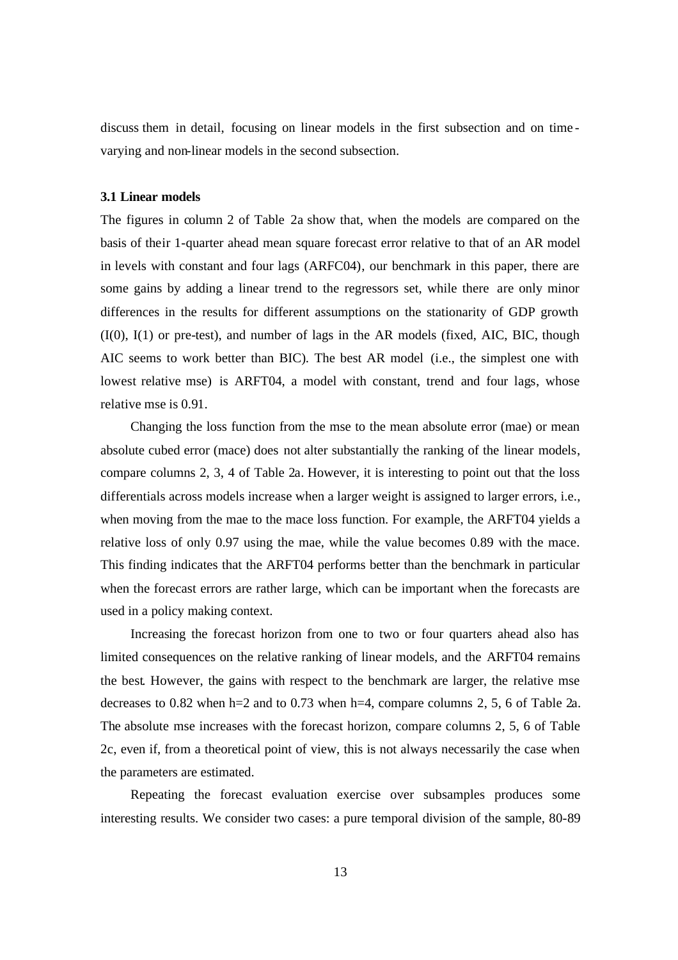discuss them in detail, focusing on linear models in the first subsection and on time varying and non-linear models in the second subsection.

#### **3.1 Linear models**

The figures in column 2 of Table 2a show that, when the models are compared on the basis of their 1-quarter ahead mean square forecast error relative to that of an AR model in levels with constant and four lags (ARFC04), our benchmark in this paper, there are some gains by adding a linear trend to the regressors set, while there are only minor differences in the results for different assumptions on the stationarity of GDP growth (I(0), I(1) or pre-test), and number of lags in the AR models (fixed, AIC, BIC, though AIC seems to work better than BIC). The best AR model (i.e., the simplest one with lowest relative mse) is ARFT04, a model with constant, trend and four lags, whose relative mse is 0.91.

Changing the loss function from the mse to the mean absolute error (mae) or mean absolute cubed error (mace) does not alter substantially the ranking of the linear models, compare columns 2, 3, 4 of Table 2a. However, it is interesting to point out that the loss differentials across models increase when a larger weight is assigned to larger errors, i.e., when moving from the mae to the mace loss function. For example, the ARFT04 yields a relative loss of only 0.97 using the mae, while the value becomes 0.89 with the mace. This finding indicates that the ARFT04 performs better than the benchmark in particular when the forecast errors are rather large, which can be important when the forecasts are used in a policy making context.

Increasing the forecast horizon from one to two or four quarters ahead also has limited consequences on the relative ranking of linear models, and the ARFT04 remains the best. However, the gains with respect to the benchmark are larger, the relative mse decreases to 0.82 when h=2 and to 0.73 when h=4, compare columns 2, 5, 6 of Table 2a. The absolute mse increases with the forecast horizon, compare columns 2, 5, 6 of Table 2c, even if, from a theoretical point of view, this is not always necessarily the case when the parameters are estimated.

Repeating the forecast evaluation exercise over subsamples produces some interesting results. We consider two cases: a pure temporal division of the sample, 80-89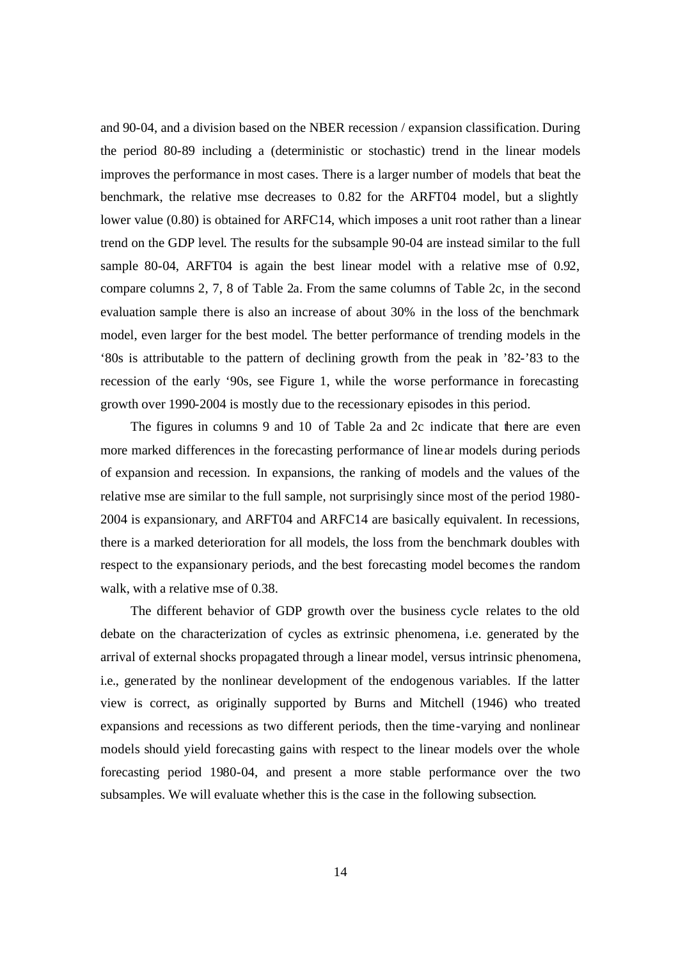and 90-04, and a division based on the NBER recession / expansion classification. During the period 80-89 including a (deterministic or stochastic) trend in the linear models improves the performance in most cases. There is a larger number of models that beat the benchmark, the relative mse decreases to 0.82 for the ARFT04 model, but a slightly lower value (0.80) is obtained for ARFC14, which imposes a unit root rather than a linear trend on the GDP level. The results for the subsample 90-04 are instead similar to the full sample 80-04, ARFT04 is again the best linear model with a relative mse of 0.92, compare columns 2, 7, 8 of Table 2a. From the same columns of Table 2c, in the second evaluation sample there is also an increase of about 30% in the loss of the benchmark model, even larger for the best model. The better performance of trending models in the '80s is attributable to the pattern of declining growth from the peak in '82-'83 to the recession of the early '90s, see Figure 1, while the worse performance in forecasting growth over 1990-2004 is mostly due to the recessionary episodes in this period.

The figures in columns 9 and 10 of Table 2a and 2c indicate that there are even more marked differences in the forecasting performance of linear models during periods of expansion and recession. In expansions, the ranking of models and the values of the relative mse are similar to the full sample, not surprisingly since most of the period 1980- 2004 is expansionary, and ARFT04 and ARFC14 are basically equivalent. In recessions, there is a marked deterioration for all models, the loss from the benchmark doubles with respect to the expansionary periods, and the best forecasting model becomes the random walk, with a relative mse of 0.38.

The different behavior of GDP growth over the business cycle relates to the old debate on the characterization of cycles as extrinsic phenomena, i.e. generated by the arrival of external shocks propagated through a linear model, versus intrinsic phenomena, i.e., generated by the nonlinear development of the endogenous variables. If the latter view is correct, as originally supported by Burns and Mitchell (1946) who treated expansions and recessions as two different periods, then the time-varying and nonlinear models should yield forecasting gains with respect to the linear models over the whole forecasting period 1980-04, and present a more stable performance over the two subsamples. We will evaluate whether this is the case in the following subsection.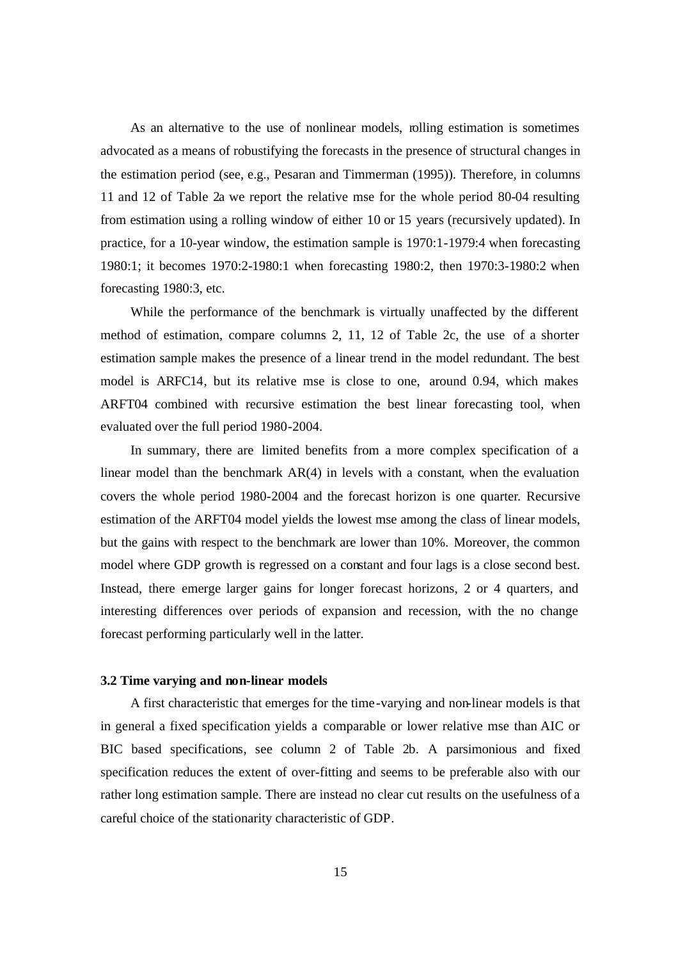As an alternative to the use of nonlinear models, rolling estimation is sometimes advocated as a means of robustifying the forecasts in the presence of structural changes in the estimation period (see, e.g., Pesaran and Timmerman (1995)). Therefore, in columns 11 and 12 of Table 2a we report the relative mse for the whole period 80-04 resulting from estimation using a rolling window of either 10 or 15 years (recursively updated). In practice, for a 10-year window, the estimation sample is 1970:1-1979:4 when forecasting 1980:1; it becomes 1970:2-1980:1 when forecasting 1980:2, then 1970:3-1980:2 when forecasting 1980:3, etc.

While the performance of the benchmark is virtually unaffected by the different method of estimation, compare columns 2, 11, 12 of Table 2c, the use of a shorter estimation sample makes the presence of a linear trend in the model redundant. The best model is ARFC14, but its relative mse is close to one, around 0.94, which makes ARFT04 combined with recursive estimation the best linear forecasting tool, when evaluated over the full period 1980-2004.

In summary, there are limited benefits from a more complex specification of a linear model than the benchmark  $AR(4)$  in levels with a constant, when the evaluation covers the whole period 1980-2004 and the forecast horizon is one quarter. Recursive estimation of the ARFT04 model yields the lowest mse among the class of linear models, but the gains with respect to the benchmark are lower than 10%. Moreover, the common model where GDP growth is regressed on a constant and four lags is a close second best. Instead, there emerge larger gains for longer forecast horizons, 2 or 4 quarters, and interesting differences over periods of expansion and recession, with the no change forecast performing particularly well in the latter.

#### **3.2 Time varying and non-linear models**

A first characteristic that emerges for the time-varying and non-linear models is that in general a fixed specification yields a comparable or lower relative mse than AIC or BIC based specifications, see column 2 of Table 2b. A parsimonious and fixed specification reduces the extent of over-fitting and seems to be preferable also with our rather long estimation sample. There are instead no clear cut results on the usefulness of a careful choice of the stationarity characteristic of GDP.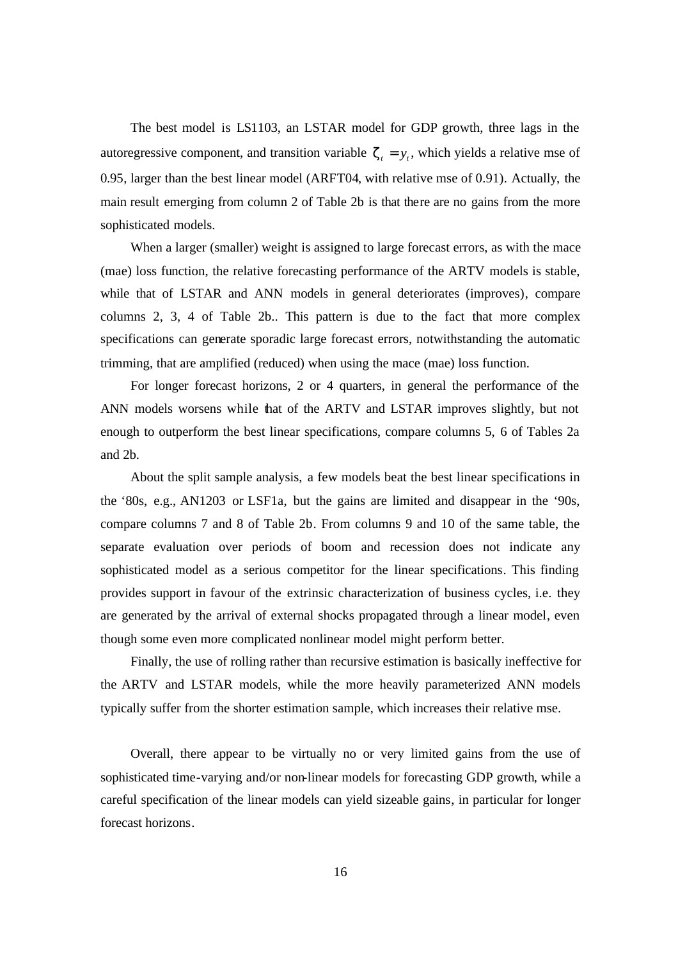The best model is LS1103, an LSTAR model for GDP growth, three lags in the autoregressive component, and transition variable  $z_t = y_t$ , which yields a relative mse of 0.95, larger than the best linear model (ARFT04, with relative mse of 0.91). Actually, the main result emerging from column 2 of Table 2b is that there are no gains from the more sophisticated models.

When a larger (smaller) weight is assigned to large forecast errors, as with the mace (mae) loss function, the relative forecasting performance of the ARTV models is stable, while that of LSTAR and ANN models in general deteriorates (improves), compare columns 2, 3, 4 of Table 2b.. This pattern is due to the fact that more complex specifications can generate sporadic large forecast errors, notwithstanding the automatic trimming, that are amplified (reduced) when using the mace (mae) loss function.

For longer forecast horizons, 2 or 4 quarters, in general the performance of the ANN models worsens while that of the ARTV and LSTAR improves slightly, but not enough to outperform the best linear specifications, compare columns 5, 6 of Tables 2a and 2b.

About the split sample analysis, a few models beat the best linear specifications in the '80s, e.g., AN1203 or LSF1a, but the gains are limited and disappear in the '90s, compare columns 7 and 8 of Table 2b. From columns 9 and 10 of the same table, the separate evaluation over periods of boom and recession does not indicate any sophisticated model as a serious competitor for the linear specifications. This finding provides support in favour of the extrinsic characterization of business cycles, i.e. they are generated by the arrival of external shocks propagated through a linear model, even though some even more complicated nonlinear model might perform better.

Finally, the use of rolling rather than recursive estimation is basically ineffective for the ARTV and LSTAR models, while the more heavily parameterized ANN models typically suffer from the shorter estimation sample, which increases their relative mse.

Overall, there appear to be virtually no or very limited gains from the use of sophisticated time-varying and/or non-linear models for forecasting GDP growth, while a careful specification of the linear models can yield sizeable gains, in particular for longer forecast horizons.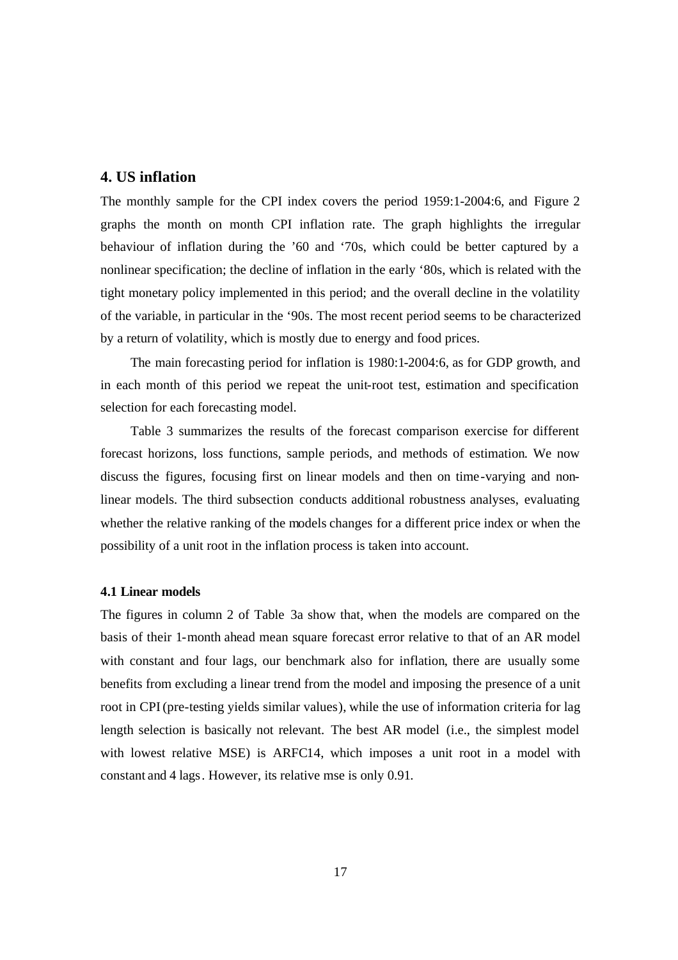### **4. US inflation**

The monthly sample for the CPI index covers the period 1959:1-2004:6, and Figure 2 graphs the month on month CPI inflation rate. The graph highlights the irregular behaviour of inflation during the '60 and '70s, which could be better captured by a nonlinear specification; the decline of inflation in the early '80s, which is related with the tight monetary policy implemented in this period; and the overall decline in the volatility of the variable, in particular in the '90s. The most recent period seems to be characterized by a return of volatility, which is mostly due to energy and food prices.

The main forecasting period for inflation is 1980:1-2004:6, as for GDP growth, and in each month of this period we repeat the unit-root test, estimation and specification selection for each forecasting model.

Table 3 summarizes the results of the forecast comparison exercise for different forecast horizons, loss functions, sample periods, and methods of estimation. We now discuss the figures, focusing first on linear models and then on time-varying and nonlinear models. The third subsection conducts additional robustness analyses, evaluating whether the relative ranking of the models changes for a different price index or when the possibility of a unit root in the inflation process is taken into account.

#### **4.1 Linear models**

The figures in column 2 of Table 3a show that, when the models are compared on the basis of their 1-month ahead mean square forecast error relative to that of an AR model with constant and four lags, our benchmark also for inflation, there are usually some benefits from excluding a linear trend from the model and imposing the presence of a unit root in CPI (pre-testing yields similar values), while the use of information criteria for lag length selection is basically not relevant. The best AR model (i.e., the simplest model with lowest relative MSE) is ARFC14, which imposes a unit root in a model with constant and 4 lags. However, its relative mse is only 0.91.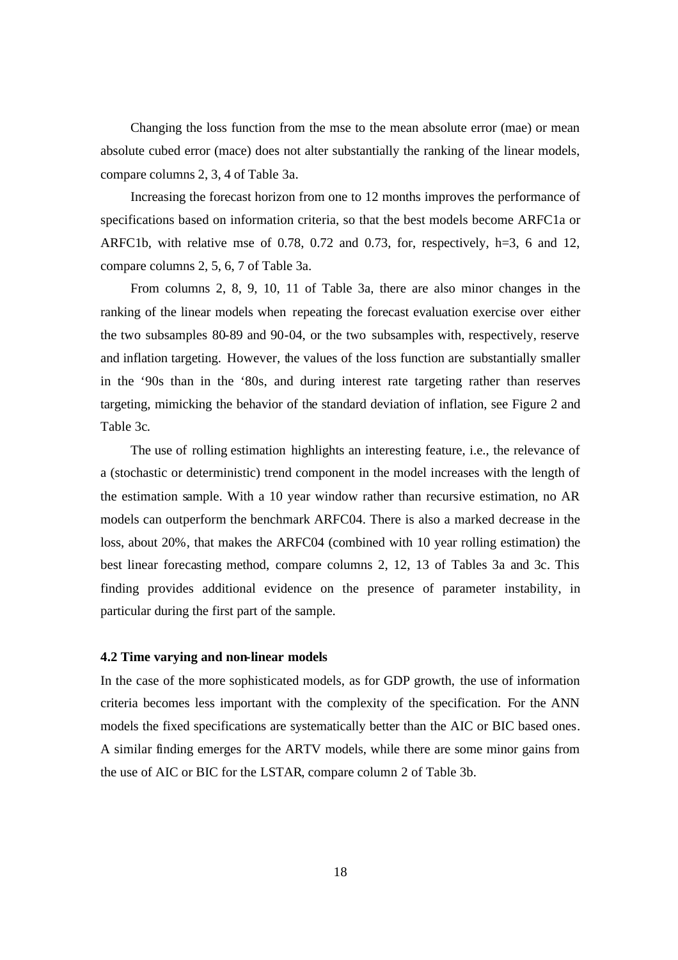Changing the loss function from the mse to the mean absolute error (mae) or mean absolute cubed error (mace) does not alter substantially the ranking of the linear models, compare columns 2, 3, 4 of Table 3a.

Increasing the forecast horizon from one to 12 months improves the performance of specifications based on information criteria, so that the best models become ARFC1a or ARFC1b, with relative mse of 0.78, 0.72 and 0.73, for, respectively, h=3, 6 and 12, compare columns 2, 5, 6, 7 of Table 3a.

From columns 2, 8, 9, 10, 11 of Table 3a, there are also minor changes in the ranking of the linear models when repeating the forecast evaluation exercise over either the two subsamples 80-89 and 90-04, or the two subsamples with, respectively, reserve and inflation targeting. However, the values of the loss function are substantially smaller in the '90s than in the '80s, and during interest rate targeting rather than reserves targeting, mimicking the behavior of the standard deviation of inflation, see Figure 2 and Table 3c.

The use of rolling estimation highlights an interesting feature, i.e., the relevance of a (stochastic or deterministic) trend component in the model increases with the length of the estimation sample. With a 10 year window rather than recursive estimation, no AR models can outperform the benchmark ARFC04. There is also a marked decrease in the loss, about 20%, that makes the ARFC04 (combined with 10 year rolling estimation) the best linear forecasting method, compare columns 2, 12, 13 of Tables 3a and 3c. This finding provides additional evidence on the presence of parameter instability, in particular during the first part of the sample.

#### **4.2 Time varying and non-linear models**

In the case of the more sophisticated models, as for GDP growth, the use of information criteria becomes less important with the complexity of the specification. For the ANN models the fixed specifications are systematically better than the AIC or BIC based ones. A similar finding emerges for the ARTV models, while there are some minor gains from the use of AIC or BIC for the LSTAR, compare column 2 of Table 3b.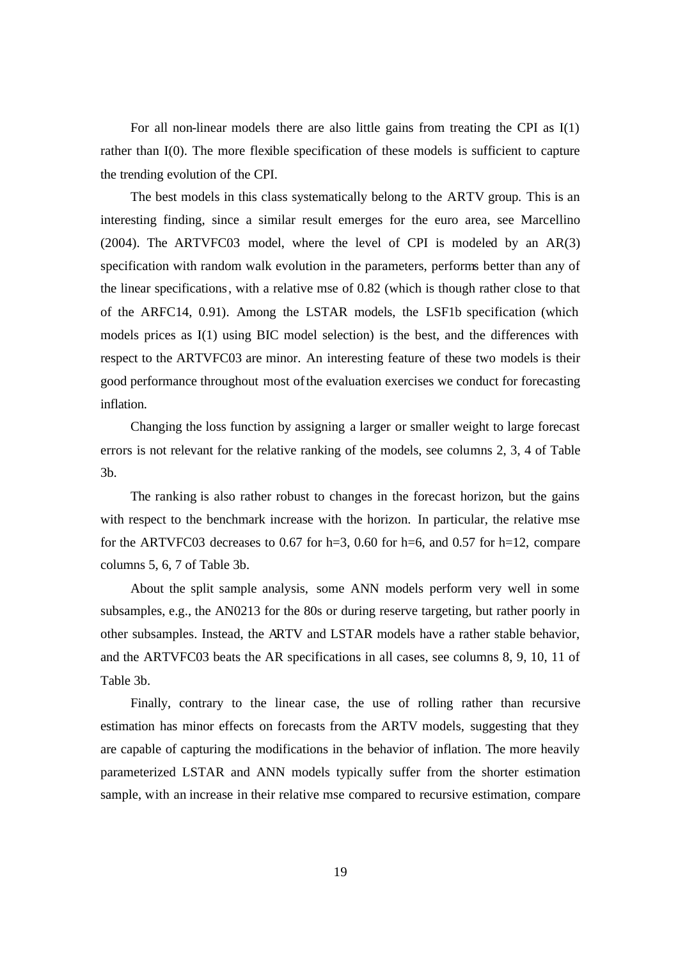For all non-linear models there are also little gains from treating the CPI as I(1) rather than I(0). The more flexible specification of these models is sufficient to capture the trending evolution of the CPI.

The best models in this class systematically belong to the ARTV group. This is an interesting finding, since a similar result emerges for the euro area, see Marcellino (2004). The ARTVFC03 model, where the level of CPI is modeled by an AR(3) specification with random walk evolution in the parameters, performs better than any of the linear specifications, with a relative mse of 0.82 (which is though rather close to that of the ARFC14, 0.91). Among the LSTAR models, the LSF1b specification (which models prices as I(1) using BIC model selection) is the best, and the differences with respect to the ARTVFC03 are minor. An interesting feature of these two models is their good performance throughout most of the evaluation exercises we conduct for forecasting inflation.

Changing the loss function by assigning a larger or smaller weight to large forecast errors is not relevant for the relative ranking of the models, see columns 2, 3, 4 of Table 3b.

The ranking is also rather robust to changes in the forecast horizon, but the gains with respect to the benchmark increase with the horizon. In particular, the relative mse for the ARTVFC03 decreases to 0.67 for h=3, 0.60 for h=6, and 0.57 for h=12, compare columns 5, 6, 7 of Table 3b.

About the split sample analysis, some ANN models perform very well in some subsamples, e.g., the AN0213 for the 80s or during reserve targeting, but rather poorly in other subsamples. Instead, the ARTV and LSTAR models have a rather stable behavior, and the ARTVFC03 beats the AR specifications in all cases, see columns 8, 9, 10, 11 of Table 3b.

Finally, contrary to the linear case, the use of rolling rather than recursive estimation has minor effects on forecasts from the ARTV models, suggesting that they are capable of capturing the modifications in the behavior of inflation. The more heavily parameterized LSTAR and ANN models typically suffer from the shorter estimation sample, with an increase in their relative mse compared to recursive estimation, compare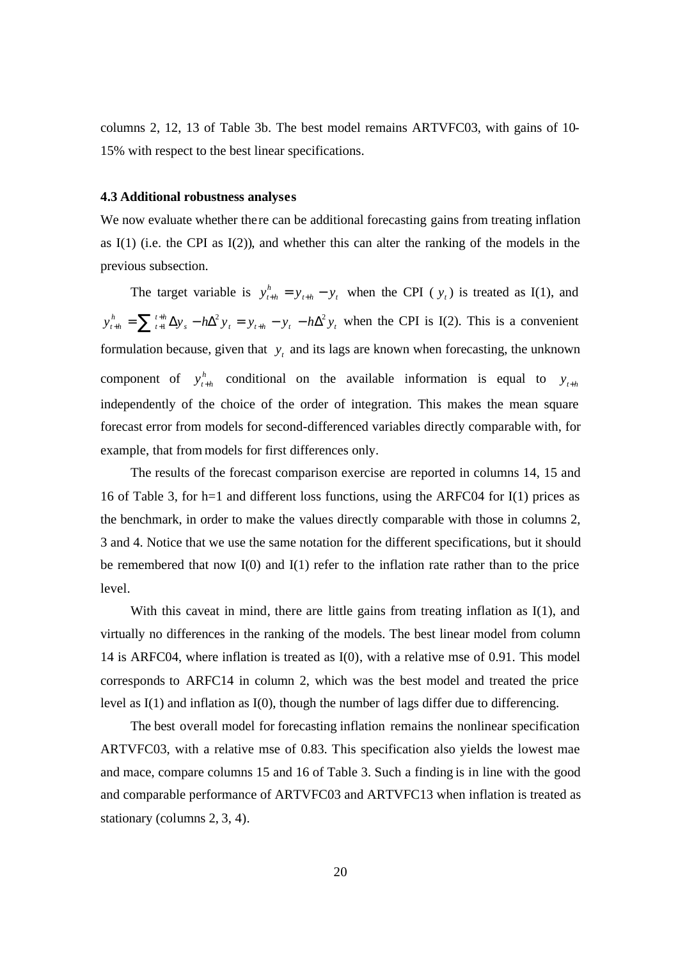columns 2, 12, 13 of Table 3b. The best model remains ARTVFC03, with gains of 10- 15% with respect to the best linear specifications.

#### **4.3 Additional robustness analyses**

We now evaluate whether there can be additional forecasting gains from treating inflation as  $I(1)$  (i.e. the CPI as  $I(2)$ ), and whether this can alter the ranking of the models in the previous subsection.

The target variable is  $y_{t+h}^h = y_{t+h} - y_t$  $y_{t+h}^h = y_{t+h} - y_t$  when the CPI (  $y_t$ ) is treated as I(1), and *s*  $\frac{1}{2}$   $\frac{1}{2}$   $\frac{1}{2}$   $\frac{1}{t}$   $\frac{1}{t}$   $\frac{1}{t}$   $\frac{1}{t}$   $\frac{1}{t}$   $\frac{1}{t}$   $\frac{1}{t}$ *t h t h*  $y_{t+h}^{h} = \sum_{t+h}^{t+h} \Delta y_s - h \Delta^2 y_t = y_{t+h} - y_t - h \Delta^2 y_t$  when the CPI is I(2). This is a convenient formulation because, given that  $y_t$  and its lags are known when forecasting, the unknown component of  $y_{t+h}^h$  conditional on the available information is equal to  $y_{t+h}$ independently of the choice of the order of integration. This makes the mean square forecast error from models for second-differenced variables directly comparable with, for example, that from models for first differences only.

The results of the forecast comparison exercise are reported in columns 14, 15 and 16 of Table 3, for h=1 and different loss functions, using the ARFC04 for I(1) prices as the benchmark, in order to make the values directly comparable with those in columns 2, 3 and 4. Notice that we use the same notation for the different specifications, but it should be remembered that now  $I(0)$  and  $I(1)$  refer to the inflation rate rather than to the price level.

With this caveat in mind, there are little gains from treating inflation as I(1), and virtually no differences in the ranking of the models. The best linear model from column 14 is ARFC04, where inflation is treated as I(0), with a relative mse of 0.91. This model corresponds to ARFC14 in column 2, which was the best model and treated the price level as I(1) and inflation as I(0), though the number of lags differ due to differencing.

The best overall model for forecasting inflation remains the nonlinear specification ARTVFC03, with a relative mse of 0.83. This specification also yields the lowest mae and mace, compare columns 15 and 16 of Table 3. Such a finding is in line with the good and comparable performance of ARTVFC03 and ARTVFC13 when inflation is treated as stationary (columns 2, 3, 4).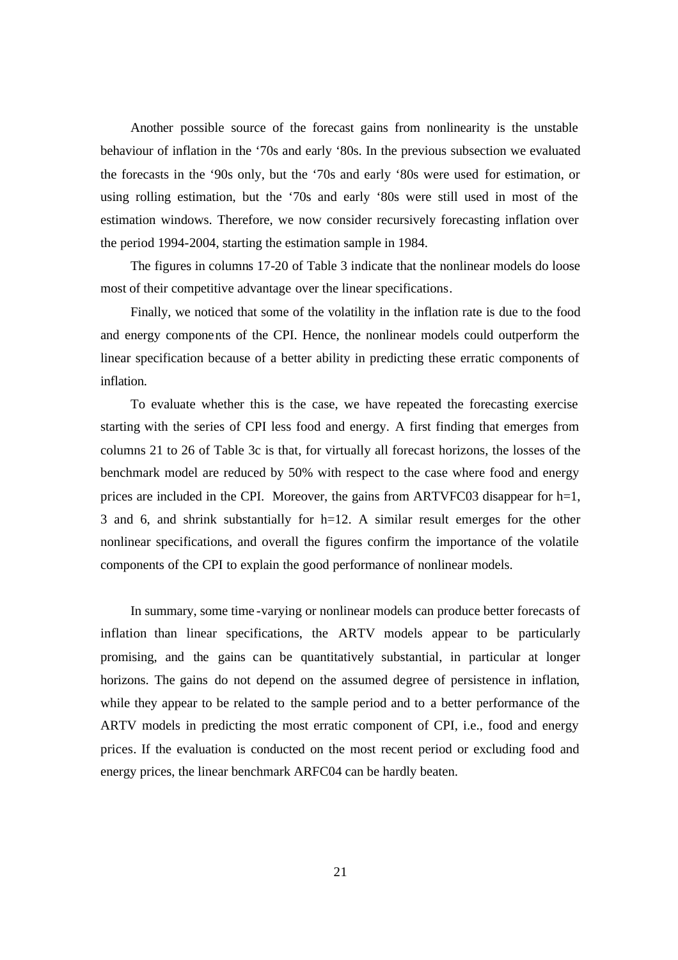Another possible source of the forecast gains from nonlinearity is the unstable behaviour of inflation in the '70s and early '80s. In the previous subsection we evaluated the forecasts in the '90s only, but the '70s and early '80s were used for estimation, or using rolling estimation, but the '70s and early '80s were still used in most of the estimation windows. Therefore, we now consider recursively forecasting inflation over the period 1994-2004, starting the estimation sample in 1984.

The figures in columns 17-20 of Table 3 indicate that the nonlinear models do loose most of their competitive advantage over the linear specifications.

Finally, we noticed that some of the volatility in the inflation rate is due to the food and energy components of the CPI. Hence, the nonlinear models could outperform the linear specification because of a better ability in predicting these erratic components of inflation.

To evaluate whether this is the case, we have repeated the forecasting exercise starting with the series of CPI less food and energy. A first finding that emerges from columns 21 to 26 of Table 3c is that, for virtually all forecast horizons, the losses of the benchmark model are reduced by 50% with respect to the case where food and energy prices are included in the CPI. Moreover, the gains from ARTVFC03 disappear for  $h=1$ , 3 and 6, and shrink substantially for h=12. A similar result emerges for the other nonlinear specifications, and overall the figures confirm the importance of the volatile components of the CPI to explain the good performance of nonlinear models.

In summary, some time -varying or nonlinear models can produce better forecasts of inflation than linear specifications, the ARTV models appear to be particularly promising, and the gains can be quantitatively substantial, in particular at longer horizons. The gains do not depend on the assumed degree of persistence in inflation, while they appear to be related to the sample period and to a better performance of the ARTV models in predicting the most erratic component of CPI, i.e., food and energy prices. If the evaluation is conducted on the most recent period or excluding food and energy prices, the linear benchmark ARFC04 can be hardly beaten.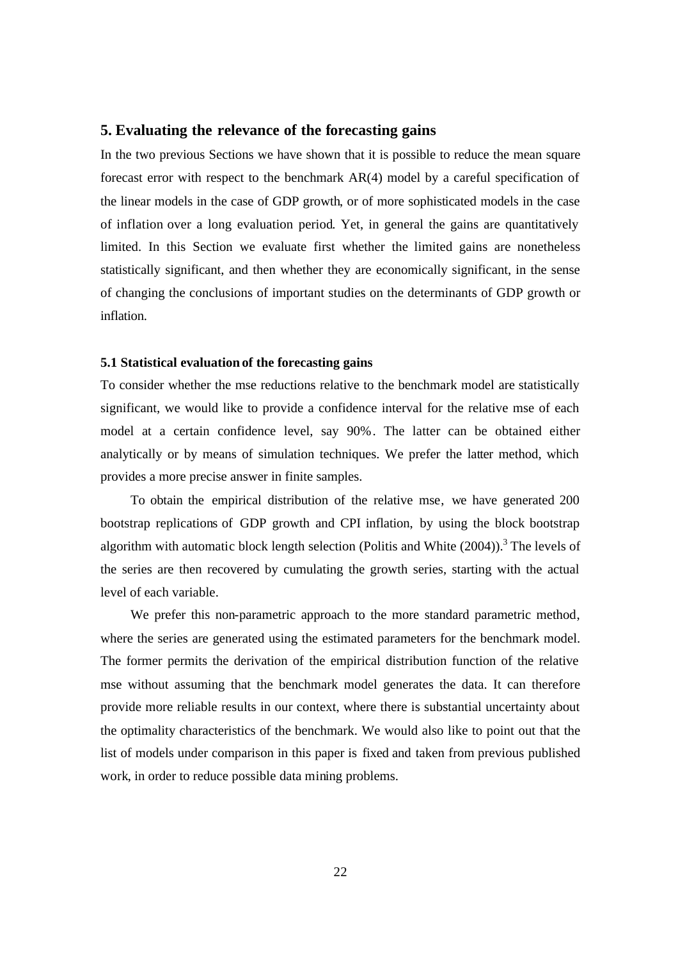### **5. Evaluating the relevance of the forecasting gains**

In the two previous Sections we have shown that it is possible to reduce the mean square forecast error with respect to the benchmark AR(4) model by a careful specification of the linear models in the case of GDP growth, or of more sophisticated models in the case of inflation over a long evaluation period. Yet, in general the gains are quantitatively limited. In this Section we evaluate first whether the limited gains are nonetheless statistically significant, and then whether they are economically significant, in the sense of changing the conclusions of important studies on the determinants of GDP growth or inflation.

#### **5.1 Statistical evaluation of the forecasting gains**

To consider whether the mse reductions relative to the benchmark model are statistically significant, we would like to provide a confidence interval for the relative mse of each model at a certain confidence level, say 90%. The latter can be obtained either analytically or by means of simulation techniques. We prefer the latter method, which provides a more precise answer in finite samples.

To obtain the empirical distribution of the relative mse, we have generated 200 bootstrap replications of GDP growth and CPI inflation, by using the block bootstrap algorithm with automatic block length selection (Politis and White  $(2004)$ ).<sup>3</sup> The levels of the series are then recovered by cumulating the growth series, starting with the actual level of each variable.

We prefer this non-parametric approach to the more standard parametric method, where the series are generated using the estimated parameters for the benchmark model. The former permits the derivation of the empirical distribution function of the relative mse without assuming that the benchmark model generates the data. It can therefore provide more reliable results in our context, where there is substantial uncertainty about the optimality characteristics of the benchmark. We would also like to point out that the list of models under comparison in this paper is fixed and taken from previous published work, in order to reduce possible data mining problems.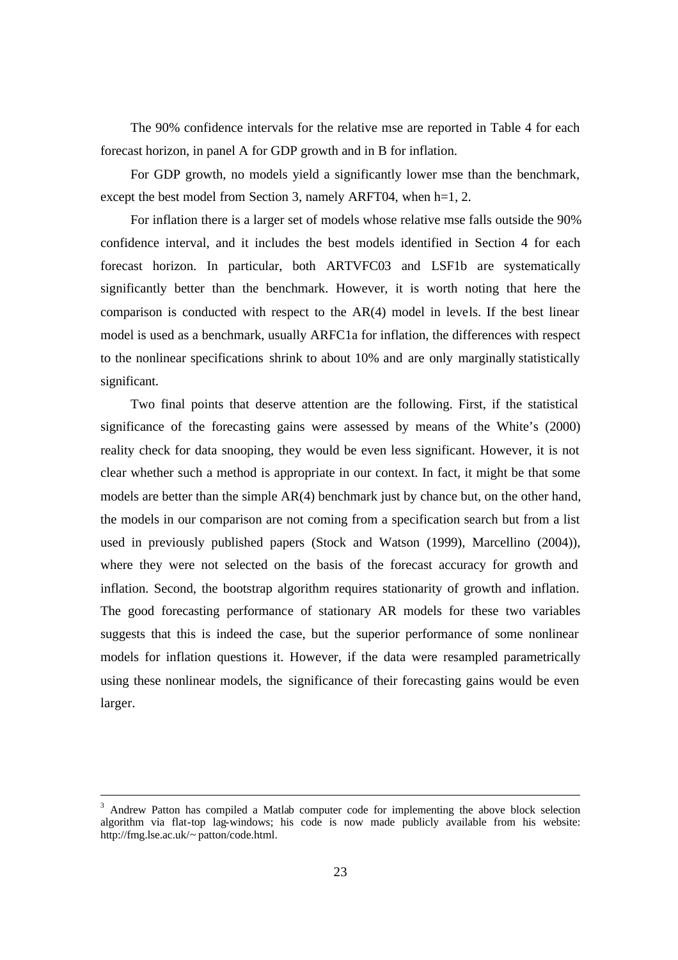The 90% confidence intervals for the relative mse are reported in Table 4 for each forecast horizon, in panel A for GDP growth and in B for inflation.

For GDP growth, no models yield a significantly lower mse than the benchmark, except the best model from Section 3, namely ARFT04, when h=1, 2.

For inflation there is a larger set of models whose relative mse falls outside the 90% confidence interval, and it includes the best models identified in Section 4 for each forecast horizon. In particular, both ARTVFC03 and LSF1b are systematically significantly better than the benchmark. However, it is worth noting that here the comparison is conducted with respect to the AR(4) model in levels. If the best linear model is used as a benchmark, usually ARFC1a for inflation, the differences with respect to the nonlinear specifications shrink to about 10% and are only marginally statistically significant.

Two final points that deserve attention are the following. First, if the statistical significance of the forecasting gains were assessed by means of the White's (2000) reality check for data snooping, they would be even less significant. However, it is not clear whether such a method is appropriate in our context. In fact, it might be that some models are better than the simple AR(4) benchmark just by chance but, on the other hand, the models in our comparison are not coming from a specification search but from a list used in previously published papers (Stock and Watson (1999), Marcellino (2004)), where they were not selected on the basis of the forecast accuracy for growth and inflation. Second, the bootstrap algorithm requires stationarity of growth and inflation. The good forecasting performance of stationary AR models for these two variables suggests that this is indeed the case, but the superior performance of some nonlinear models for inflation questions it. However, if the data were resampled parametrically using these nonlinear models, the significance of their forecasting gains would be even larger.

<sup>3</sup> Andrew Patton has compiled a Matlab computer code for implementing the above block selection algorithm via flat-top lag-windows; his code is now made publicly available from his website: http://fmg.lse.ac.uk/~ patton/code.html.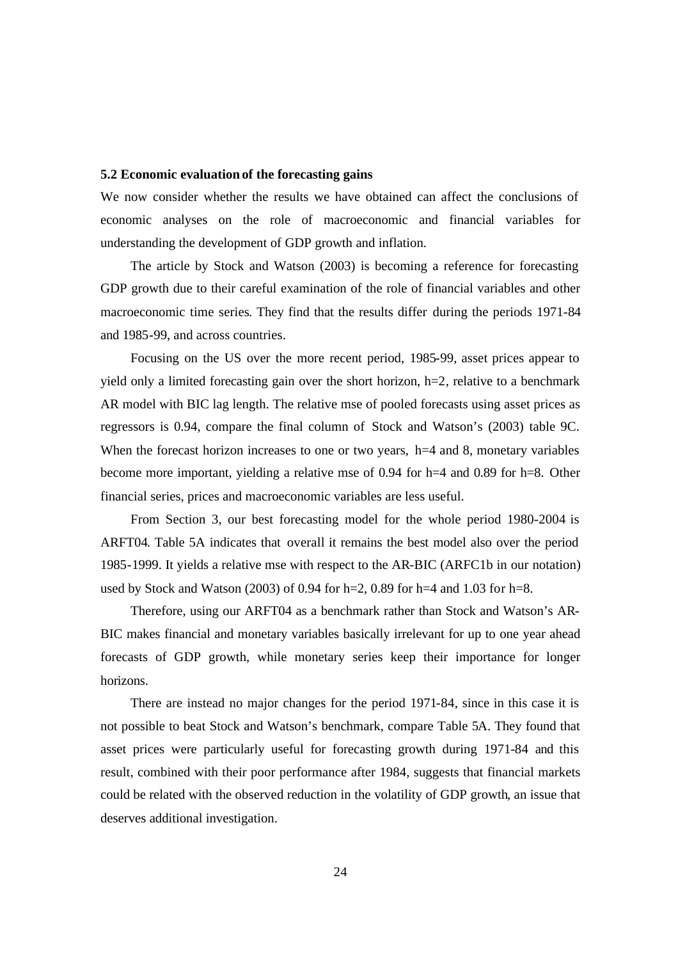#### **5.2 Economic evaluation of the forecasting gains**

We now consider whether the results we have obtained can affect the conclusions of economic analyses on the role of macroeconomic and financial variables for understanding the development of GDP growth and inflation.

The article by Stock and Watson (2003) is becoming a reference for forecasting GDP growth due to their careful examination of the role of financial variables and other macroeconomic time series. They find that the results differ during the periods 1971-84 and 1985-99, and across countries.

Focusing on the US over the more recent period, 1985-99, asset prices appear to yield only a limited forecasting gain over the short horizon, h=2, relative to a benchmark AR model with BIC lag length. The relative mse of pooled forecasts using asset prices as regressors is 0.94, compare the final column of Stock and Watson's (2003) table 9C. When the forecast horizon increases to one or two years, h=4 and 8, monetary variables become more important, yielding a relative mse of 0.94 for h=4 and 0.89 for h=8. Other financial series, prices and macroeconomic variables are less useful.

From Section 3, our best forecasting model for the whole period 1980-2004 is ARFT04. Table 5A indicates that overall it remains the best model also over the period 1985-1999. It yields a relative mse with respect to the AR-BIC (ARFC1b in our notation) used by Stock and Watson (2003) of 0.94 for  $h=2$ , 0.89 for  $h=4$  and 1.03 for  $h=8$ .

Therefore, using our ARFT04 as a benchmark rather than Stock and Watson's AR-BIC makes financial and monetary variables basically irrelevant for up to one year ahead forecasts of GDP growth, while monetary series keep their importance for longer horizons.

There are instead no major changes for the period 1971-84, since in this case it is not possible to beat Stock and Watson's benchmark, compare Table 5A. They found that asset prices were particularly useful for forecasting growth during 1971-84 and this result, combined with their poor performance after 1984, suggests that financial markets could be related with the observed reduction in the volatility of GDP growth, an issue that deserves additional investigation.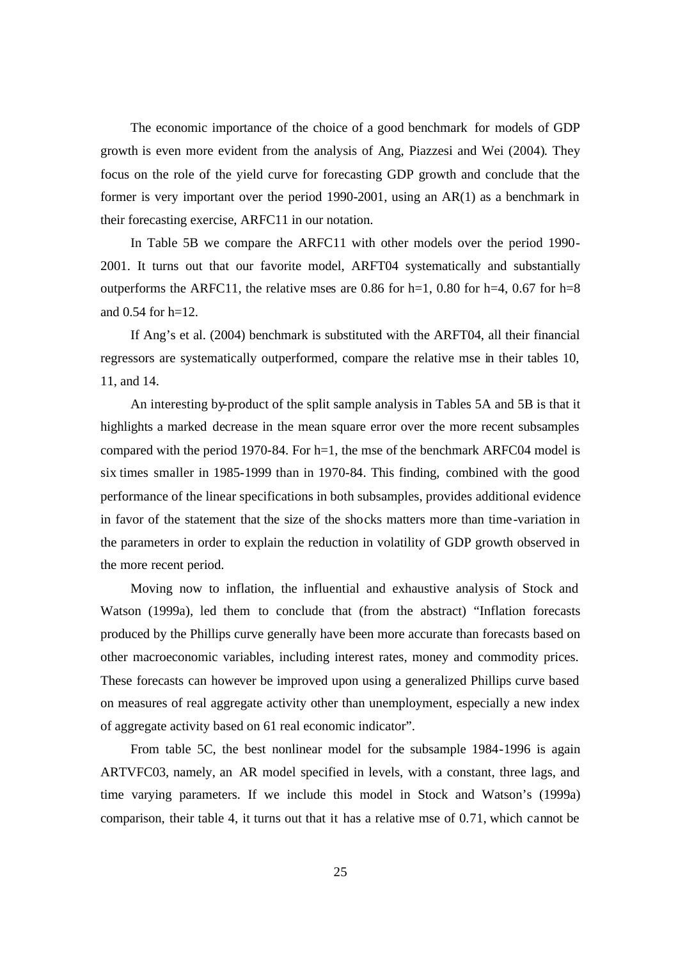The economic importance of the choice of a good benchmark for models of GDP growth is even more evident from the analysis of Ang, Piazzesi and Wei (2004). They focus on the role of the yield curve for forecasting GDP growth and conclude that the former is very important over the period 1990-2001, using an AR(1) as a benchmark in their forecasting exercise, ARFC11 in our notation.

In Table 5B we compare the ARFC11 with other models over the period 1990- 2001. It turns out that our favorite model, ARFT04 systematically and substantially outperforms the ARFC11, the relative mses are 0.86 for h=1, 0.80 for h=4, 0.67 for h=8 and 0.54 for h=12.

If Ang's et al. (2004) benchmark is substituted with the ARFT04, all their financial regressors are systematically outperformed, compare the relative mse in their tables 10, 11, and 14.

An interesting by-product of the split sample analysis in Tables 5A and 5B is that it highlights a marked decrease in the mean square error over the more recent subsamples compared with the period 1970-84. For h=1, the mse of the benchmark ARFC04 model is six times smaller in 1985-1999 than in 1970-84. This finding, combined with the good performance of the linear specifications in both subsamples, provides additional evidence in favor of the statement that the size of the shocks matters more than time-variation in the parameters in order to explain the reduction in volatility of GDP growth observed in the more recent period.

Moving now to inflation, the influential and exhaustive analysis of Stock and Watson (1999a), led them to conclude that (from the abstract) "Inflation forecasts produced by the Phillips curve generally have been more accurate than forecasts based on other macroeconomic variables, including interest rates, money and commodity prices. These forecasts can however be improved upon using a generalized Phillips curve based on measures of real aggregate activity other than unemployment, especially a new index of aggregate activity based on 61 real economic indicator".

From table 5C, the best nonlinear model for the subsample 1984-1996 is again ARTVFC03, namely, an AR model specified in levels, with a constant, three lags, and time varying parameters. If we include this model in Stock and Watson's (1999a) comparison, their table 4, it turns out that it has a relative mse of 0.71, which cannot be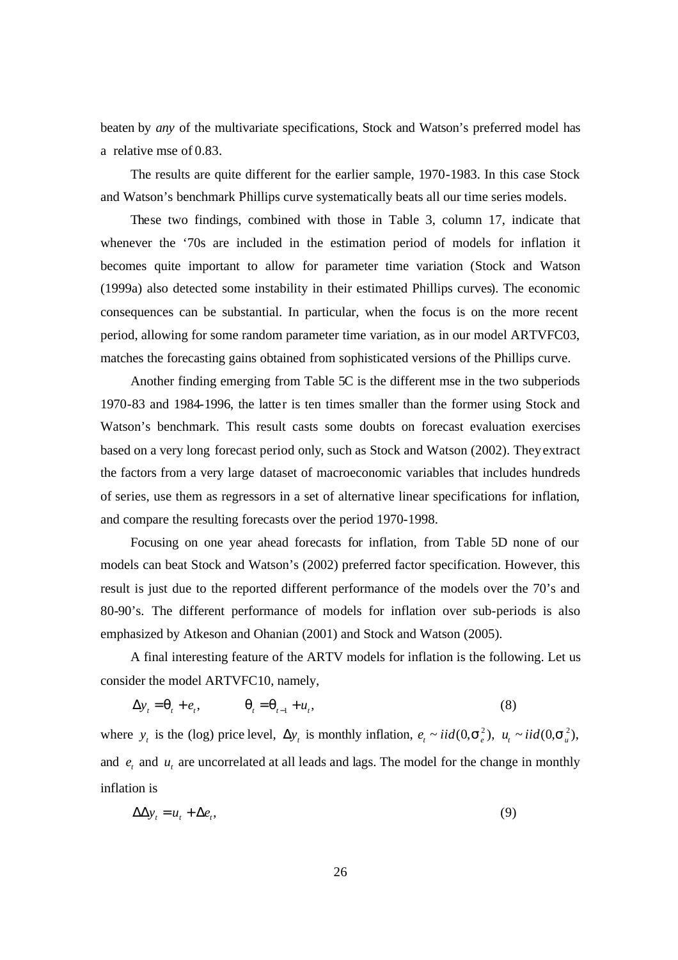beaten by *any* of the multivariate specifications, Stock and Watson's preferred model has a relative mse of 0.83.

The results are quite different for the earlier sample, 1970-1983. In this case Stock and Watson's benchmark Phillips curve systematically beats all our time series models.

These two findings, combined with those in Table 3, column 17, indicate that whenever the '70s are included in the estimation period of models for inflation it becomes quite important to allow for parameter time variation (Stock and Watson (1999a) also detected some instability in their estimated Phillips curves). The economic consequences can be substantial. In particular, when the focus is on the more recent period, allowing for some random parameter time variation, as in our model ARTVFC03, matches the forecasting gains obtained from sophisticated versions of the Phillips curve.

Another finding emerging from Table 5C is the different mse in the two subperiods 1970-83 and 1984-1996, the latter is ten times smaller than the former using Stock and Watson's benchmark. This result casts some doubts on forecast evaluation exercises based on a very long forecast period only, such as Stock and Watson (2002). They extract the factors from a very large dataset of macroeconomic variables that includes hundreds of series, use them as regressors in a set of alternative linear specifications for inflation, and compare the resulting forecasts over the period 1970-1998.

Focusing on one year ahead forecasts for inflation, from Table 5D none of our models can beat Stock and Watson's (2002) preferred factor specification. However, this result is just due to the reported different performance of the models over the 70's and 80-90's. The different performance of models for inflation over sub-periods is also emphasized by Atkeson and Ohanian (2001) and Stock and Watson (2005).

A final interesting feature of the ARTV models for inflation is the following. Let us consider the model ARTVFC10, namely,

$$
\Delta y_t = \mathbf{q}_t + e_t, \qquad \mathbf{q}_t = \mathbf{q}_{t-1} + u_t, \tag{8}
$$

where  $y_t$  is the (log) price level,  $\Delta y_t$  is monthly inflation,  $e_t \sim \text{i}id(0, \mathbf{s}_e^2)$ ,  $u_t \sim \text{i}id(0, \mathbf{s}_u^2)$ , and  $e_t$  and  $u_t$  are uncorrelated at all leads and lags. The model for the change in monthly inflation is

$$
\Delta \Delta y_t = u_t + \Delta e_t, \tag{9}
$$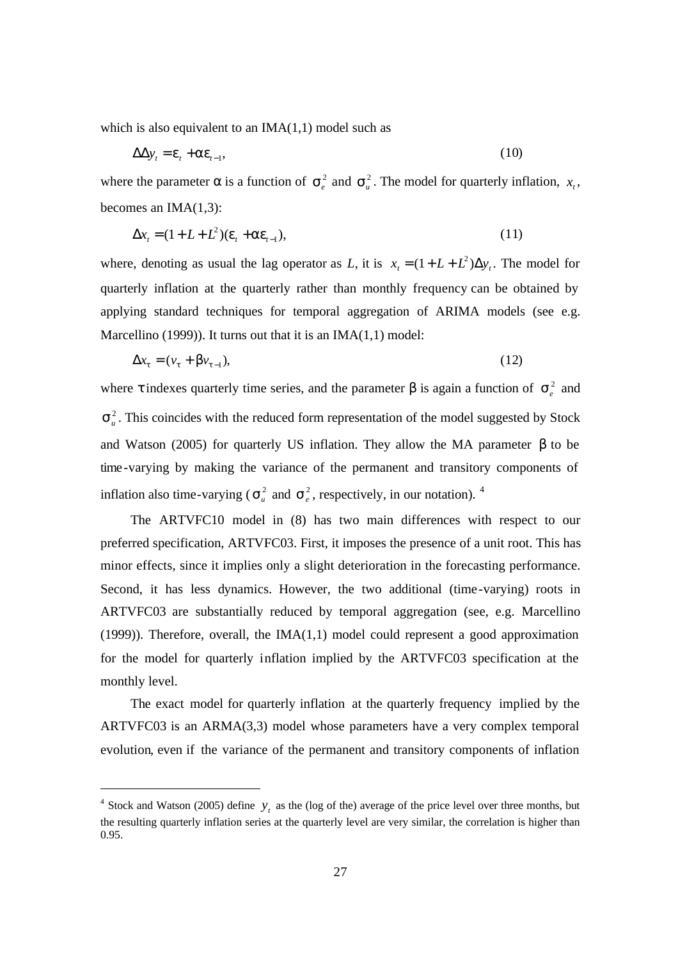which is also equivalent to an  $IMA(1,1)$  model such as

$$
\Delta \Delta y_t = \mathbf{e}_t + \mathbf{a} \mathbf{e}_{t-1},\tag{10}
$$

where the parameter  $\alpha$  is a function of  $s_e^2$  and  $s_u^2$ . The model for quarterly inflation,  $x_t$ , becomes an IMA(1,3):

$$
\Delta x_t = (1 + L + L^2)(\mathbf{e}_t + \mathbf{a}\mathbf{e}_{t-1}),\tag{11}
$$

where, denoting as usual the lag operator as *L*, it is  $x_t = (1 + L + L^2) \Delta y_t$ . The model for quarterly inflation at the quarterly rather than monthly frequency can be obtained by applying standard techniques for temporal aggregation of ARIMA models (see e.g. Marcellino (1999)). It turns out that it is an  $IMA(1,1)$  model:

$$
\Delta x_t = (v_t + \boldsymbol{b} v_{t-1}),\tag{12}
$$

where  $\tau$  indexes quarterly time series, and the parameter  $\beta$  is again a function of  $s_e^2$  and  $s<sub>u</sub><sup>2</sup>$ . This coincides with the reduced form representation of the model suggested by Stock and Watson (2005) for quarterly US inflation. They allow the MA parameter β to be time-varying by making the variance of the permanent and transitory components of inflation also time-varying ( $s<sub>u</sub><sup>2</sup>$  and  $s<sub>e</sub><sup>2</sup>$ , respectively, in our notation). <sup>4</sup>

The ARTVFC10 model in (8) has two main differences with respect to our preferred specification, ARTVFC03. First, it imposes the presence of a unit root. This has minor effects, since it implies only a slight deterioration in the forecasting performance. Second, it has less dynamics. However, the two additional (time-varying) roots in ARTVFC03 are substantially reduced by temporal aggregation (see, e.g. Marcellino  $(1999)$ ). Therefore, overall, the IMA $(1,1)$  model could represent a good approximation for the model for quarterly inflation implied by the ARTVFC03 specification at the monthly level.

The exact model for quarterly inflation at the quarterly frequency implied by the ARTVFC03 is an ARMA(3,3) model whose parameters have a very complex temporal evolution, even if the variance of the permanent and transitory components of inflation

<sup>&</sup>lt;sup>4</sup> Stock and Watson (2005) define  $y_t$  as the (log of the) average of the price level over three months, but the resulting quarterly inflation series at the quarterly level are very similar, the correlation is higher than 0.95.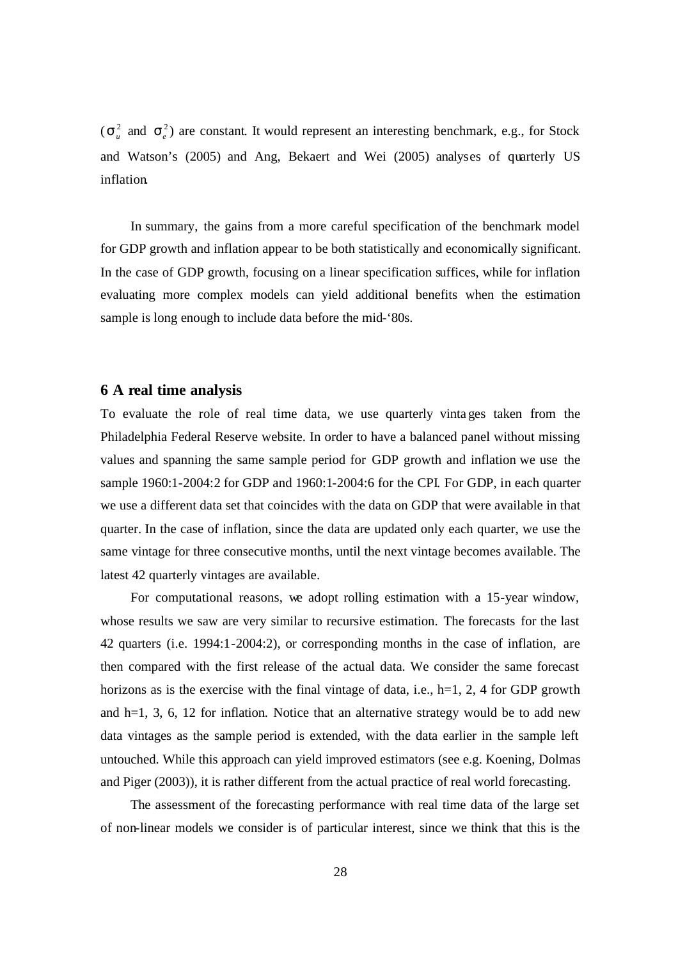$(\mathbf{s}_u^2 \text{ and } \mathbf{s}_e^2)$  are constant. It would represent an interesting benchmark, e.g., for Stock and Watson's (2005) and Ang, Bekaert and Wei (2005) analyses of quarterly US inflation.

In summary, the gains from a more careful specification of the benchmark model for GDP growth and inflation appear to be both statistically and economically significant. In the case of GDP growth, focusing on a linear specification suffices, while for inflation evaluating more complex models can yield additional benefits when the estimation sample is long enough to include data before the mid-'80s.

#### **6 A real time analysis**

To evaluate the role of real time data, we use quarterly vinta ges taken from the Philadelphia Federal Reserve website. In order to have a balanced panel without missing values and spanning the same sample period for GDP growth and inflation we use the sample 1960:1-2004:2 for GDP and 1960:1-2004:6 for the CPI. For GDP, in each quarter we use a different data set that coincides with the data on GDP that were available in that quarter. In the case of inflation, since the data are updated only each quarter, we use the same vintage for three consecutive months, until the next vintage becomes available. The latest 42 quarterly vintages are available.

For computational reasons, we adopt rolling estimation with a 15-year window, whose results we saw are very similar to recursive estimation. The forecasts for the last 42 quarters (i.e. 1994:1-2004:2), or corresponding months in the case of inflation, are then compared with the first release of the actual data. We consider the same forecast horizons as is the exercise with the final vintage of data, i.e.,  $h=1, 2, 4$  for GDP growth and  $h=1, 3, 6, 12$  for inflation. Notice that an alternative strategy would be to add new data vintages as the sample period is extended, with the data earlier in the sample left untouched. While this approach can yield improved estimators (see e.g. Koening, Dolmas and Piger (2003)), it is rather different from the actual practice of real world forecasting.

The assessment of the forecasting performance with real time data of the large set of non-linear models we consider is of particular interest, since we think that this is the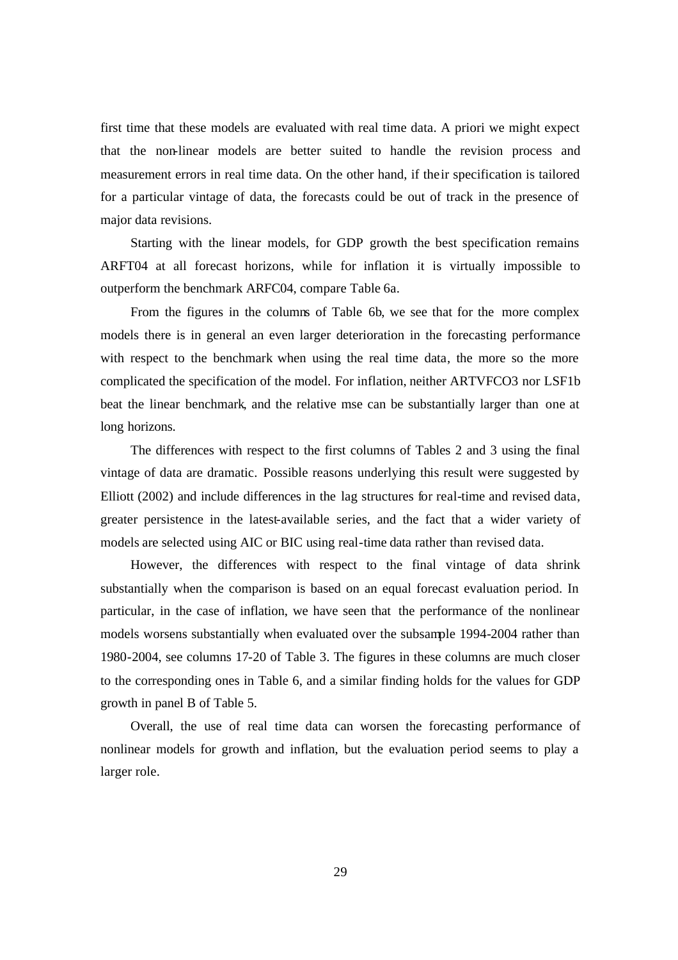first time that these models are evaluated with real time data. A priori we might expect that the non-linear models are better suited to handle the revision process and measurement errors in real time data. On the other hand, if their specification is tailored for a particular vintage of data, the forecasts could be out of track in the presence of major data revisions.

Starting with the linear models, for GDP growth the best specification remains ARFT04 at all forecast horizons, while for inflation it is virtually impossible to outperform the benchmark ARFC04, compare Table 6a.

From the figures in the columns of Table 6b, we see that for the more complex models there is in general an even larger deterioration in the forecasting performance with respect to the benchmark when using the real time data, the more so the more complicated the specification of the model. For inflation, neither ARTVFCO3 nor LSF1b beat the linear benchmark, and the relative mse can be substantially larger than one at long horizons.

The differences with respect to the first columns of Tables 2 and 3 using the final vintage of data are dramatic. Possible reasons underlying this result were suggested by Elliott (2002) and include differences in the lag structures for real-time and revised data, greater persistence in the latest-available series, and the fact that a wider variety of models are selected using AIC or BIC using real-time data rather than revised data.

However, the differences with respect to the final vintage of data shrink substantially when the comparison is based on an equal forecast evaluation period. In particular, in the case of inflation, we have seen that the performance of the nonlinear models worsens substantially when evaluated over the subsample 1994-2004 rather than 1980-2004, see columns 17-20 of Table 3. The figures in these columns are much closer to the corresponding ones in Table 6, and a similar finding holds for the values for GDP growth in panel B of Table 5.

Overall, the use of real time data can worsen the forecasting performance of nonlinear models for growth and inflation, but the evaluation period seems to play a larger role.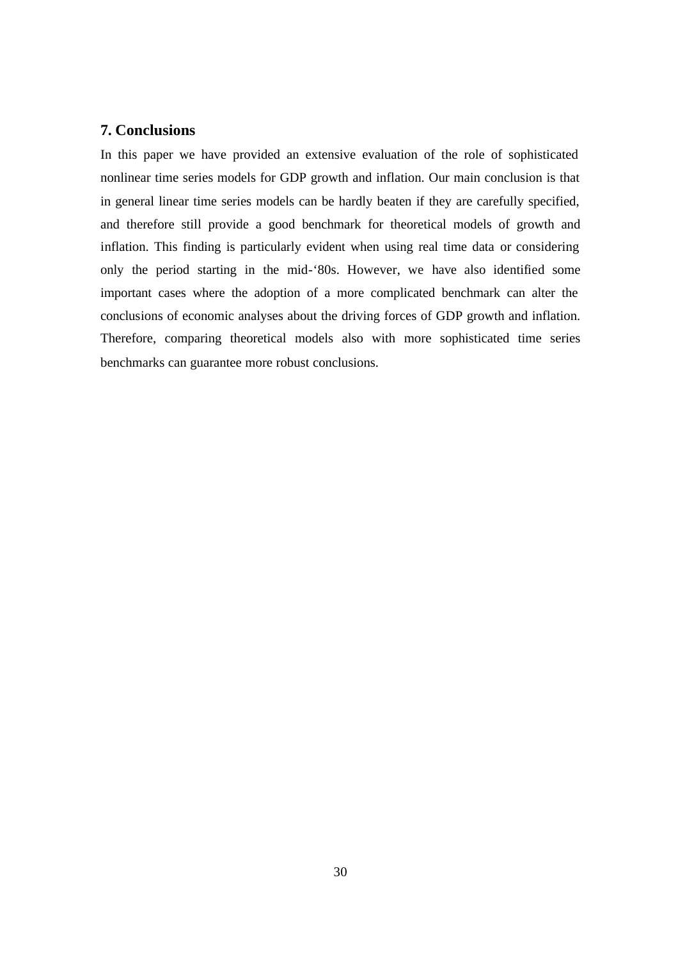## **7. Conclusions**

In this paper we have provided an extensive evaluation of the role of sophisticated nonlinear time series models for GDP growth and inflation. Our main conclusion is that in general linear time series models can be hardly beaten if they are carefully specified, and therefore still provide a good benchmark for theoretical models of growth and inflation. This finding is particularly evident when using real time data or considering only the period starting in the mid-'80s. However, we have also identified some important cases where the adoption of a more complicated benchmark can alter the conclusions of economic analyses about the driving forces of GDP growth and inflation. Therefore, comparing theoretical models also with more sophisticated time series benchmarks can guarantee more robust conclusions.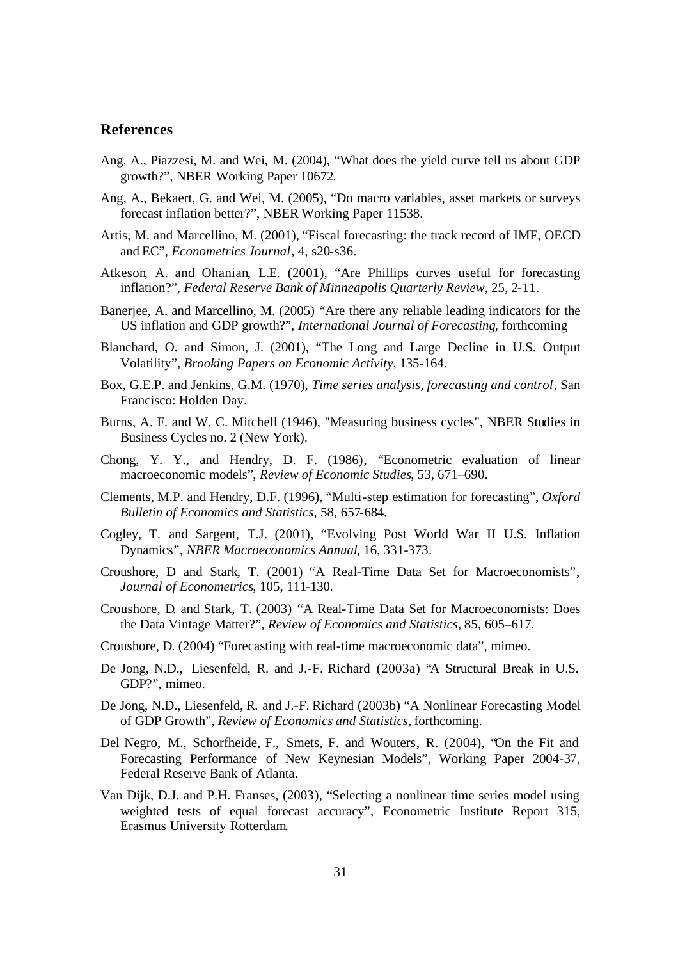### **References**

- Ang, A., Piazzesi, M. and Wei, M. (2004), "What does the yield curve tell us about GDP growth?", NBER Working Paper 10672.
- Ang, A., Bekaert, G. and Wei, M. (2005), "Do macro variables, asset markets or surveys forecast inflation better?", NBER Working Paper 11538.
- Artis, M. and Marcellino, M. (2001), "Fiscal forecasting: the track record of IMF, OECD and EC", *Econometrics Journal*, 4, s20-s36.
- Atkeson, A. and Ohanian, L.E. (2001), "Are Phillips curves useful for forecasting inflation?", *Federal Reserve Bank of Minneapolis Quarterly Review*, 25, 2-11.
- Banerjee, A. and Marcellino, M. (2005) "Are there any reliable leading indicators for the US inflation and GDP growth?", *International Journal of Forecasting*, forthcoming
- Blanchard, O. and Simon, J. (2001), "The Long and Large Decline in U.S. Output Volatility", *Brooking Papers on Economic Activity*, 135-164.
- Box, G.E.P. and Jenkins, G.M. (1970), *Time series analysis, forecasting and control*, San Francisco: Holden Day.
- Burns, A. F. and W. C. Mitchell (1946), "Measuring business cycles", NBER Studies in Business Cycles no. 2 (New York).
- Chong, Y. Y., and Hendry, D. F. (1986), "Econometric evaluation of linear macroeconomic models", *Review of Economic Studies*, 53, 671–690.
- Clements, M.P. and Hendry, D.F. (1996), "Multi-step estimation for forecasting", *Oxford Bulletin of Economics and Statistics*, 58, 657-684.
- Cogley, T. and Sargent, T.J. (2001), "Evolving Post World War II U.S. Inflation Dynamics", *NBER Macroeconomics Annual*, 16, 331-373.
- Croushore, D and Stark, T. (2001) "A Real-Time Data Set for Macroeconomists", *Journal of Econometrics*, 105, 111-130.
- Croushore, D. and Stark, T. (2003) "A Real-Time Data Set for Macroeconomists: Does the Data Vintage Matter?", *Review of Economics and Statistics*, 85, 605–617.
- Croushore, D. (2004) "Forecasting with real-time macroeconomic data", mimeo.
- De Jong, N.D., Liesenfeld, R. and J.-F. Richard (2003a) "A Structural Break in U.S. GDP?", mimeo.
- De Jong, N.D., Liesenfeld, R. and J.-F. Richard (2003b) "A Nonlinear Forecasting Model of GDP Growth", *Review of Economics and Statistics*, forthcoming.
- Del Negro, M., Schorfheide, F., Smets, F. and Wouters, R. (2004), "On the Fit and Forecasting Performance of New Keynesian Models", Working Paper 2004-37, Federal Reserve Bank of Atlanta.
- Van Dijk, D.J. and P.H. Franses, (2003), "Selecting a nonlinear time series model using weighted tests of equal forecast accuracy", Econometric Institute Report 315, Erasmus University Rotterdam.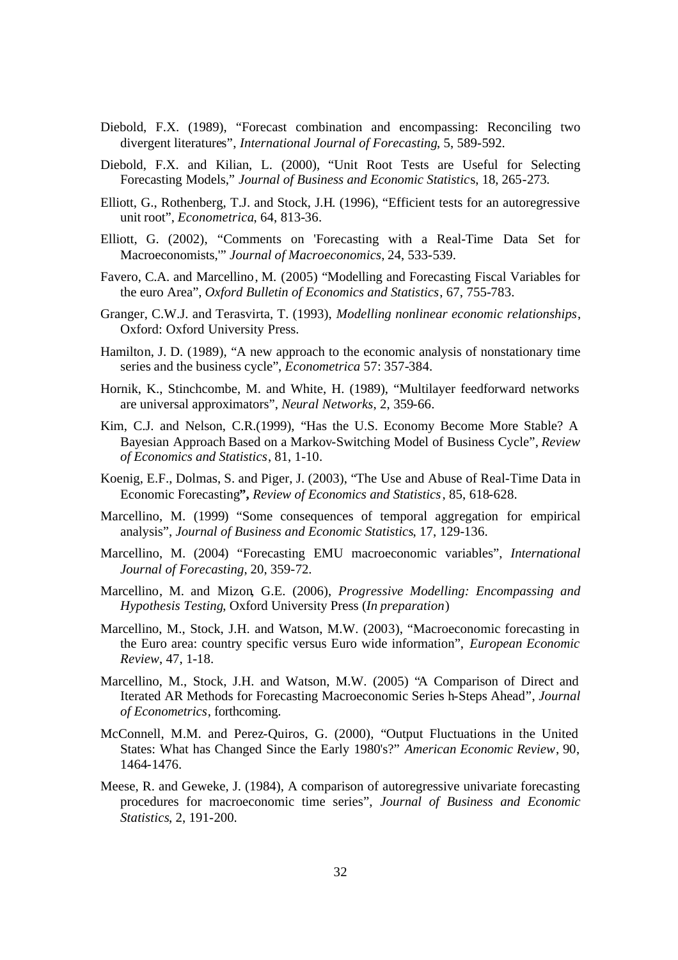- Diebold, F.X. (1989), "Forecast combination and encompassing: Reconciling two divergent literatures", *International Journal of Forecasting*, 5, 589-592.
- Diebold, F.X. and Kilian, L. (2000), "Unit Root Tests are Useful for Selecting Forecasting Models," *Journal of Business and Economic Statistic*s, 18, 265-273.
- Elliott, G., Rothenberg, T.J. and Stock, J.H. (1996), "Efficient tests for an autoregressive unit root", *Econometrica*, 64, 813-36.
- Elliott, G. (2002), "Comments on 'Forecasting with a Real-Time Data Set for Macroeconomists,'" *Journal of Macroeconomics*, 24, 533-539.
- Favero, C.A. and Marcellino, M. (2005) "Modelling and Forecasting Fiscal Variables for the euro Area", *Oxford Bulletin of Economics and Statistics*, 67, 755-783.
- Granger, C.W.J. and Terasvirta, T. (1993), *Modelling nonlinear economic relationships*, Oxford: Oxford University Press.
- Hamilton, J. D. (1989), "A new approach to the economic analysis of nonstationary time series and the business cycle", *Econometrica* 57: 357-384.
- Hornik, K., Stinchcombe, M. and White, H. (1989), "Multilayer feedforward networks are universal approximators", *Neural Networks*, 2, 359-66.
- Kim, C.J. and Nelson, C.R.(1999), "Has the U.S. Economy Become More Stable? A Bayesian Approach Based on a Markov-Switching Model of Business Cycle", *Review of Economics and Statistics*, 81, 1-10.
- Koenig, E.F., Dolmas, S. and Piger, J. (2003), "The Use and Abuse of Real-Time Data in Economic Forecasting**",** *Review of Economics and Statistics*, 85, 618-628.
- Marcellino, M. (1999) "Some consequences of temporal aggregation for empirical analysis", *Journal of Business and Economic Statistics*, 17, 129-136.
- Marcellino, M. (2004) "Forecasting EMU macroeconomic variables", *International Journal of Forecasting*, 20, 359-72.
- Marcellino, M. and Mizon, G.E. (2006), *Progressive Modelling: Encompassing and Hypothesis Testing*, Oxford University Press (*In preparation*)
- Marcellino, M., Stock, J.H. and Watson, M.W. (2003), "Macroeconomic forecasting in the Euro area: country specific versus Euro wide information", *European Economic Review*, 47, 1-18.
- Marcellino, M., Stock, J.H. and Watson, M.W. (2005) "A Comparison of Direct and Iterated AR Methods for Forecasting Macroeconomic Series h-Steps Ahead", *Journal of Econometrics*, forthcoming.
- McConnell, M.M. and Perez-Quiros, G. (2000), "Output Fluctuations in the United States: What has Changed Since the Early 1980's?" *American Economic Review*, 90, 1464-1476.
- Meese, R. and Geweke, J. (1984), A comparison of autoregressive univariate forecasting procedures for macroeconomic time series", *Journal of Business and Economic Statistics*, 2, 191-200.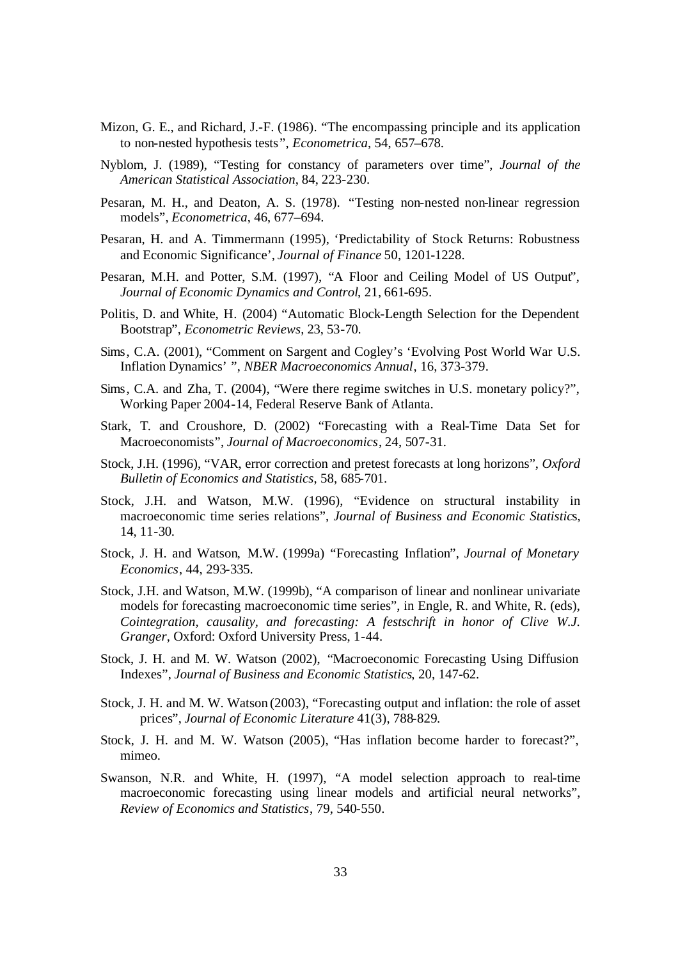- Mizon, G. E., and Richard, J.-F. (1986). "The encompassing principle and its application to non-nested hypothesis tests", *Econometrica*, 54, 657–678.
- Nyblom, J. (1989), "Testing for constancy of parameters over time", *Journal of the American Statistical Association*, 84, 223-230.
- Pesaran, M. H., and Deaton, A. S. (1978). "Testing non-nested non-linear regression models", *Econometrica*, 46, 677–694.
- Pesaran, H. and A. Timmermann (1995), 'Predictability of Stock Returns: Robustness and Economic Significance', *Journal of Finance* 50, 1201-1228.
- Pesaran, M.H. and Potter, S.M. (1997), "A Floor and Ceiling Model of US Output", *Journal of Economic Dynamics and Control*, 21, 661-695.
- Politis, D. and White, H. (2004) "Automatic Block-Length Selection for the Dependent Bootstrap", *Econometric Reviews*, 23, 53-70.
- Sims, C.A. (2001), "Comment on Sargent and Cogley's 'Evolving Post World War U.S. Inflation Dynamics' ", *NBER Macroeconomics Annual*, 16, 373-379.
- Sims, C.A. and Zha, T. (2004), "Were there regime switches in U.S. monetary policy?", Working Paper 2004-14, Federal Reserve Bank of Atlanta.
- Stark, T. and Croushore, D. (2002) "Forecasting with a Real-Time Data Set for Macroeconomists", *Journal of Macroeconomics*, 24, 507-31.
- Stock, J.H. (1996), "VAR, error correction and pretest forecasts at long horizons", *Oxford Bulletin of Economics and Statistics*, 58, 685-701.
- Stock, J.H. and Watson, M.W. (1996), "Evidence on structural instability in macroeconomic time series relations", *Journal of Business and Economic Statistic*s, 14, 11-30.
- Stock, J. H. and Watson, M.W. (1999a) "Forecasting Inflation", *Journal of Monetary Economics*, 44, 293-335.
- Stock, J.H. and Watson, M.W. (1999b), "A comparison of linear and nonlinear univariate models for forecasting macroeconomic time series", in Engle, R. and White, R. (eds), *Cointegration, causality, and forecasting: A festschrift in honor of Clive W.J. Granger*, Oxford: Oxford University Press, 1-44.
- Stock, J. H. and M. W. Watson (2002), "Macroeconomic Forecasting Using Diffusion Indexes", *Journal of Business and Economic Statistics*, 20, 147-62.
- Stock, J. H. and M. W. Watson (2003), "Forecasting output and inflation: the role of asset prices", *Journal of Economic Literature* 41(3), 788-829.
- Stock, J. H. and M. W. Watson (2005), "Has inflation become harder to forecast?", mimeo.
- Swanson, N.R. and White, H. (1997), "A model selection approach to real-time macroeconomic forecasting using linear models and artificial neural networks", *Review of Economics and Statistics*, 79, 540-550.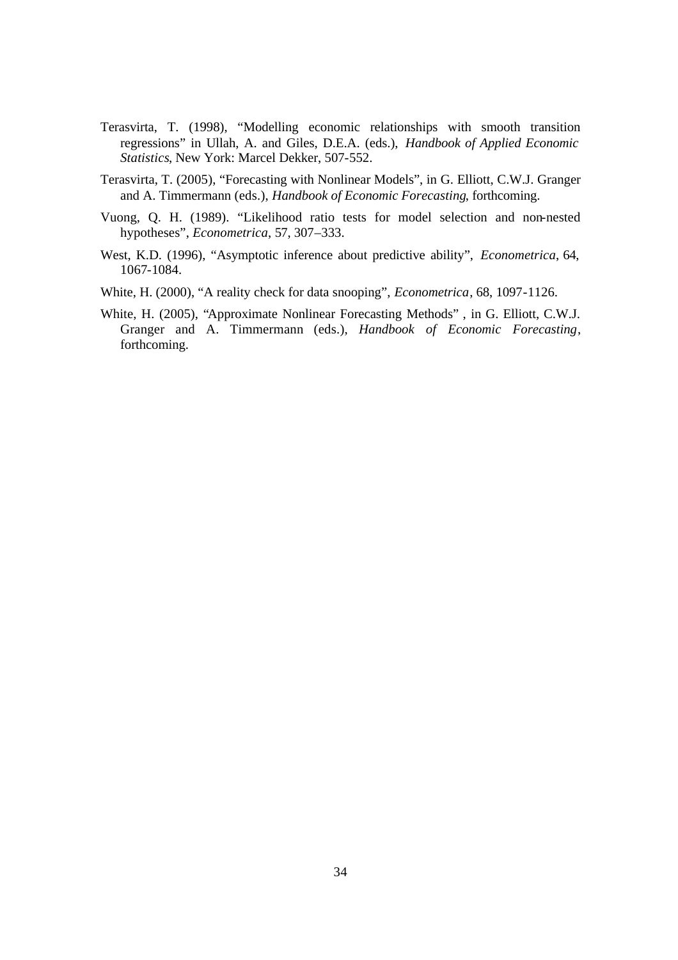- Terasvirta, T. (1998), "Modelling economic relationships with smooth transition regressions" in Ullah, A. and Giles, D.E.A. (eds.), *Handbook of Applied Economic Statistics*, New York: Marcel Dekker, 507-552.
- Terasvirta, T. (2005), "Forecasting with Nonlinear Models", in G. Elliott, C.W.J. Granger and A. Timmermann (eds.), *Handbook of Economic Forecasting*, forthcoming.
- Vuong, Q. H. (1989). "Likelihood ratio tests for model selection and non-nested hypotheses", *Econometrica*, 57, 307–333.
- West, K.D. (1996), "Asymptotic inference about predictive ability", *Econometrica*, 64, 1067-1084.
- White, H. (2000), "A reality check for data snooping", *Econometrica*, 68, 1097-1126.
- White, H. (2005), "Approximate Nonlinear Forecasting Methods" , in G. Elliott, C.W.J. Granger and A. Timmermann (eds.), *Handbook of Economic Forecasting*, forthcoming.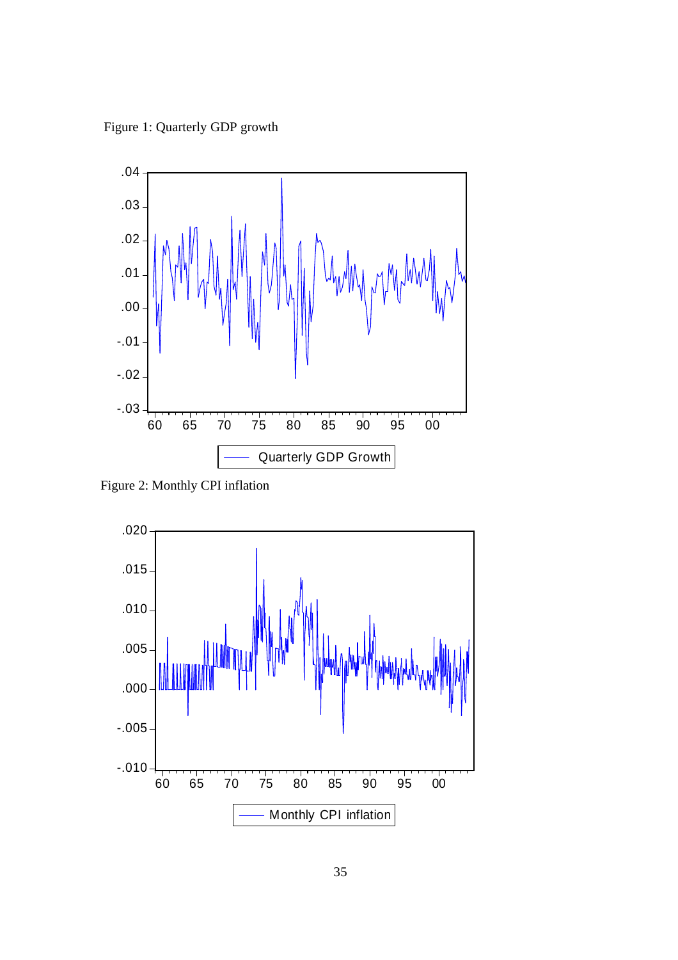Figure 1: Quarterly GDP growth



Figure 2: Monthly CPI inflation

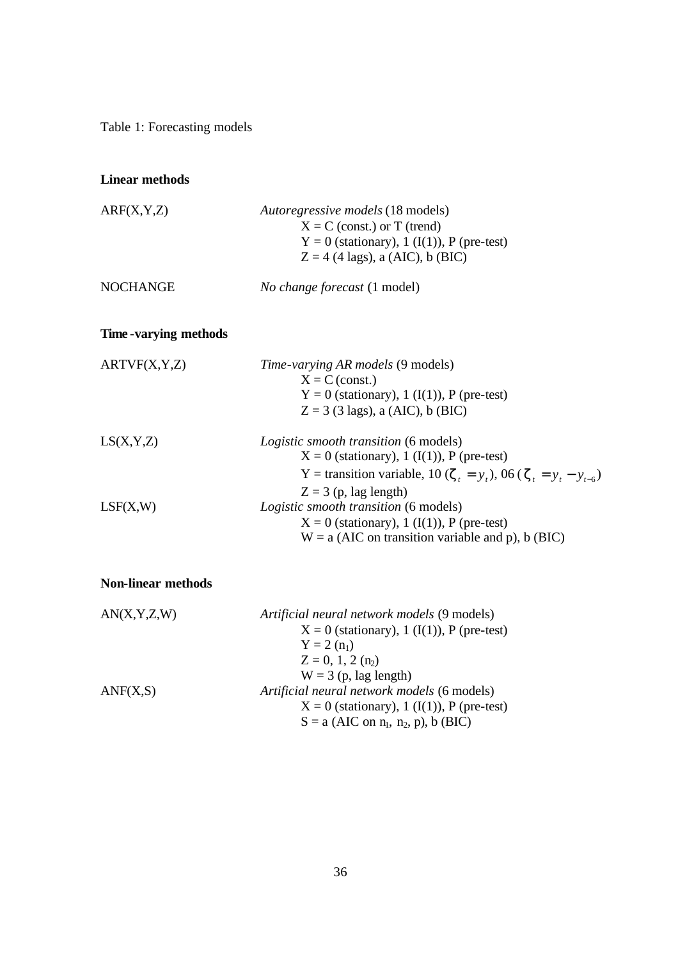Table 1: Forecasting models

### **Linear methods**

| ARF(X, Y, Z)           | Autoregressive models (18 models)<br>$X = C$ (const.) or T (trend)<br>$Y = 0$ (stationary), 1 (I(1)), P (pre-test)<br>$Z = 4$ (4 lags), a (AIC), b (BIC)                                             |
|------------------------|------------------------------------------------------------------------------------------------------------------------------------------------------------------------------------------------------|
| <b>NOCHANGE</b>        | <i>No change forecast</i> (1 model)                                                                                                                                                                  |
| Time - varying methods |                                                                                                                                                                                                      |
| ARTVF(X, Y, Z)         | <i>Time-varying AR models</i> (9 models)<br>$X = C$ (const.)<br>$Y = 0$ (stationary), 1 (I(1)), P (pre-test)<br>$Z = 3$ (3 lags), a (AIC), b (BIC)                                                   |
| LS(X,Y,Z)              | <i>Logistic smooth transition</i> (6 models)<br>$X = 0$ (stationary), 1 (I(1)), P (pre-test)<br>Y = transition variable, 10 ( $z_t = y_t$ ), 06 ( $z_t = y_t - y_{t-6}$ )<br>$Z = 3$ (p, lag length) |
| LSF(X,W)               | Logistic smooth transition (6 models)<br>$X = 0$ (stationary), 1 (I(1)), P (pre-test)<br>$W = a$ (AIC on transition variable and p), b (BIC)                                                         |

# **Non-linear methods**

| AN(X, Y, Z, W) | Artificial neural network models (9 models)  |
|----------------|----------------------------------------------|
|                | $X = 0$ (stationary), 1 (I(1)), P (pre-test) |
|                | $Y = 2(n_1)$                                 |
|                | $Z = 0, 1, 2 (n2)$                           |
|                | $W = 3$ (p, lag length)                      |
| ANF(X, S)      | Artificial neural network models (6 models)  |
|                | $X = 0$ (stationary), 1 (I(1)), P (pre-test) |
|                | $S = a$ (AIC on $n_1$ , $n_2$ , p), b (BIC)  |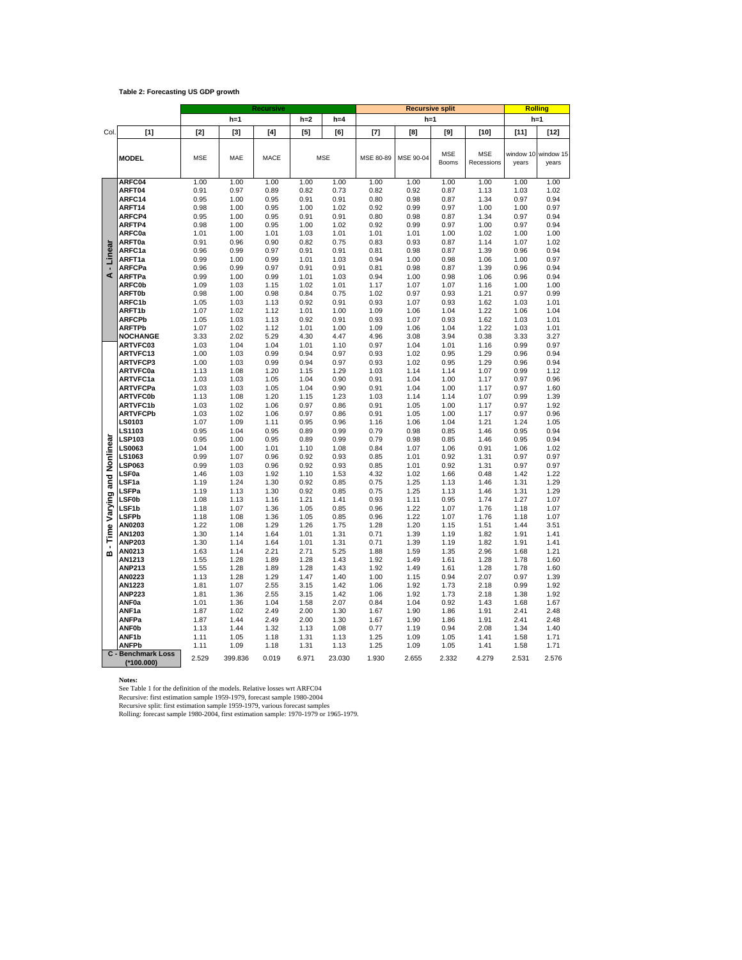#### **Table 2: Forecasting US GDP growth**

|                   |                                           |              |              | <b>Recursive</b> |              |              |              | Rolling      |              |              |              |              |
|-------------------|-------------------------------------------|--------------|--------------|------------------|--------------|--------------|--------------|--------------|--------------|--------------|--------------|--------------|
|                   |                                           |              | $h=1$        |                  | $h=2$        | $h=4$        |              | $h=1$        |              | $h=1$        |              |              |
| Col.              | [1]                                       | $[2]$        | $[3]$        | [4]              | $[5]$        | [6]          | $[7]$        | [8]          | [9]          | [10]         | $[11]$       | [12]         |
|                   |                                           |              |              |                  |              |              |              |              |              |              |              |              |
|                   | <b>MODEL</b>                              | <b>MSE</b>   | MAE          | MACE             |              | <b>MSE</b>   | MSE 80-89    | MSE 90-04    | <b>MSE</b>   | <b>MSE</b>   | window 10    | window 15    |
|                   |                                           |              |              |                  |              |              |              |              | Booms        | Recessions   | years        | years        |
|                   | ARFC04                                    | 1.00         | 1.00         | 1.00             | 1.00         | 1.00         | 1.00         | 1.00         | 1.00         | 1.00         | 1.00         | 1.00         |
|                   | ARFT04                                    | 0.91         | 0.97         | 0.89             | 0.82         | 0.73         | 0.82         | 0.92         | 0.87         | 1.13         | 1.03         | 1.02         |
|                   | ARFC14                                    | 0.95         | 1.00         | 0.95             | 0.91         | 0.91         | 0.80         | 0.98         | 0.87         | 1.34         | 0.97         | 0.94         |
|                   | ARFT14                                    | 0.98         | 1.00         | 0.95             | 1.00         | 1.02         | 0.92         | 0.99         | 0.97         | 1.00         | 1.00         | 0.97         |
|                   | ARFCP4                                    | 0.95         | 1.00         | 0.95             | 0.91         | 0.91         | 0.80         | 0.98         | 0.87         | 1.34         | 0.97         | 0.94         |
|                   | ARFTP4                                    | 0.98         | 1.00         | 0.95             | 1.00         | 1.02         | 0.92         | 0.99         | 0.97         | 1.00         | 0.97         | 0.94         |
|                   | ARFC0a<br>ARFT0a                          | 1.01<br>0.91 | 1.00<br>0.96 | 1.01<br>0.90     | 1.03<br>0.82 | 1.01<br>0.75 | 1.01<br>0.83 | 1.01<br>0.93 | 1.00<br>0.87 | 1.02<br>1.14 | 1.00<br>1.07 | 1.00<br>1.02 |
| Linear            | ARFC1a                                    | 0.96         | 0.99         | 0.97             | 0.91         | 0.91         | 0.81         | 0.98         | 0.87         | 1.39         | 0.96         | 0.94         |
|                   | ARFT1a                                    | 0.99         | 1.00         | 0.99             | 1.01         | 1.03         | 0.94         | 1.00         | 0.98         | 1.06         | 1.00         | 0.97         |
|                   | <b>ARFCPa</b>                             | 0.96         | 0.99         | 0.97             | 0.91         | 0.91         | 0.81         | 0.98         | 0.87         | 1.39         | 0.96         | 0.94         |
| ∢                 | <b>ARFTPa</b>                             | 0.99         | 1.00         | 0.99             | 1.01         | 1.03         | 0.94         | 1.00         | 0.98         | 1.06         | 0.96         | 0.94         |
|                   | <b>ARFC0b</b>                             | 1.09         | 1.03         | 1.15             | 1.02         | 1.01         | 1.17         | 1.07         | 1.07         | 1.16         | 1.00         | 1.00         |
|                   | <b>ARFT0b</b>                             | 0.98         | 1.00         | 0.98             | 0.84         | 0.75         | 1.02         | 0.97         | 0.93         | 1.21         | 0.97         | 0.99         |
|                   | ARFC1b                                    | 1.05<br>1.07 | 1.03<br>1.02 | 1.13<br>1.12     | 0.92         | 0.91<br>1.00 | 0.93<br>1.09 | 1.07<br>1.06 | 0.93<br>1.04 | 1.62<br>1.22 | 1.03         | 1.01<br>1.04 |
|                   | ARFT1b<br><b>ARFCPb</b>                   | 1.05         | 1.03         | 1.13             | 1.01<br>0.92 | 0.91         | 0.93         | 1.07         | 0.93         | 1.62         | 1.06<br>1.03 | 1.01         |
|                   | <b>ARFTPb</b>                             | 1.07         | 1.02         | 1.12             | 1.01         | 1.00         | 1.09         | 1.06         | 1.04         | 1.22         | 1.03         | 1.01         |
|                   | <b>NOCHANGE</b>                           | 3.33         | 2.02         | 5.29             | 4.30         | 4.47         | 4.96         | 3.08         | 3.94         | 0.38         | 3.33         | 3.27         |
|                   | ARTVFC03                                  | 1.03         | 1.04         | 1.04             | 1.01         | 1.10         | 0.97         | 1.04         | 1.01         | 1.16         | 0.99         | 0.97         |
|                   | ARTVFC13                                  | 1.00         | 1.03         | 0.99             | 0.94         | 0.97         | 0.93         | 1.02         | 0.95         | 1.29         | 0.96         | 0.94         |
|                   | <b>ARTVFCP3</b>                           | 1.00         | 1.03         | 0.99             | 0.94         | 0.97         | 0.93         | 1.02         | 0.95         | 1.29         | 0.96         | 0.94         |
|                   | <b>ARTVFC0a</b>                           | 1.13         | 1.08         | 1.20             | 1.15         | 1.29         | 1.03         | 1.14         | 1.14         | 1.07         | 0.99         | 1.12         |
|                   | <b>ARTVFC1a</b><br><b>ARTVFCPa</b>        | 1.03<br>1.03 | 1.03<br>1.03 | 1.05<br>1.05     | 1.04<br>1.04 | 0.90<br>0.90 | 0.91<br>0.91 | 1.04<br>1.04 | 1.00<br>1.00 | 1.17<br>1.17 | 0.97<br>0.97 | 0.96<br>1.60 |
|                   | <b>ARTVFC0b</b>                           | 1.13         | 1.08         | 1.20             | 1.15         | 1.23         | 1.03         | 1.14         | 1.14         | 1.07         | 0.99         | 1.39         |
|                   | <b>ARTVFC1b</b>                           | 1.03         | 1.02         | 1.06             | 0.97         | 0.86         | 0.91         | 1.05         | 1.00         | 1.17         | 0.97         | 1.92         |
|                   | <b>ARTVFCPb</b>                           | 1.03         | 1.02         | 1.06             | 0.97         | 0.86         | 0.91         | 1.05         | 1.00         | 1.17         | 0.97         | 0.96         |
|                   | LS0103                                    | 1.07         | 1.09         | 1.11             | 0.95         | 0.96         | 1.16         | 1.06         | 1.04         | 1.21         | 1.24         | 1.05         |
|                   | LS1103                                    | 0.95         | 1.04         | 0.95             | 0.89         | 0.99         | 0.79         | 0.98         | 0.85         | 1.46         | 0.95         | 0.94         |
| Nonlinear         | <b>LSP103</b><br><b>LS0063</b>            | 0.95         | 1.00         | 0.95             | 0.89<br>1.10 | 0.99         | 0.79         | 0.98         | 0.85         | 1.46         | 0.95         | 0.94         |
|                   | LS1063                                    | 1.04<br>0.99 | 1.00<br>1.07 | 1.01<br>0.96     | 0.92         | 1.08<br>0.93 | 0.84<br>0.85 | 1.07<br>1.01 | 1.06<br>0.92 | 0.91<br>1.31 | 1.06<br>0.97 | 1.02<br>0.97 |
|                   | <b>LSP063</b>                             | 0.99         | 1.03         | 0.96             | 0.92         | 0.93         | 0.85         | 1.01         | 0.92         | 1.31         | 0.97         | 0.97         |
|                   | LSF <sub>0a</sub>                         | 1.46         | 1.03         | 1.92             | 1.10         | 1.53         | 4.32         | 1.02         | 1.66         | 0.48         | 1.42         | 1.22         |
| and               | LSF1a                                     | 1.19         | 1.24         | 1.30             | 0.92         | 0.85         | 0.75         | 1.25         | 1.13         | 1.46         | 1.31         | 1.29         |
|                   | LSFPa                                     | 1.19         | 1.13         | 1.30             | 0.92         | 0.85         | 0.75         | 1.25         | 1.13         | 1.46         | 1.31         | 1.29         |
| Varying           | LSF <sub>0b</sub>                         | 1.08         | 1.13         | 1.16             | 1.21         | 1.41         | 0.93         | 1.11         | 0.95         | 1.74         | 1.27         | 1.07         |
|                   | LSF1b<br><b>LSFPb</b>                     | 1.18<br>1.18 | 1.07<br>1.08 | 1.36<br>1.36     | 1.05<br>1.05 | 0.85<br>0.85 | 0.96<br>0.96 | 1.22<br>1.22 | 1.07<br>1.07 | 1.76<br>1.76 | 1.18<br>1.18 | 1.07<br>1.07 |
|                   | AN0203                                    | 1.22         | 1.08         | 1.29             | 1.26         | 1.75         | 1.28         | 1.20         | 1.15         | 1.51         | 1.44         | 3.51         |
| Time <sup>1</sup> | AN1203                                    | 1.30         | 1.14         | 1.64             | 1.01         | 1.31         | 0.71         | 1.39         | 1.19         | 1.82         | 1.91         | 1.41         |
|                   | <b>ANP203</b>                             | 1.30         | 1.14         | 1.64             | 1.01         | 1.31         | 0.71         | 1.39         | 1.19         | 1.82         | 1.91         | 1.41         |
| m                 | AN0213                                    | 1.63         | 1.14         | 2.21             | 2.71         | 5.25         | 1.88         | 1.59         | 1.35         | 2.96         | 1.68         | 1.21         |
|                   | AN1213                                    | 1.55         | 1.28         | 1.89             | 1.28         | 1.43         | 1.92         | 1.49         | 1.61         | 1.28         | 1.78         | 1.60         |
|                   | <b>ANP213</b><br>AN0223                   | 1.55<br>1.13 | 1.28<br>1.28 | 1.89<br>1.29     | 1.28<br>1.47 | 1.43<br>1.40 | 1.92<br>1.00 | 1.49<br>1.15 | 1.61<br>0.94 | 1.28<br>2.07 | 1.78<br>0.97 | 1.60<br>1.39 |
|                   | AN1223                                    | 1.81         | 1.07         | 2.55             | 3.15         | 1.42         | 1.06         | 1.92         | 1.73         | 2.18         | 0.99         | 1.92         |
|                   | <b>ANP223</b>                             | 1.81         | 1.36         | 2.55             | 3.15         | 1.42         | 1.06         | 1.92         | 1.73         | 2.18         | 1.38         | 1.92         |
|                   | ANF0a                                     | 1.01         | 1.36         | 1.04             | 1.58         | 2.07         | 0.84         | 1.04         | 0.92         | 1.43         | 1.68         | 1.67         |
|                   | ANF1a                                     | 1.87         | 1.02         | 2.49             | 2.00         | 1.30         | 1.67         | 1.90         | 1.86         | 1.91         | 2.41         | 2.48         |
|                   | ANFPa                                     | 1.87         | 1.44         | 2.49             | 2.00         | 1.30         | 1.67         | 1.90         | 1.86         | 1.91         | 2.41         | 2.48         |
|                   | <b>ANF0b</b><br>ANF <sub>1b</sub>         | 1.13<br>1.11 | 1.44<br>1.05 | 1.32<br>1.18     | 1.13<br>1.31 | 1.08<br>1.13 | 0.77<br>1.25 | 1.19<br>1.09 | 0.94<br>1.05 | 2.08<br>1.41 | 1.34<br>1.58 | 1.40<br>1.71 |
|                   | <b>ANFPb</b>                              | 1.11         | 1.09         | 1.18             | 1.31         | 1.13         | 1.25         | 1.09         | 1.05         | 1.41         | 1.58         | 1.71         |
|                   | <b>C</b> - Benchmark Loss<br>$(*100.000)$ | 2.529        | 399.836      | 0.019            | 6.971        | 23.030       | 1.930        | 2.655        | 2.332        | 4.279        | 2.531        | 2.576        |

Notes:<br>See Table 1 for the definition of the models. Relative losses wrt ARFC04<br>Recursive: first estimation sample 1959-1979, forecast sample 1980-2004<br>Recursive split: first estimation sample 1959-1979, various forecast s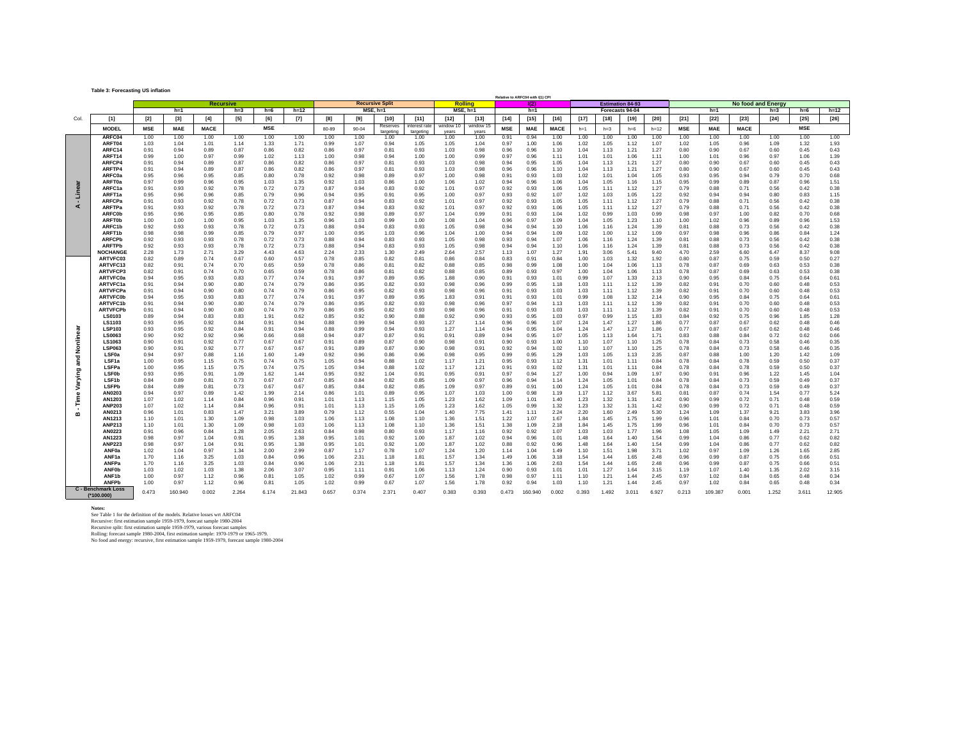**Table 3: Forecasting US inflation**

|              |                                           |            |            |             |                  |            |        |       |           |                        |               | Relative to ARFC04 with I(1) CPI |                |            |            |             |       |                 |                         |        |            |            |                           |        |            |        |
|--------------|-------------------------------------------|------------|------------|-------------|------------------|------------|--------|-------|-----------|------------------------|---------------|----------------------------------|----------------|------------|------------|-------------|-------|-----------------|-------------------------|--------|------------|------------|---------------------------|--------|------------|--------|
|              |                                           |            |            |             | <b>Recursive</b> |            |        |       |           | <b>Recursive Split</b> |               |                                  | <b>Rolling</b> |            | 102        |             |       |                 | <b>Estimation 84-93</b> |        |            |            | <b>No food and Energy</b> |        |            |        |
|              |                                           |            | $h=1$      |             | $h=3$            | $h=6$      | $h=12$ |       |           | $MSE. h=1$             |               |                                  | $MSE.$ h=1     |            | $h=1$      |             |       | Forecasts 94-04 |                         |        |            | $h=1$      |                           | $h=3$  | $h=6$      | $h=12$ |
|              |                                           |            |            |             |                  |            |        |       |           |                        |               |                                  |                |            |            |             |       |                 |                         |        |            |            |                           |        |            |        |
| Col.         | $[1]$                                     | $[2]$      | $[3]$      | $[4]$       | $[5]$            | [6]        | $[7]$  | [8]   | [9]       | $[10]$                 | $[11]$        | $[12]$                           | $[13]$         | $[14]$     | $[15]$     | $[16]$      | [17]  | $[18]$          | $[19]$                  | $[20]$ | $[21]$     | $[22]$     | $[23]$                    | $[24]$ | $[25]$     | $[26]$ |
|              | <b>MODEL</b>                              | <b>MSE</b> | <b>MAE</b> | <b>MACE</b> |                  | <b>MSE</b> |        | 80-89 | $90 - 04$ | Reserves               | interest rate | window 10                        | window 15      | <b>MSE</b> | <b>MAE</b> | <b>MACE</b> | $h=1$ | $h=3$           | $h=6$                   | $h=12$ | <b>MSE</b> | <b>MAE</b> | <b>MACE</b>               |        | <b>MSE</b> |        |
|              |                                           |            |            |             |                  |            |        |       |           | targeting              | targeting     | years                            | years          |            |            |             |       |                 |                         |        |            |            |                           |        |            |        |
|              | ARFC04                                    | 1.00       | 1.00       | 1.00        | 1.00             | 1.00       | 1.00   | 1.00  | 1.00      | 1.00                   | 1.00          | 1.00                             | 1.00           | 0.91       | 0.94       | 1.00        | 1.00  | 1.00            | 1.00                    | 1.00   | 1.00       | 1.00       | 1.00                      | 1.00   | 1.00       | 1.00   |
|              | ARFT04                                    | 1.03       | 1.04       | 1.01        | 1.14             | 1.33       | 1.71   | 0.99  | 1.07      | 0.94                   | 1.05          | 1.05                             | 1.04           | 0.97       | 1.00       | 1.06        | 1.02  | 1.05            | 1.12                    | 1.07   | 1.02       | 1.05       | 0.96                      | 1.09   | 1.32       | 1.93   |
|              | ARFC14                                    | 0.91       | 0.94       | 0.89        | 0.87             | 0.86       | 0.82   | 0.86  | 0.97      | 0.81                   | 0.93          | 1.03                             | 0.98           | 0.96       | 0.96       | 1.10        | 1.04  | 1.13            | 1.21                    | 1.27   | 0.80       | 0.90       | 0.67                      | 0.60   | 0.45       | 0.43   |
|              | ARFT14                                    | 0.99       | 1.00       | 0.97        | 0.99             | 1.02       | 1.13   | 1.00  | 0.98      | 0.94                   | 1.00          | 1.00                             | 0.99           | 0.97       | 0.96       | 1.11        | 1.01  | 1.01            | 1.06                    | 1.11   | 1.00       | 1.01       | 0.96                      | 0.97   | 1.06       | 1.39   |
|              | ARFCP4                                    | 0.91       | 0.94       | 0.89        | 0.87             | 0.86       | 0.82   | 0.86  | 0.97      | 0.81                   | 0.93          | 1.03                             | 0.98           | 0.94       | 0.95       | 1.05        | 1.04  | 1.13            | 1.21                    | 1.27   | 0.80       | 0.90       | 0.67                      | 0.60   | 0.45       | 0.43   |
|              |                                           |            |            |             |                  |            |        |       |           |                        |               |                                  |                |            |            |             |       |                 |                         |        |            |            |                           |        |            |        |
|              | ARFTP4                                    | 0.91       | 0.94       | 0.89        | 0.87             | 0.86       | 0.82   | 0.86  | 0.97      | 0.81                   | 0.93          | 1.03                             | 0.98           | 0.96       | 0.96       | 1.10        | 1.04  | 1.13            | 1.21                    | 1.27   | 0.80       | 0.90       | 0.67                      | 0.60   | 0.45       | 0.43   |
|              | <b>ARFC0a</b>                             | 0.95       | 0.96       | 0.95        | 0.85             | 0.80       | 0.78   | 0.92  | 0.98      | 0.89                   | 0.97          | 1.00                             | 0.98           | 0.91       | 0.93       | 1.03        | 1.02  | 1.01            | 1.04                    | 1.05   | 0.93       | 0.95       | 0.94                      | 0.79   | 0.70       | 0.68   |
|              | ARFT0a                                    | 0.97       | 0.99       | 0.96        | 0.95             | 1.03       | 1.35   | 0.92  | 1.03      | 0.86                   | 1.00          | 1.06                             | 1.02           | 0.94       | 0.96       | 1.06        | 1.04  | 1.05            | 1.16                    | 1.15   | 0.95       | 0.99       | 0.89                      | 0.87   | 0.96       | 1.51   |
| Linea        | ARFC1a                                    | 0.91       | 0.93       | 0.92        | 0.78             | 0.72       | 0.73   | 0.87  | 0.94      | 0.83                   | 0.92          | 1.01                             | 0.97           | 0.92       | 0.93       | 1.06        | 1.05  | 1.11            | 1.12                    | 1.27   | 0.79       | 0.88       | 0.71                      | 0.56   | 0.42       | 0.38   |
|              | ARFT1a                                    | 0.95       | 0.96       | 0.96        | 0.85             | 0.79       | 0.96   | 0.94  | 0.95      | 0.91                   | 0.95          | 1.00                             | 0.97           | 0.93       | 0.92       | 1.07        | 1.02  | 1.03            | 1.05                    | 1.22   | 0.92       | 0.94       | 0.94                      | 0.80   | 0.83       | 1.15   |
|              | <b>ARFCPa</b>                             | 0.91       | 0.93       | 0.92        | 0.78             | 0.72       | 0.73   | 0.87  | 0.94      | 0.83                   | 0.92          | 1.01                             | 0.97           | 0.92       | 0.93       | 1.05        | 1.05  | 1.11            | 1.12                    | 1.27   | 0.79       | 0.88       | 0.71                      | 0.56   | 0.42       | 0.38   |
|              | <b>ARFTPa</b>                             | 0.91       | 0.93       | 0.92        | 0.78             | 0.72       | 0.73   | 0.87  | 0.94      | 0.83                   | 0.92          | 1.01                             | 0.97           | 0.92       | 0.93       | 1.06        | 1.05  | 1.11            | 1.12                    | 1.27   | 0.79       | 0.88       | 0.71                      | 0.56   | 0.42       | 0.38   |
|              |                                           |            |            |             |                  |            |        |       |           |                        |               |                                  |                |            |            |             |       |                 |                         |        |            |            |                           |        |            |        |
|              | <b>ARFC0b</b>                             | 0.95       | 0.96       | 0.95        | 0.85             | 0.80       | 0.78   | 0.92  | 0.98      | 0.89                   | 0.97          | 1.04                             | 0.99           | 0.91       | 0.93       | 1.04        | 1.02  | 0.99            | 1.03                    | 0.99   | 0.98       | 0.97       | 1.00                      | 0.82   | 0.70       | 0.68   |
|              | <b>ARFT0b</b>                             | 1.00       | 1.00       | 1.00        | 0.95             | 1.03       | 1.35   | 0.96  | 1.03      | 0.99                   | 1.00          | 1.08                             | 1.04           | 0.96       | 0.97       | 1.09        | 1.04  | 1.05            | 1.23                    | 1.10   | 1.00       | 1.02       | 0.96                      | 0.89   | 0.96       | 1.53   |
|              | ARFC1b                                    | 0.92       | 0.93       | 0.93        | 0.78             | 0.72       | 0.73   | 0.88  | 0.94      | 0.83                   | 0.93          | 1.05                             | 0.98           | 0.94       | 0.94       | 1.10        | 1.06  | 1.16            | 1.24                    | 1.39   | 0.81       | 0.88       | 0.73                      | 0.56   | 0.42       | 0.38   |
|              | ARFT1b                                    | 0.98       | 0.98       | 0.99        | 0.85             | 0.79       | 0.97   | 1.00  | 0.95      | 1.03                   | 0.96          | 1.04                             | 1.00           | 0.94       | 0.94       | 1.09        | 1.02  | 1.00            | 1.12                    | 1.09   | 0.97       | 0.98       | 0.96                      | 0.86   | 0.84       | 1.24   |
|              | <b>ARFCPb</b>                             | 0.92       | 0.93       | 0.93        | 0.78             | 0.72       | 0.73   | 0.88  | 0.94      | 0.83                   | 0.93          | 1.05                             | 0.98           | 0.93       | 0.94       | 1.07        | 1.06  | 1.16            | 1.24                    | 1.39   | 0.81       | 0.88       | 0.73                      | 0.56   | 0.42       | 0.38   |
|              | <b>ARFTPb</b>                             | 0.92       | 0.93       | 0.93        | 0.78             | 0.72       | 0.73   | 0.88  | 0.94      | 0.83                   | 0.93          | 1.05                             | 0.98           | 0.94       | 0.94       | 1.10        | 1.06  | 1.16            | 1.24                    | 1.39   | 0.81       | 0.88       | 0.73                      | 0.56   | 0.42       | 0.38   |
|              | <b>NOCHANGE</b>                           | 2.28       | 1.73       | 2.71        | 3.29             | 4.43       | 4.63   | 2.24  | 2.33      | 1.30                   | 2.49          | 2.64                             | 2.57           | 1.13       | 1.07       | 1.27        | 1.91  | 3.06            | 5.41                    | 9.40   | 4.70       | 2.59       | 6.60                      | 6.47   | 8.37       | 9.08   |
|              |                                           |            |            |             |                  |            |        |       |           |                        |               |                                  |                |            |            |             |       |                 |                         |        |            |            |                           |        |            |        |
|              | ARTVFC03                                  | 0.82       | 0.89       | 0.74        | 0.67             | 0.60       | 0.57   | 0.78  | 0.85      | 0.82                   | 0.81          | 0.86                             | 0.84           | 0.83       | 0.91       | 0.84        | 1.00  | 1.03            | 1.32                    | 1.92   | 0.80       | 0.87       | 0.75                      | 0.59   | 0.50       | 0.27   |
|              | ARTVFC13                                  | 0.82       | 0.91       | 0.74        | 0.70             | 0.65       | 0.59   | 0.78  | 0.86      | 0.81                   | 0.82          | 0.88                             | 0.85           | 0.98       | 0.99       | 1.08        | 1.00  | 1.04            | 1.06                    | 1.13   | 0.78       | 0.87       | 0.69                      | 0.63   | 0.53       | 0.38   |
|              | <b>ARTVFCP3</b>                           | 0.82       | 0.91       | 0.74        | 0.70             | 0.65       | 0.59   | 0.78  | 0.86      | 0.81                   | 0.82          | 0.88                             | 0.85           | 0.89       | 0.93       | 0.97        | 1.00  | 1.04            | 1.06                    | 1.13   | 0.78       | 0.87       | 0.69                      | 0.63   | 0.53       | 0.38   |
|              | <b>ARTVFC0a</b>                           | 0.94       | 0.95       | 0.93        | 0.83             | 0.77       | 0.74   | 0.91  | 0.97      | 0.89                   | 0.95          | 1.88                             | 0.90           | 0.91       | 0.93       | 1.01        | 0.99  | 1.07            | 1.33                    | 2.13   | 0.90       | 0.95       | 0.84                      | 0.75   | 0.64       | 0.61   |
|              | ARTVFC1a                                  | 0.91       | 0.94       | 0.90        | 0.80             | 0.74       | 0.79   | 0.86  | 0.95      | 0.82                   | 0.93          | 0.98                             | 0.96           | 0.99       | 0.95       | 1.18        | 1.03  | 1.11            | 1.12                    | 1.39   | 0.82       | 0.91       | 0.70                      | 0.60   | 0.48       | 0.53   |
|              | <b>ARTVFCPa</b>                           | 0.91       | 0.94       | 0.90        | 0.80             | 0.74       | 0.79   | 0.86  | 0.95      | 0.82                   | 0.93          | 0.98                             | 0.96           | 0.91       | 0.93       | 1.03        | 1.03  | 1.11            | 1.12                    | 1.39   | 0.82       | 0.91       | 0.70                      | 0.60   | 0.48       | 0.53   |
|              | <b>ARTVFC0b</b>                           | 0.94       | 0.95       | 0.93        | 0.83             | 0.77       | 0.74   | 0.91  | 0.97      | 0.89                   | 0.95          | 1.83                             | 0.91           | 0.91       | 0.93       | 1.01        | 0.99  | 1.08            | 1.32                    | 2.14   | 0.90       | 0.95       | 0.84                      | 0.75   | 0.64       | 0.61   |
|              | <b>ARTVFC1b</b>                           | 0.91       | 0.94       | 0.90        | 0.80             | 0.74       | 0.79   | 0.86  | 0.95      | 0.82                   | 0.93          | 0.98                             | 0.96           | 0.97       | 0.94       | 1.13        | 1.03  | 1.11            | 1.12                    | 1.39   | 0.82       | 0.91       | 0.70                      | 0.60   | 0.48       | 0.53   |
|              |                                           |            |            |             |                  |            |        |       |           |                        |               |                                  |                |            |            |             |       |                 |                         |        |            |            |                           |        |            |        |
|              | <b>ARTVFCPb</b>                           | 0.91       | 0.94       | 0.90        | 0.80             | 0.74       | 0.79   | 0.86  | 0.95      | 0.82                   | 0.93          | 0.98                             | 0.96           | 0.91       | 0.93       | 1.03        | 1.03  | 1.11            | 1.12                    | 1.39   | 0.82       | 0.91       | 0.70                      | 0.60   | 0.48       | 0.53   |
|              | <b>LS0103</b>                             | 0.89       | 0.94       | 0.83        | 0.83             | 1.91       | 0.62   | 0.85  | 0.92      | 0.90                   | 0.88          | 0.92                             | 0.90           | 0.93       | 0.95       | 1.03        | 0.97  | 0.99            | 1.15                    | 1.83   | 0.84       | 0.92       | 0.75                      | 0.96   | 1.85       | 1.28   |
|              | LS1103                                    | 0.93       | 0.95       | 0.92        | 0.84             | 0.91       | 0.94   | 0.88  | 0.99      | 0.94                   | 0.93          | 1.27                             | 1.14           | 0.96       | 0.96       | 1.07        | 1.24  | 1.47            | 1.27                    | 1.86   | 0.77       | 0.87       | 0.67                      | 0.62   | 0.48       | 0.46   |
|              | <b>LSP103</b>                             | 0.93       | 0.95       | 0.92        | 0.84             | 0.91       | 0.94   | 0.88  | 0.99      | 0.94                   | 0.93          | 1.27                             | 1.14           | 0.94       | 0.95       | 1.04        | 1.24  | 1.47            | 1.27                    | 1.86   | 0.77       | 0.87       | 0.67                      | 0.62   | 0.48       | 0.46   |
| Nonlinea     | LS0063                                    | 0.90       | 0.92       | 0.92        | 0.96             | 0.66       | 0.68   | 0.94  | 0.87      | 0.87                   | 0.91          | 0.91                             | 0.89           | 0.94       | 0.95       | 1.07        | 1.05  | 1.13            | 1.64                    | 1.71   | 0.83       | 0.88       | 0.84                      | 0.72   | 0.62       | 0.66   |
|              | LS1063                                    | 0.90       | 0.91       | 0.92        | 0.77             | 0.67       | 0.67   | 0.91  | 0.89      | 0.87                   | 0.90          | 0.98                             | 0.91           | 0.90       | 0.93       | 1.00        | 1.10  | 1.07            | 1.10                    | 1.25   | 0.78       | 0.84       | 0.73                      | 0.58   | 0.46       | 0.35   |
|              | <b>LSP063</b>                             | 0.90       | 0.91       | 0.92        | 0.77             | 0.67       | 0.67   | 0.91  | 0.89      | 0.87                   | 0.90          | 0.98                             | 0.91           | 0.92       | 0.94       | 1.02        | 1.10  | 1.07            | 1.10                    | 1.25   | 0.78       | 0.84       | 0.73                      | 0.58   | 0.46       | 0.35   |
|              | LSF0a                                     | 0.94       | 0.97       | 0.88        | 1.16             | 1.60       | 1.49   | 0.92  | 0.96      | 0.86                   | 0.96          | 0.98                             | 0.95           | 0.99       | 0.95       | 1.29        | 1.03  | 1.05            | 1.13                    | 2.35   | 0.87       | 0.88       | 1.00                      | 1.20   | 1.42       | 1.09   |
| and          | LSF <sub>1a</sub>                         | 1.00       | 0.95       | 1.15        | 0.75             | 0.74       | 0.75   | 1.05  | 0.94      | 0.88                   | 1.02          | 1.17                             | 1.21           | 0.95       | 0.93       | 1.12        | 1.31  | 1.01            | 1.11                    | 0.84   | 0.78       | 0.84       | 0.78                      | 0.59   | 0.50       | 0.37   |
|              | <b>LSFPa</b>                              | 1.00       | 0.95       | 1.15        | 0.75             | 0.74       | 0.75   | 1.05  | 0.94      | 0.88                   | 1.02          | 1.17                             | 1.21           | 0.91       | 0.93       | 1.02        | 1.31  | 1.01            | 1.11                    | 0.84   | 0.78       | 0.84       | 0.78                      | 0.59   | 0.50       | 0.37   |
| Varying      |                                           |            |            |             |                  |            |        |       |           |                        |               |                                  |                |            |            |             |       |                 |                         |        |            |            |                           |        |            |        |
|              | <b>LSF0b</b>                              | 0.93       | 0.95       | 0.91        | 1.09             | 1.62       | 1.44   | 0.95  | 0.92      | 1.04                   | 0.91          | 0.95                             | 0.91           | 0.97       | 0.94       | 1.27        | 1.00  | 0.94            | 1.09                    | 1.97   | 0.90       | 0.91       | 0.96                      | 1.22   | 1.45       | 1.04   |
|              | LSF <sub>1b</sub>                         | 0.84       | 0.89       | 0.81        | 0.73             | 0.67       | 0.67   | 0.85  | 0.84      | 0.82                   | 0.85          | 1.09                             | 0.97           | 0.96       | 0.94       | 1.14        | 1.24  | 1.05            | 1.01                    | 0.84   | 0.78       | 0.84       | 0.73                      | 0.59   | 0.49       | 0.37   |
|              | <b>LSFPb</b>                              | 0.84       | 0.89       | 0.81        | 0.73             | 0.67       | 0.67   | 0.85  | 0.84      | 0.82                   | 0.85          | 1.09                             | 0.97           | 0.89       | 0.91       | 1.00        | 1.24  | 1.05            | 1.01                    | 0.84   | 0.78       | 0.84       | 0.73                      | 0.59   | 0.49       | 0.37   |
|              | AN0203                                    | 0.94       | 0.97       | 0.89        | 1.42             | 1.99       | 2.14   | 0.86  | 1.01      | 0.89                   | 0.95          | 1.07                             | 1.03           | 1.00       | 0.98       | 1.19        | 1.17  | 1.12            | 3.67                    | 5.81   | 0.81       | 0.87       | 0.74                      | 1.54   | 0.77       | 5.24   |
| Time         | AN1203                                    | 1.07       | 1.02       | 1.14        | 0.84             | 0.96       | 0.91   | 1.01  | 1.13      | 1.15                   | 1.05          | 1.23                             | 1.62           | 1.09       | 1.01       | 1.40        | 1.23  | 1.32            | 1.31                    | 1.42   | 0.90       | 0.99       | 0.72                      | 0.71   | 0.48       | 0.59   |
|              | <b>ANP203</b>                             | 1.07       | 1.02       | 1.14        | 0.84             | 0.96       | 0.91   | 1.01  | 1.13      | 1.15                   | 1.05          | 1.23                             | 1.62           | 1.05       | 0.99       | 1.32        | 1.23  | 1.32            | 1.31                    | 1.42   | 0.90       | 0.99       | 0.72                      | 0.71   | 0.48       | 0.59   |
| $\mathbf{a}$ | AN0213                                    | 0.96       | 1.01       | 0.83        | 1.47             | 3.21       | 3.89   | 0.79  | 1.12      | 0.55                   | 1.04          | 1.40                             | 7.75           | 1.41       | 1.11       | 2.24        | 2.20  | 1.60            | 2.49                    | 5.30   | 1.24       | 1.09       | 1.37                      | 9.21   | 3.83       | 3.96   |
|              | AN1213                                    | 1.10       | 1.01       | 1.30        | 1.09             | 0.98       | 1.03   | 1.06  | 1.13      | 1.08                   | 1.10          | 1.36                             | 1.51           | 1.22       | 1.07       | 1.67        | 1.84  | 1.45            | 1.75                    | 1.99   | 0.96       | 1.01       | 0.84                      | 0.70   | 0.73       | 0.57   |
|              | <b>ANP213</b>                             | 1.10       |            | 1.30        | 1.09             | 0.98       | 1.03   | 1.06  | 1.13      | 1.08                   |               | 1.36                             | 1.51           | 1.38       | 1.09       | 2.18        | 1.84  | 1.45            | 1.75                    | 1.99   | 0.96       |            | 0.84                      | 0.70   | 0.73       | 0.57   |
|              | AN0223                                    |            | 1.01       |             |                  |            |        |       |           |                        | 1.10          |                                  |                |            |            |             |       |                 |                         |        |            | 1.01       |                           |        |            |        |
|              |                                           | 0.91       | 0.96       | 0.84        | 1.28             | 2.05       | 2.63   | 0.84  | 0.98      | 0.80                   | 0.93          | 1.17                             | 1.16           | 0.92       | 0.92       | 1.07        | 1.03  | 1.03            | 1.77                    | 1.96   | 1.08       | 1.05       | 1.09                      | 1.49   | 2.21       | 2.71   |
|              | AN1223                                    | 0.98       | 0.97       | 1.04        | 0.91             | 0.95       | 1.38   | 0.95  | 1.01      | 0.92                   | 1.00          | 1.87                             | 1.02           | 0.94       | 0.96       | 1.01        | 1.48  | 1.64            | 1.40                    | 1.54   | 0.99       | 1.04       | 0.86                      | 0.77   | 0.62       | 0.82   |
|              | <b>ANP223</b>                             | 0.98       | 0.97       | 1.04        | 0.91             | 0.95       | 1.38   | 0.95  | 1.01      | 0.92                   | 1.00          | 1.87                             | 1.02           | 0.88       | 0.92       | 0.96        | 1.48  | 1.64            | 1.40                    | 1.54   | 0.99       | 1.04       | 0.86                      | 0.77   | 0.62       | 0.82   |
|              | ANF <sub>0a</sub>                         | 1.02       | 1.04       | 0.97        | 1.34             | 2.00       | 2.99   | 0.87  | 1.17      | 0.78                   | 1.07          | 1.24                             | 1.20           | 1.14       | 1.04       | 1.49        | 1.10  | 1.51            | 1.98                    | 3.71   | 1.02       | 0.97       | 1.09                      | 1.26   | 1.65       | 2.85   |
|              | ANF <sub>1a</sub>                         | 1.70       | 1.16       | 3.25        | 1.03             | 0.84       | 0.96   | 1.06  | 2.31      | 1.18                   | 1.81          | 1.57                             | 1.34           | 1.49       | 1.06       | 3.18        | 1.54  | 1.44            | 1.65                    | 2.48   | 0.96       | 0.99       | 0.87                      | 0.75   | 0.66       | 0.51   |
|              | ANFPa                                     | 1.70       | 1.16       | 3.25        | 1.03             | 0.84       | 0.96   | 1.06  | 2.31      | 1.18                   | 1.81          | 1.57                             | 1.34           | 1.36       | 1.06       | 2.63        | 1.54  | 1.44            | 1.65                    | 2.48   | 0.96       | 0.99       | 0.87                      | 0.75   | 0.66       | 0.51   |
|              | <b>ANF0b</b>                              | 1.03       | 1.02       | 1.03        | 1.38             | 2.06       | 3.07   | 0.95  | 1.11      | 0.91                   | 1.06          | 1.13                             | 1.24           | 0.90       | 0.93       | 1.01        | 1.01  | 1.27            | 1.64                    | 3.15   | 1.19       | 1.07       | 1.40                      | 1.35   | 2.02       | 3.15   |
|              | ANF <sub>1</sub> b                        | 1.00       | 0.97       | 1.12        | 0.96             | 0.81       | 1.05   | 1.02  | 0.99      | 0.67                   | 1.07          | 1.56                             | 1.78           | 0.98       | 0.97       | 1.11        | 1.10  | 1.21            | 1.44                    | 2.45   | 0.97       | 1.02       | 0.84                      | 0.65   | 0.48       | 0.34   |
|              | <b>ANFPb</b>                              |            |            |             |                  |            |        |       |           |                        |               |                                  |                |            |            |             |       |                 |                         |        |            |            |                           |        |            |        |
|              |                                           | 1.00       | 0.97       | 1.12        | 0.96             | 0.81       | 1.05   | 1.02  | 0.99      | 0.67                   | 1.07          | 1.56                             | 1.78           | 0.92       | 0.94       | 1.03        | 1.10  | 1.21            | 1.44                    | 2.45   | 0.97       | 1.02       | 0.84                      | 0.65   | 0.48       | 0.34   |
|              | <b>C</b> - Benchmark Loss<br>$(*100.000)$ | 0.473      | 160,940    | 0.002       | 2.264            | 6.174      | 21.843 | 0.657 | 0.374     | 2.371                  | 0.407         | 0.383                            | 0.393          | 0.473      | 160.940    | 0.002       | 0.393 | 1.492           | 3.011                   | 6.927  | 0.213      | 109.387    | 0.001                     | 1.252  | 3.611      | 12.905 |
|              |                                           |            |            |             |                  |            |        |       |           |                        |               |                                  |                |            |            |             |       |                 |                         |        |            |            |                           |        |            |        |

**Notes:**<br>Roet Table 1 for the definition of the models. Relative losses wrt ARFC04<br>Recursive: first estimation sample 1959-1979, forceast sample 1980-2004<br>Recursive: split: first estimation sample 1959-1979, various foreca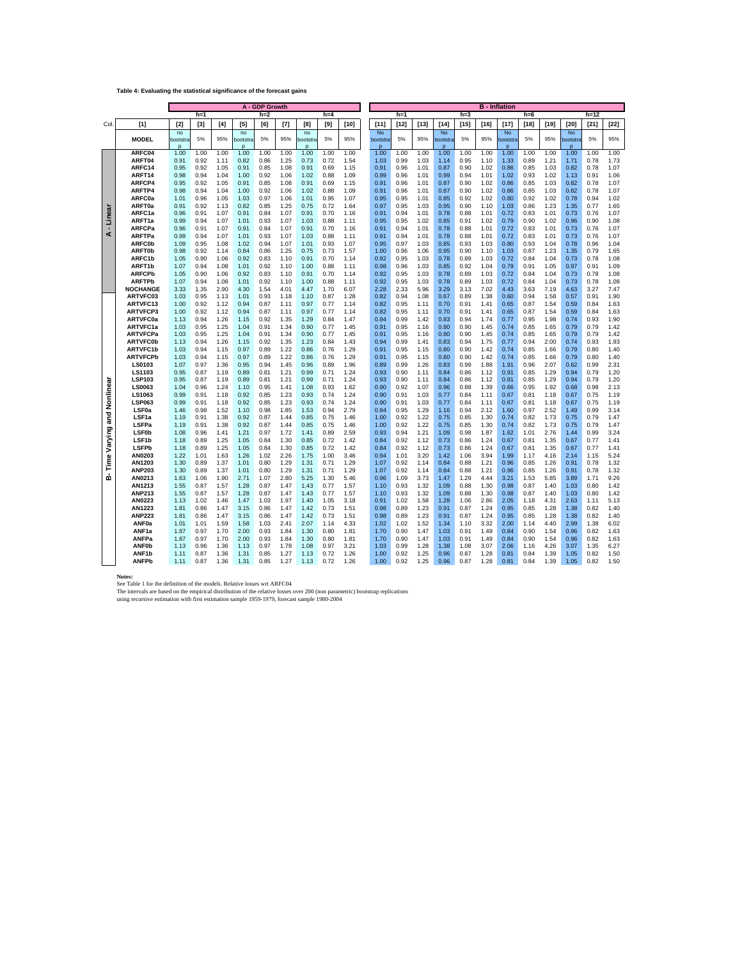#### **Table 4: Evaluating the statistical significance of the forecast gains**

| A - GDP Growth |                                    |                |              |              |                |              |              |                | <b>B</b> - Inflation |              |                |              |              |                |              |              |                              |              |              |                      |              |              |
|----------------|------------------------------------|----------------|--------------|--------------|----------------|--------------|--------------|----------------|----------------------|--------------|----------------|--------------|--------------|----------------|--------------|--------------|------------------------------|--------------|--------------|----------------------|--------------|--------------|
|                |                                    |                | $h=1$        |              |                | $h=2$        |              |                | $h=4$                |              |                | $h=1$        |              |                | $h=3$        |              |                              | $h=6$        |              |                      | $h=12$       |              |
| Col.           | $[1]$                              | $[2]$          | $[3]$        | [4]          | $[5]$          | [6]          | $[7]$        | [8]            | [9]                  | $[10]$       | [11]           | $[12]$       | $[13]$       | $[14]$         | [15]         | [16]         | $[17]$                       | $[18]$       | [19]         | [20]                 | [21]         | $[22]$       |
|                | <b>MODEL</b>                       | no<br>bootstra | 5%           | 95%          | no<br>bootstra | 5%           | 95%          | no<br>pootstra | 5%                   | 95%          | No<br>bootstra | 5%           | 95%          | No<br>bootstra | 5%           | 95%          | <b>No</b><br><b>pootstra</b> | 5%           | 95%          | <b>No</b><br>pootstr | 5%           | 95%          |
|                |                                    | $\mathbf{r}$   |              |              | $\mathbf{D}$   |              |              | $\mathbf{D}$   |                      |              | $\mathbf{D}$   |              |              | $\mathbf{D}$   |              |              | $\mathbf{D}$                 |              |              | $\mathbf{D}$         |              |              |
|                | ARFC04<br>ARFT04                   | 1.00<br>0.91   | 1.00<br>0.92 | 1.00<br>1.11 | 1.00<br>0.82   | 1.00<br>0.86 | 1.00<br>1.25 | 1.00<br>0.73   | 1.00<br>0.72         | 1.00<br>1.54 | 1.00<br>1.03   | 1.00<br>0.99 | 1.00<br>1.03 | 1.00<br>1.14   | 1.00<br>0.95 | 1.00<br>1.10 | 1.00<br>1.33                 | 1.00<br>0.89 | 1.00<br>1.21 | 1.00<br>1.71         | 1.00<br>0.78 | 1.00<br>1.73 |
|                | ARFC14                             | 0.95           | 0.92         | 1.05         | 0.91           | 0.85         | 1.08         | 0.91           | 0.69                 | 1.15         | 0.91           | 0.96         | 1.01         | 0.87           | 0.90         | 1.02         | 0.86                         | 0.85         | 1.03         | 0.82                 | 0.78         | 1.07         |
|                | ARFT14                             | 0.98           | 0.94         | 1.04         | 1.00           | 0.92         | 1.06         | 1.02           | 0.88                 | 1.09         | 0.99           | 0.96         | 1.01         | 0.99           | 0.94         | 1.01         | 1.02                         | 0.93         | 1.02         | 1.13                 | 0.91         | 1.06         |
|                | ARFCP4                             | 0.95           | 0.92         | 1.05         | 0.91           | 0.85         | 1.08         | 0.91           | 0.69                 | 1.15         | 0.91           | 0.96         | 1.01         | 0.87           | 0.90         | 1.02         | 0.86                         | 0.85         | 1.03         | 0.82                 | 0.78         | 1.07         |
|                | ARFTP4                             | 0.98           | 0.94         | 1.04         | 1.00           | 0.92         | 1.06         | 1.02           | 0.88                 | 1.09         | 0.91           | 0.96         | 1.01         | 0.87           | 0.90         | 1.02         | 0.86                         | 0.85         | 1.03         | 0.82                 | 0.78         | 1.07         |
|                | ARFC0a<br><b>ARFT0a</b>            | 1.01<br>0.91   | 0.96<br>0.92 | 1.05<br>1.13 | 1.03<br>0.82   | 0.97<br>0.85 | 1.06<br>1.25 | 1.01<br>0.75   | 0.95<br>0.72         | 1.07         | 0.95<br>0.97   | 0.95<br>0.95 | 1.01<br>1.03 | 0.85<br>0.95   | 0.92<br>0.90 | 1.02<br>1.10 | 0.80<br>1.03                 | 0.92<br>0.86 | 1.02<br>1.23 | 0.78<br>1.35         | 0.94<br>0.77 | 1.02<br>1.65 |
|                | ARFC1a                             | 0.96           | 0.91         | 1.07         | 0.91           | 0.84         | 1.07         | 0.91           | 0.70                 | 1.64<br>1.16 | 0.91           | 0.94         | 1.01         | 0.78           | 0.88         | 1.01         | 0.72                         | 0.83         | 1.01         | 0.73                 | 0.76         | 1.07         |
| Linea          | ARFT1a                             | 0.99           | 0.94         | 1.07         | 1.01           | 0.93         | 1.07         | 1.03           | 0.88                 | 1.11         | 0.95           | 0.95         | 1.02         | 0.85           | 0.91         | 1.02         | 0.79                         | 0.90         | 1.02         | 0.96                 | 0.90         | 1.08         |
|                | <b>ARFCPa</b>                      | 0.96           | 0.91         | 1.07         | 0.91           | 0.84         | 1.07         | 0.91           | 0.70                 | 1.16         | 0.91           | 0.94         | 1.01         | 0.78           | 0.88         | 1.01         | 0.72                         | 0.83         | 1.01         | 0.73                 | 0.76         | 1.07         |
| ď              | ARFTPa                             | 0.99           | 0.94         | 1.07         | 1.01           | 0.93         | 1.07         | 1.03           | 0.88                 | 1.11         | 0.91           | 0.94         | 1.01         | 0.78           | 0.88         | 1.01         | 0.72                         | 0.83         | 1.01         | 0.73                 | 0.76         | 1.07         |
|                | <b>ARFC0b</b>                      | 1.09           | 0.95         | 1.08         | 1.02<br>0.84   | 0.94         | 1.07         | 1.01           | 0.93                 | 1.07         | 0.95           | 0.97         | 1.03         | 0.85<br>0.95   | 0.93         | 1.03         | 0.80                         | 0.93         | 1.04<br>1.23 | 0.78                 | 0.96<br>0.79 | 1.04         |
|                | <b>ARFT0b</b><br>ARFC1b            | 0.98<br>1.05   | 0.92<br>0.90 | 1.14<br>1.06 | 0.92           | 0.86<br>0.83 | 1.25<br>1.10 | 0.75<br>0.91   | 0.73<br>0.70         | 1.57<br>1.14 | 1.00<br>0.92   | 0.96<br>0.95 | 1.06<br>1.03 | 0.78           | 0.90<br>0.89 | 1.10<br>1.03 | 1.03<br>0.72                 | 0.87<br>0.84 | 1.04         | 1.35<br>0.73         | 0.78         | 1.65<br>1.08 |
|                | ARFT1b                             | 1.07           | 0.94         | 1.08         | 1.01           | 0.92         | 1.10         | 1.00           | 0.88                 | 1.11         | 0.98           | 0.96         | 1.03         | 0.85           | 0.92         | 1.04         | 0.79                         | 0.91         | 1.05         | 0.97                 | 0.91         | 1.09         |
|                | <b>ARFCPb</b>                      | 1.05           | 0.90         | 1.06         | 0.92           | 0.83         | 1.10         | 0.91           | 0.70                 | 1.14         | 0.92           | 0.95         | 1.03         | 0.78           | 0.89         | 1.03         | 0.72                         | 0.84         | 1.04         | 0.73                 | 0.78         | 1.08         |
|                | <b>ARFTPb</b>                      | 1.07           | 0.94         | 1.08         | 1.01           | 0.92         | 1.10         | 1.00           | 0.88                 | 1.11         | 0.92           | 0.95         | 1.03         | 0.78           | 0.89         | 1.03         | 0.72                         | 0.84         | 1.04         | 0.73                 | 0.78         | 1.08         |
|                | <b>NOCHANGE</b>                    | 3.33           | 1.35         | 2.90         | 4.30           | 1.54         | 4.01         | 4.47           | 1.70                 | 6.07         | 2.28           | 2.33         | 5.96         | 3.29           | 3.13         | 7.02         | 4.43                         | 3.63         | 7.19         | 4.63                 | 3.27         | 7.47         |
|                | ARTVFC03                           | 1.03           | 0.95         | 1.13         | 1.01           | 0.93         | 1.18         | 1.10           | 0.87                 | 1.28         | 0.82           | 0.94         | 1.08         | 0.67           | 0.89         | 1.38         | 0.60                         | 0.94         | 1.58         | 0.57                 | 0.91         | 1.90         |
|                | ARTVFC13<br><b>ARTVFCP3</b>        | 1.00<br>1.00   | 0.92<br>0.92 | 1.12<br>1.12 | 0.94<br>0.94   | 0.87<br>0.87 | 1.11<br>1.11 | 0.97<br>0.97   | 0.77<br>0.77         | 1.14<br>1.14 | 0.82<br>0.82   | 0.95<br>0.95 | 1.11<br>1.11 | 0.70<br>0.70   | 0.91<br>0.91 | 1.41<br>1.41 | 0.65<br>0.65                 | 0.87<br>0.87 | 1.54<br>1.54 | 0.59<br>0.59         | 0.84<br>0.84 | 1.63<br>1.63 |
|                | <b>ARTVFC0a</b>                    | 1.13           | 0.94         | 1.26         | 1.15           | 0.92         | 1.35         | 1.29           | 0.84                 | 1.47         | 0.94           | 0.99         | 1.42         | 0.83           | 0.94         | 1.74         | 0.77                         | 0.95         | 1.98         | 0.74                 | 0.93         | 1.90         |
|                | ARTVFC1a                           | 1.03           | 0.95         | 1.25         | 1.04           | 0.91         | 1.34         | 0.90           | 0.77                 | 1.45         | 0.91           | 0.95         | 1.16         | 0.80           | 0.90         | 1.45         | 0.74                         | 0.85         | 1.65         | 0.79                 | 0.79         | 1.42         |
|                | <b>ARTVFCPa</b>                    | 1.03           | 0.95         | 1.25         | 1.04           | 0.91         | 1.34         | 0.90           | 0.77                 | 1.45         | 0.91           | 0.95         | 1.16         | 0.80           | 0.90         | 1.45         | 0.74                         | 0.85         | 1.65         | 0.79                 | 0.79         | 1.42         |
|                | <b>ARTVFC0b</b>                    | 1.13           | 0.94         | 1.26         | 1.15           | 0.92         | 1.35         | 1.23           | 0.84                 | 1.43         | 0.94           | 0.99         | 1.41         | 0.83           | 0.94         | 1.75         | 0.77                         | 0.94         | 2.00         | 0.74                 | 0.93         | 1.93         |
|                | <b>ARTVFC1b</b><br><b>ARTVFCPb</b> | 1.03<br>1.03   | 0.94<br>0.94 | 1.15<br>1.15 | 0.97<br>0.97   | 0.89<br>0.89 | 1.22<br>1.22 | 0.86<br>0.86   | 0.76<br>0.76         | 1.29<br>1.29 | 0.91<br>0.91   | 0.95<br>0.95 | 1.15<br>1.15 | 0.80<br>0.80   | 0.90<br>0.90 | 1.42<br>1.42 | 0.74<br>0.74                 | 0.85<br>0.85 | 1.66<br>1.66 | 0.79<br>0.79         | 0.80<br>0.80 | 1.40<br>1.40 |
|                | LS0103                             | 1.07           | 0.97         | 1.36         | 0.95           | 0.94         | 1.45         | 0.96           | 0.89                 | 1.96         | 0.89           | 0.99         | 1.26         | 0.83           | 0.99         | 1.88         | 1.91                         | 0.96         | 2.07         | 0.62                 | 0.99         | 2.31         |
|                | LS1103                             | 0.95           | 0.87         | 1.19         | 0.89           | 0.81         | 1.21         | 0.99           | 0.71                 | 1.24         | 0.93           | 0.90         | 1.11         | 0.84           | 0.86         | 1.12         | 0.91                         | 0.85         | 1.29         | 0.94                 | 0.79         | 1.20         |
|                | LSP103                             | 0.95           | 0.87         | 1.19         | 0.89           | 0.81         | 1.21         | 0.99           | 0.71                 | 1.24         | 0.93           | 0.90         | 1.11         | 0.84           | 0.86         | 1.12         | 0.91                         | 0.85         | 1.29         | 0.94                 | 0.79         | 1.20         |
| Nonlinea       | LS0063                             | 1.04           | 0.96         | 1.24         | 1.10           | 0.95         | 1.41         | 1.08           | 0.93                 | 1.62         | 0.90           | 0.92         | 1.07         | 0.96           | 0.88         | 1.39         | 0.66                         | 0.95         | 1.92         | 0.68                 | 0.98         | 2.13         |
|                | LS1063<br><b>LSP063</b>            | 0.99<br>0.99   | 0.91<br>0.91 | 1.18<br>1.18 | 0.92<br>0.92   | 0.85<br>0.85 | 1.23<br>1.23 | 0.93<br>0.93   | 0.74<br>0.74         | 1.24<br>1.24 | 0.90<br>0.90   | 0.91<br>0.91 | 1.03<br>1.03 | 0.77<br>0.77   | 0.84<br>0.84 | 1.11<br>1.11 | 0.67<br>0.67                 | 0.81<br>0.81 | 1.18<br>1.18 | 0.67<br>0.67         | 0.75<br>0.75 | 1.19<br>1.19 |
|                | LSF <sub>0a</sub>                  | 1.46           | 0.98         | 1.52         | 1.10           | 0.98         | 1.85         | 1.53           | 0.94                 | 2.79         | 0.94           | 0.95         | 1.29         | 1.16           | 0.94         | 2.12         | 1.60                         | 0.97         | 2.52         | 1.49                 | 0.99         | 3.14         |
| and            | LSF <sub>1a</sub>                  | 1.19           | 0.91         | 1.38         | 0.92           | 0.87         | 1.44         | 0.85           | 0.75                 | 1.46         | 1.00           | 0.92         | 1.22         | 0.75           | 0.85         | 1.30         | 0.74                         | 0.82         | 1.73         | 0.75                 | 0.79         | 1.47         |
|                | LSFPa                              | 1.19           | 0.91         | 1.38         | 0.92           | 0.87         | 1.44         | 0.85           | 0.75                 | 1.46         | 1.00           | 0.92         | 1.22         | 0.75           | 0.85         | 1.30         | 0.74                         | 0.82         | 1.73         | 0.75                 | 0.79         | 1.47         |
| Varying        | <b>LSF0b</b>                       | 1.08           | 0.96         | 1.41         | 1.21           | 0.97         | 1.72         | 1.41           | 0.89                 | 2.59         | 0.93           | 0.94         | 1.21         | 1.09           | 0.98         | 1.87         | 1.62                         | 1.01         | 2.76         | 1.44                 | 0.99         | 3.24         |
|                | LSF <sub>1b</sub><br><b>LSFPb</b>  | 1.18<br>1.18   | 0.89<br>0.89 | 1.25<br>1.25 | 1.05<br>1.05   | 0.84<br>0.84 | 1.30<br>1.30 | 0.85<br>0.85   | 0.72<br>0.72         | 1.42<br>1.42 | 0.84<br>0.84   | 0.92<br>0.92 | 1.12<br>1.12 | 0.73<br>0.73   | 0.86<br>0.86 | 1.24<br>1.24 | 0.67<br>0.67                 | 0.81<br>0.81 | 1.35<br>1.35 | 0.67<br>0.67         | 0.77<br>0.77 | 1.41<br>1.41 |
|                | AN0203                             | 1.22           | 1.01         | 1.63         | 1.26           | 1.02         | 2.26         | 1.75           | 1.00                 | 3.46         | 0.94           | 1.01         | 3.20         | 1.42           | 1.06         | 3.94         | 1.99                         | 1.17         | 4.16         | 2.14                 | 1.15         | 5.24         |
| Time           | AN1203                             | 1.30           | 0.89         | 1.37         | 1.01           | 0.80         | 1.29         | 1.31           | 0.71                 | 1.29         | 1.07           | 0.92         | 1.14         | 0.84           | 0.88         | 1.21         | 0.96                         | 0.85         | 1.26         | 0.91                 | 0.78         | 1.32         |
|                | <b>ANP203</b>                      | 1.30           | 0.89         | 1.37         | 1.01           | 0.80         | 1.29         | 1.31           | 0.71                 | 1.29         | 1.07           | 0.92         | 1.14         | 0.84           | 0.88         | 1.21         | 0.96                         | 0.85         | 1.26         | 0.91                 | 0.78         | 1.32         |
| ம்             | AN0213                             | 1.63           | 1.06         | 1.90         | 2.71           | 1.07         | 2.80         | 5.25           | 1.30                 | 5.46         | 0.96           | 1.09         | 3.73         | 1.47           | 1.29         | 4.44         | 3.21                         | 1.53         | 5.85         | 3.89                 | 1.71         | 9.26         |
|                | AN1213<br><b>ANP213</b>            | 1.55<br>1.55   | 0.87<br>0.87 | 1.57<br>1.57 | 1.28<br>1.28   | 0.87<br>0.87 | 1.47<br>1.47 | 1.43<br>1.43   | 0.77<br>0.77         | 1.57         | 1.10<br>1.10   | 0.93<br>0.93 | 1.32<br>1.32 | 1.09<br>1.09   | 0.88<br>0.88 | 1.30<br>1.30 | 0.98<br>0.98                 | 0.87<br>0.87 | 1.40<br>1.40 | 1.03<br>1.03         | 0.80<br>0.80 | 1.42<br>1.42 |
|                | AN0223                             | 1.13           | 1.02         | 1.46         | 1.47           | 1.03         | 1.97         | 1.40           | 1.05                 | 1.57<br>3.18 | 0.91           | 1.02         | 1.58         | 1.28           | 1.06         | 2.86         | 2.05                         | 1.18         | 4.31         | 2.63                 | 1.11         | 5.13         |
|                | AN1223                             | 1.81           | 0.86         | 1.47         | 3.15           | 0.86         | 1.47         | 1.42           | 0.73                 | 1.51         | 0.98           | 0.89         | 1.23         | 0.91           | 0.87         | 1.24         | 0.95                         | 0.85         | 1.28         | 1.38                 | 0.82         | 1.40         |
|                | <b>ANP223</b>                      | 1.81           | 0.86         | 1.47         | 3.15           | 0.86         | 1.47         | 1.42           | 0.73                 | 1.51         | 0.98           | 0.89         | 1.23         | 0.91           | 0.87         | 1.24         | 0.95                         | 0.85         | 1.28         | 1.38                 | 0.82         | 1.40         |
|                | ANF <sub>0a</sub>                  | 1.01           | 1.01         | 1.59         | 1.58           | 1.03         | 2.41         | 2.07           | 1.14                 | 4.33         | 1.02           | 1.02         | 1.52         | 1.34           | 1.10         | 3.32         | 2.00                         | 1.14         | 4.40         | 2.99                 | 1.38         | 6.02         |
|                | ANF1a                              | 1.87           | 0.97         | 1.70         | 2.00           | 0.93         | 1.84         | 1.30           | 0.80                 | 1.81         | 1.70           | 0.90         | 1.47         | 1.03           | 0.91         | 1.49         | 0.84                         | 0.90         | 1.54         | 0.96                 | 0.82         | 1.63         |
|                | ANFPa<br><b>ANF0b</b>              | 1.87<br>1.13   | 0.97<br>0.96 | 1.70<br>1.36 | 2.00<br>1.13   | 0.93<br>0.97 | 1.84<br>1.78 | 1.30<br>1.08   | 0.80<br>0.97         | 1.81<br>3.21 | 1.70<br>1.03   | 0.90<br>0.99 | 1.47<br>1.28 | 1.03<br>1.38   | 0.91<br>1.08 | 1.49<br>3.07 | 0.84<br>2.06                 | 0.90<br>1.16 | 1.54<br>4.26 | 0.96<br>3.07         | 0.82<br>1.35 | 1.63<br>6.27 |
|                | ANF <sub>1b</sub>                  | 1.11           | 0.87         | 1.36         | 1.31           | 0.85         | 1.27         | 1.13           | 0.72                 | 1.26         | 1.00           | 0.92         | 1.25         | 0.96           | 0.87         | 1.28         | 0.81                         | 0.84         | 1.39         | 1.05                 | 0.82         | 1.50         |
|                | <b>ANFPb</b>                       | 1.11           | 0.87         | 1.36         | 1.31           | 0.85         | 1.27         | 1.13           | 0.72                 | 1.26         | 1.00           | 0.92         | 1.25         | 0.96           | 0.87         | 1.28         | 0.81                         | 0.84         | 1.39         | 1.05                 | 0.82         | 1.50         |

Notes:<br>See Table 1 for the definition of the models. Relative losses wrt ARFC04<br>The intervals are based on the empirical distribution of the relative losses over 200 (non parametric) bootstrap replications<br>Uning recursive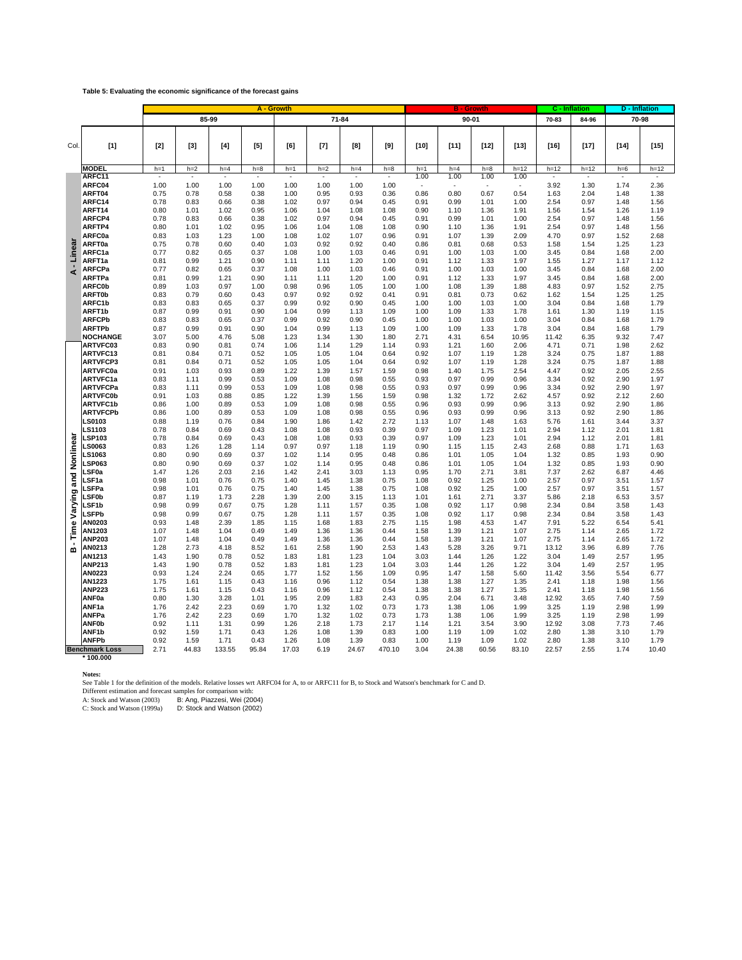#### **Table 5: Evaluating the economic significance of the forecast gains**

|                     |                                  | A - Growth   |              |                 |                 |                 |                 |                 |                 |               | <b>B</b> - Growth |               |                |               | C - Inflation |                 | <b>D</b> - Inflation |  |
|---------------------|----------------------------------|--------------|--------------|-----------------|-----------------|-----------------|-----------------|-----------------|-----------------|---------------|-------------------|---------------|----------------|---------------|---------------|-----------------|----------------------|--|
|                     |                                  |              |              | 85-99           |                 |                 |                 | 71-84           |                 |               |                   | $90 - 01$     |                | 70-83         | 84-96         |                 | 70-98                |  |
|                     |                                  |              |              |                 |                 |                 |                 |                 |                 |               |                   |               |                |               |               |                 |                      |  |
| Col.                |                                  | $[2]$        | $[3]$        | $[4]$           | [5]             | [6]             | $[7]$           | [8]             | [9]             | $[10]$        | $[11]$            | $[12]$        | $[13]$         | $[16]$        | $[17]$        | $[14]$          | $[15]$               |  |
|                     | $[1]$                            |              |              |                 |                 |                 |                 |                 |                 |               |                   |               |                |               |               |                 |                      |  |
|                     |                                  |              |              |                 |                 |                 |                 |                 |                 |               |                   |               |                |               |               |                 |                      |  |
|                     | <b>MODEL</b><br>ARFC11           | $h=1$        | $h=2$        | $h=4$<br>$\sim$ | $h=8$<br>$\sim$ | $h=1$<br>$\sim$ | $h=2$<br>$\sim$ | $h=4$<br>$\sim$ | $h=8$<br>$\sim$ | $h=1$<br>1.00 | $h=4$<br>1.00     | $h=8$<br>1.00 | $h=12$<br>1.00 | $h=12$<br>×.  | $h=12$<br>÷.  | $h=6$<br>$\sim$ | $h=12$<br>$\sim$     |  |
|                     | ARFC04                           | 1.00         | 1.00         | 1.00            | 1.00            | 1.00            | 1.00            | 1.00            | 1.00            | ÷.            | ×,                | ×             |                | 3.92          | 1.30          | 1.74            | 2.36                 |  |
|                     | ARFT04                           | 0.75         | 0.78         | 0.58            | 0.38            | 1.00            | 0.95            | 0.93            | 0.36            | 0.86          | 0.80              | 0.67          | 0.54           | 1.63          | 2.04          | 1.48            | 1.38                 |  |
|                     | ARFC14                           | 0.78         | 0.83         | 0.66            | 0.38            | 1.02            | 0.97            | 0.94            | 0.45            | 0.91          | 0.99              | 1.01          | 1.00           | 2.54          | 0.97          | 1.48            | 1.56                 |  |
|                     | ARFT14                           | 0.80         | 1.01         | 1.02            | 0.95            | 1.06            | 1.04            | 1.08            | 1.08            | 0.90          | 1.10              | 1.36          | 1.91           | 1.56          | 1.54          | 1.26            | 1.19                 |  |
|                     | ARFCP4<br>ARFTP4                 | 0.78<br>0.80 | 0.83<br>1.01 | 0.66<br>1.02    | 0.38<br>0.95    | 1.02<br>1.06    | 0.97<br>1.04    | 0.94<br>1.08    | 0.45<br>1.08    | 0.91<br>0.90  | 0.99<br>1.10      | 1.01<br>1.36  | 1.00<br>1.91   | 2.54<br>2.54  | 0.97<br>0.97  | 1.48<br>1.48    | 1.56<br>1.56         |  |
|                     | ARFC0a                           | 0.83         | 1.03         | 1.23            | 1.00            | 1.08            | 1.02            | 1.07            | 0.96            | 0.91          | 1.07              | 1.39          | 2.09           | 4.70          | 0.97          | 1.52            | 2.68                 |  |
|                     | <b>ARFT0a</b>                    | 0.75         | 0.78         | 0.60            | 0.40            | 1.03            | 0.92            | 0.92            | 0.40            | 0.86          | 0.81              | 0.68          | 0.53           | 1.58          | 1.54          | 1.25            | 1.23                 |  |
| Linea               | ARFC1a                           | 0.77         | 0.82         | 0.65            | 0.37            | 1.08            | 1.00            | 1.03            | 0.46            | 0.91          | 1.00              | 1.03          | 1.00           | 3.45          | 0.84          | 1.68            | 2.00                 |  |
|                     | ARFT1a                           | 0.81         | 0.99         | 1.21            | 0.90            | 1.11            | 1.11            | 1.20            | 1.00            | 0.91          | 1.12              | 1.33          | 1.97           | 1.55          | 1.27          | 1.17            | 1.12                 |  |
| ∢                   | ARFCPa<br><b>ARFTPa</b>          | 0.77         | 0.82<br>0.99 | 0.65<br>1.21    | 0.37<br>0.90    | 1.08<br>1.11    | 1.00<br>1.11    | 1.03<br>1.20    | 0.46            | 0.91<br>0.91  | 1.00<br>1.12      | 1.03          | 1.00           | 3.45          | 0.84<br>0.84  | 1.68            | 2.00<br>2.00         |  |
|                     | <b>ARFC0b</b>                    | 0.81<br>0.89 | 1.03         | 0.97            | 1.00            | 0.98            | 0.96            | 1.05            | 1.00<br>1.00    | 1.00          | 1.08              | 1.33<br>1.39  | 1.97<br>1.88   | 3.45<br>4.83  | 0.97          | 1.68<br>1.52    | 2.75                 |  |
|                     | <b>ARFT0b</b>                    | 0.83         | 0.79         | 0.60            | 0.43            | 0.97            | 0.92            | 0.92            | 0.41            | 0.91          | 0.81              | 0.73          | 0.62           | 1.62          | 1.54          | 1.25            | 1.25                 |  |
|                     | ARFC1b                           | 0.83         | 0.83         | 0.65            | 0.37            | 0.99            | 0.92            | 0.90            | 0.45            | 1.00          | 1.00              | 1.03          | 1.00           | 3.04          | 0.84          | 1.68            | 1.79                 |  |
|                     | ARFT1b                           | 0.87         | 0.99         | 0.91            | 0.90            | 1.04            | 0.99            | 1.13            | 1.09            | 1.00          | 1.09              | 1.33          | 1.78           | 1.61          | 1.30          | 1.19            | 1.15                 |  |
|                     | <b>ARFCPb</b>                    | 0.83<br>0.87 | 0.83<br>0.99 | 0.65            | 0.37<br>0.90    | 0.99<br>1.04    | 0.92<br>0.99    | 0.90            | 0.45            | 1.00          | 1.00              | 1.03<br>1.33  | 1.00           | 3.04<br>3.04  | 0.84          | 1.68            | 1.79                 |  |
|                     | <b>ARFTPb</b><br><b>NOCHANGE</b> | 3.07         | 5.00         | 0.91<br>4.76    | 5.08            | 1.23            | 1.34            | 1.13<br>1.30    | 1.09<br>1.80    | 1.00<br>2.71  | 1.09<br>4.31      | 6.54          | 1.78<br>10.95  | 11.42         | 0.84<br>6.35  | 1.68<br>9.32    | 1.79<br>7.47         |  |
|                     | ARTVFC03                         | 0.83         | 0.90         | 0.81            | 0.74            | 1.06            | 1.14            | 1.29            | 1.14            | 0.93          | 1.21              | 1.60          | 2.06           | 4.71          | 0.71          | 1.98            | 2.62                 |  |
|                     | ARTVFC13                         | 0.81         | 0.84         | 0.71            | 0.52            | 1.05            | 1.05            | 1.04            | 0.64            | 0.92          | 1.07              | 1.19          | 1.28           | 3.24          | 0.75          | 1.87            | 1.88                 |  |
|                     | <b>ARTVFCP3</b>                  | 0.81         | 0.84         | 0.71            | 0.52            | 1.05            | 1.05            | 1.04            | 0.64            | 0.92          | 1.07              | 1.19          | 1.28           | 3.24          | 0.75          | 1.87            | 1.88                 |  |
|                     | <b>ARTVFC0a</b>                  | 0.91         | 1.03         | 0.93            | 0.89            | 1.22            | 1.39            | 1.57            | 1.59            | 0.98          | 1.40              | 1.75          | 2.54           | 4.47          | 0.92          | 2.05            | 2.55                 |  |
|                     | ARTVFC1a<br><b>ARTVFCPa</b>      | 0.83<br>0.83 | 1.11<br>1.11 | 0.99<br>0.99    | 0.53<br>0.53    | 1.09<br>1.09    | 1.08<br>1.08    | 0.98<br>0.98    | 0.55<br>0.55    | 0.93<br>0.93  | 0.97<br>0.97      | 0.99<br>0.99  | 0.96<br>0.96   | 3.34<br>3.34  | 0.92<br>0.92  | 2.90<br>2.90    | 1.97<br>1.97         |  |
|                     | <b>ARTVFC0b</b>                  | 0.91         | 1.03         | 0.88            | 0.85            | 1.22            | 1.39            | 1.56            | 1.59            | 0.98          | 1.32              | 1.72          | 2.62           | 4.57          | 0.92          | 2.12            | 2.60                 |  |
|                     | <b>ARTVFC1b</b>                  | 0.86         | 1.00         | 0.89            | 0.53            | 1.09            | 1.08            | 0.98            | 0.55            | 0.96          | 0.93              | 0.99          | 0.96           | 3.13          | 0.92          | 2.90            | 1.86                 |  |
|                     | <b>ARTVFCPb</b>                  | 0.86         | 1.00         | 0.89            | 0.53            | 1.09            | 1.08            | 0.98            | 0.55            | 0.96          | 0.93              | 0.99          | 0.96           | 3.13          | 0.92          | 2.90            | 1.86                 |  |
|                     | <b>LS0103</b><br>S1103           | 0.88         | 1.19         | 0.76            | 0.84            | 1.90            | 1.86            | 1.42<br>0.93    | 2.72            | 1.13          | 1.07              | 1.48          | 1.63           | 5.76          | 1.61          | 3.44<br>2.01    | 3.37                 |  |
|                     | <b>LSP103</b>                    | 0.78<br>0.78 | 0.84<br>0.84 | 0.69<br>0.69    | 0.43<br>0.43    | 1.08<br>1.08    | 1.08<br>1.08    | 0.93            | 0.39<br>0.39    | 0.97<br>0.97  | 1.09<br>1.09      | 1.23<br>1.23  | 1.01<br>1.01   | 2.94<br>2.94  | 1.12<br>1.12  | 2.01            | 1.81<br>1.81         |  |
| Nonlinea            | LS0063                           | 0.83         | 1.26         | 1.28            | 1.14            | 0.97            | 0.97            | 1.18            | 1.19            | 0.90          | 1.15              | 1.15          | 2.43           | 2.68          | 0.88          | 1.71            | 1.63                 |  |
|                     | <b>LS1063</b>                    | 0.80         | 0.90         | 0.69            | 0.37            | 1.02            | 1.14            | 0.95            | 0.48            | 0.86          | 1.01              | 1.05          | 1.04           | 1.32          | 0.85          | 1.93            | 0.90                 |  |
|                     | <b>LSP063</b>                    | 0.80         | 0.90         | 0.69            | 0.37            | 1.02            | 1.14            | 0.95            | 0.48            | 0.86          | 1.01              | 1.05          | 1.04           | 1.32          | 0.85          | 1.93            | 0.90                 |  |
| ក្ខ<br>ត            | LSF0a<br>LSF1a                   | 1.47<br>0.98 | 1.26<br>1.01 | 2.03<br>0.76    | 2.16<br>0.75    | 1.42<br>1.40    | 2.41<br>1.45    | 3.03<br>1.38    | 1.13<br>0.75    | 0.95<br>1.08  | 1.70<br>0.92      | 2.71<br>1.25  | 3.81<br>1.00   | 7.37<br>2.57  | 2.62<br>0.97  | 6.87<br>3.51    | 4.46<br>1.57         |  |
|                     | LSFPa                            | 0.98         | 1.01         | 0.76            | 0.75            | 1.40            | 1.45            | 1.38            | 0.75            | 1.08          | 0.92              | 1.25          | 1.00           | 2.57          | 0.97          | 3.51            | 1.57                 |  |
| פ                   | .SF0b                            | 0.87         | 1.19         | 1.73            | 2.28            | 1.39            | 2.00            | 3.15            | 1.13            | 1.01          | 1.61              | 2.71          | 3.37           | 5.86          | 2.18          | 6.53            | 3.57                 |  |
| ۶É                  | <b>LSF1b</b>                     | 0.98         | 0.99         | 0.67            | 0.75            | 1.28            | 1.11            | 1.57            | 0.35            | 1.08          | 0.92              | 1.17          | 0.98           | 2.34          | 0.84          | 3.58            | 1.43                 |  |
| وگ                  | <b>LSFPb</b>                     | 0.98         | 0.99         | 0.67            | 0.75            | 1.28            | 1.11            | 1.57            | 0.35            | 1.08          | 0.92              | 1.17          | 0.98           | 2.34          | 0.84          | 3.58            | 1.43                 |  |
| Time                | AN0203<br>AN1203                 | 0.93<br>1.07 | 1.48<br>1.48 | 2.39<br>1.04    | 1.85<br>0.49    | 1.15<br>1.49    | 1.68<br>1.36    | 1.83<br>1.36    | 2.75<br>0.44    | 1.15<br>1.58  | 1.98<br>1.39      | 4.53<br>1.21  | 1.47<br>1.07   | 7.91<br>2.75  | 5.22<br>1.14  | 6.54<br>2.65    | 5.41<br>1.72         |  |
|                     | <b>ANP203</b>                    | 1.07         | 1.48         | 1.04            | 0.49            | 1.49            | 1.36            | 1.36            | 0.44            | 1.58          | 1.39              | 1.21          | 1.07           | 2.75          | 1.14          | 2.65            | 1.72                 |  |
| $\blacksquare$<br>m | AN0213                           | 1.28         | 2.73         | 4.18            | 8.52            | 1.61            | 2.58            | 1.90            | 2.53            | 1.43          | 5.28              | 3.26          | 9.71           | 13.12         | 3.96          | 6.89            | 7.76                 |  |
|                     | AN1213                           | 1.43         | 1.90         | 0.78            | 0.52            | 1.83            | 1.81            | 1.23            | 1.04            | 3.03          | 1.44              | 1.26          | 1.22           | 3.04          | 1.49          | 2.57            | 1.95                 |  |
|                     | <b>ANP213</b>                    | 1.43         | 1.90         | 0.78            | 0.52            | 1.83            | 1.81            | 1.23            | 1.04            | 3.03          | 1.44              | 1.26          | 1.22           | 3.04          | 1.49          | 2.57            | 1.95                 |  |
|                     | AN0223<br>AN1223                 | 0.93<br>1.75 | 1.24<br>1.61 | 2.24<br>1.15    | 0.65<br>0.43    | 1.77<br>1.16    | 1.52<br>0.96    | 1.56<br>1.12    | 1.09<br>0.54    | 0.95<br>1.38  | 1.47<br>1.38      | 1.58<br>1.27  | 5.60<br>1.35   | 11.42<br>2.41 | 3.56<br>1.18  | 5.54<br>1.98    | 6.77<br>1.56         |  |
|                     | <b>ANP223</b>                    | 1.75         | 1.61         | 1.15            | 0.43            | 1.16            | 0.96            | 1.12            | 0.54            | 1.38          | 1.38              | 1.27          | 1.35           | 2.41          | 1.18          | 1.98            | 1.56                 |  |
|                     | ANF <sub>0a</sub>                | 0.80         | 1.30         | 3.28            | 1.01            | 1.95            | 2.09            | 1.83            | 2.43            | 0.95          | 2.04              | 6.71          | 3.48           | 12.92         | 3.65          | 7.40            | 7.59                 |  |
|                     | ANF <sub>1a</sub>                | 1.76         | 2.42         | 2.23            | 0.69            | 1.70            | 1.32            | 1.02            | 0.73            | 1.73          | 1.38              | 1.06          | 1.99           | 3.25          | 1.19          | 2.98            | 1.99                 |  |
|                     | <b>ANFPa</b>                     | 1.76         | 2.42         | 2.23            | 0.69            | 1.70            | 1.32            | 1.02            | 0.73            | 1.73          | 1.38              | 1.06          | 1.99           | 3.25          | 1.19          | 2.98            | 1.99                 |  |
|                     | <b>ANF0b</b><br>ANF1b            | 0.92<br>0.92 | 1.11<br>1.59 | 1.31<br>1.71    | 0.99<br>0.43    | 1.26<br>1.26    | 2.18<br>1.08    | 1.73<br>1.39    | 2.17<br>0.83    | 1.14<br>1.00  | 1.21<br>1.19      | 3.54<br>1.09  | 3.90<br>1.02   | 12.92<br>2.80 | 3.08<br>1.38  | 7.73<br>3.10    | 7.46<br>1.79         |  |
|                     | <b>ANFPb</b>                     | 0.92         | 1.59         | 1.71            | 0.43            | 1.26            | 1.08            | 1.39            | 0.83            | 1.00          | 1.19              | 1.09          | 1.02           | 2.80          | 1.38          | 3.10            | 1.79                 |  |
|                     | <b>Benchmark Loss</b>            | 2.71         | 44.83        | 133.55          | 95.84           | 17.03           | 6.19            | 24.67           | 470.10          | 3.04          | 24.38             | 60.56         | 83.10          | 22.57         | 2.55          | 1.74            | 10.40                |  |
|                     | $*100.000$                       |              |              |                 |                 |                 |                 |                 |                 |               |                   |               |                |               |               |                 |                      |  |

Notes:<br>See Table 1 for the definition of the models. Relative losses wrt ARFC04 for A, to or ARFC11 for B, to Stock and Watson's benchmark for C and D.<br>Different estimation and forecast samples for comparison with:<br>A: Stoc